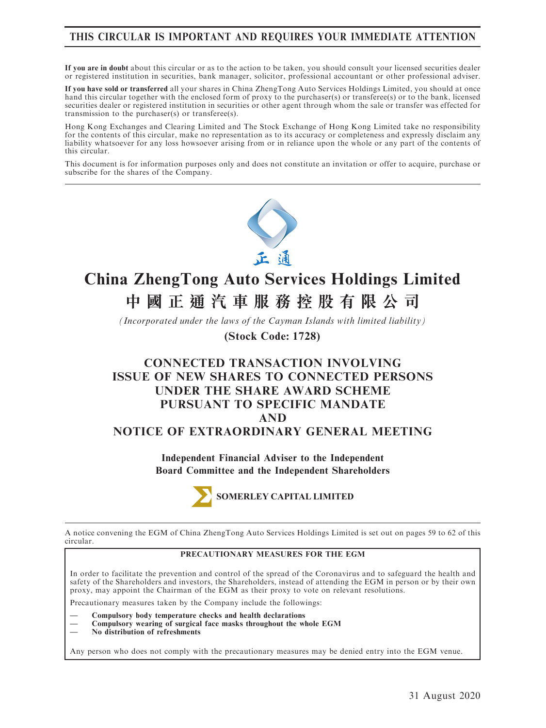# THIS CIRCULAR IS IMPORTANT AND REQUIRES YOUR IMMEDIATE ATTENTION

If you are in doubt about this circular or as to the action to be taken, you should consult your licensed securities dealer or registered institution in securities, bank manager, solicitor, professional accountant or other professional adviser.

If you have sold or transferred all your shares in China ZhengTong Auto Services Holdings Limited, you should at once hand this circular together with the enclosed form of proxy to the purchaser(s) or transferee(s) or to the bank, licensed securities dealer or registered institution in securities or other agent through whom the sale or transfer was effected for transmission to the purchaser(s) or transferee(s).

Hong Kong Exchanges and Clearing Limited and The Stock Exchange of Hong Kong Limited take no responsibility for the contents of this circular, make no representation as to its accuracy or completeness and expressly disclaim any liability whatsoever for any loss howsoever arising from or in reliance upon the whole or any part of the contents of this circular.

This document is for information purposes only and does not constitute an invitation or offer to acquire, purchase or subscribe for the shares of the Company.



# **China ZhengTong Auto Services Holdings Limited 中國正通汽車服務控股有限公司**

*(Incorporated under the laws of the Cayman Islands with limited liability)*

**(Stock Code: 1728)**

# CONNECTED TRANSACTION INVOLVING ISSUE OF NEW SHARES TO CONNECTED PERSONS UNDER THE SHARE AWARD SCHEME PURSUANT TO SPECIFIC MANDATE AND NOTICE OF EXTRAORDINARY GENERAL MEETING

Independent Financial Adviser to the Independent Board Committee and the Independent Shareholders



A notice convening the EGM of China ZhengTong Auto Services Holdings Limited is set out on pages 59 to 62 of this circular.

#### PRECAUTIONARY MEASURES FOR THE EGM

In order to facilitate the prevention and control of the spread of the Coronavirus and to safeguard the health and safety of the Shareholders and investors, the Shareholders, instead of attending the EGM in person or by their own proxy, may appoint the Chairman of the EGM as their proxy to vote on relevant resolutions.

Precautionary measures taken by the Company include the followings:

— Compulsory body temperature checks and health declarations

— Compulsory wearing of surgical face masks throughout the whole EGM

— No distribution of refreshments

Any person who does not comply with the precautionary measures may be denied entry into the EGM venue.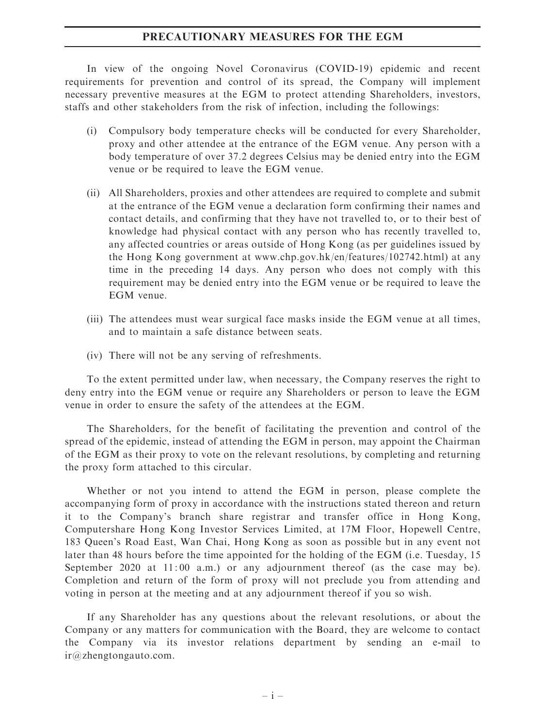#### PRECAUTIONARY MEASURES FOR THE EGM

In view of the ongoing Novel Coronavirus (COVID-19) epidemic and recent requirements for prevention and control of its spread, the Company will implement necessary preventive measures at the EGM to protect attending Shareholders, investors, staffs and other stakeholders from the risk of infection, including the followings:

- (i) Compulsory body temperature checks will be conducted for every Shareholder, proxy and other attendee at the entrance of the EGM venue. Any person with a body temperature of over 37.2 degrees Celsius may be denied entry into the EGM venue or be required to leave the EGM venue.
- (ii) All Shareholders, proxies and other attendees are required to complete and submit at the entrance of the EGM venue a declaration form confirming their names and contact details, and confirming that they have not travelled to, or to their best of knowledge had physical contact with any person who has recently travelled to, any affected countries or areas outside of Hong Kong (as per guidelines issued by the Hong Kong government at www.chp.gov.hk/en/features/102742.html) at any time in the preceding 14 days. Any person who does not comply with this requirement may be denied entry into the EGM venue or be required to leave the EGM venue.
- (iii) The attendees must wear surgical face masks inside the EGM venue at all times, and to maintain a safe distance between seats.
- (iv) There will not be any serving of refreshments.

To the extent permitted under law, when necessary, the Company reserves the right to deny entry into the EGM venue or require any Shareholders or person to leave the EGM venue in order to ensure the safety of the attendees at the EGM.

The Shareholders, for the benefit of facilitating the prevention and control of the spread of the epidemic, instead of attending the EGM in person, may appoint the Chairman of the EGM as their proxy to vote on the relevant resolutions, by completing and returning the proxy form attached to this circular.

Whether or not you intend to attend the EGM in person, please complete the accompanying form of proxy in accordance with the instructions stated thereon and return it to the Company's branch share registrar and transfer office in Hong Kong, Computershare Hong Kong Investor Services Limited, at 17M Floor, Hopewell Centre, 183 Queen's Road East, Wan Chai, Hong Kong as soon as possible but in any event not later than 48 hours before the time appointed for the holding of the EGM (i.e. Tuesday, 15 September 2020 at 11:00 a.m.) or any adjournment thereof (as the case may be). Completion and return of the form of proxy will not preclude you from attending and voting in person at the meeting and at any adjournment thereof if you so wish.

If any Shareholder has any questions about the relevant resolutions, or about the Company or any matters for communication with the Board, they are welcome to contact the Company via its investor relations department by sending an e-mail to ir@zhengtongauto.com.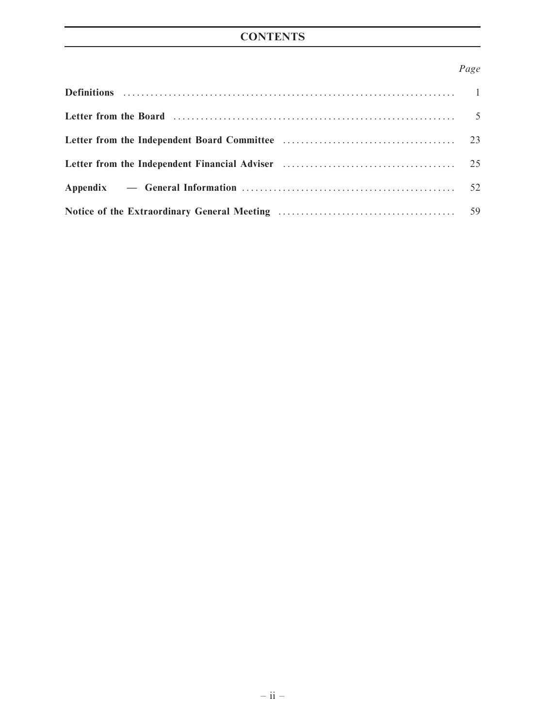# **CONTENTS**

# Page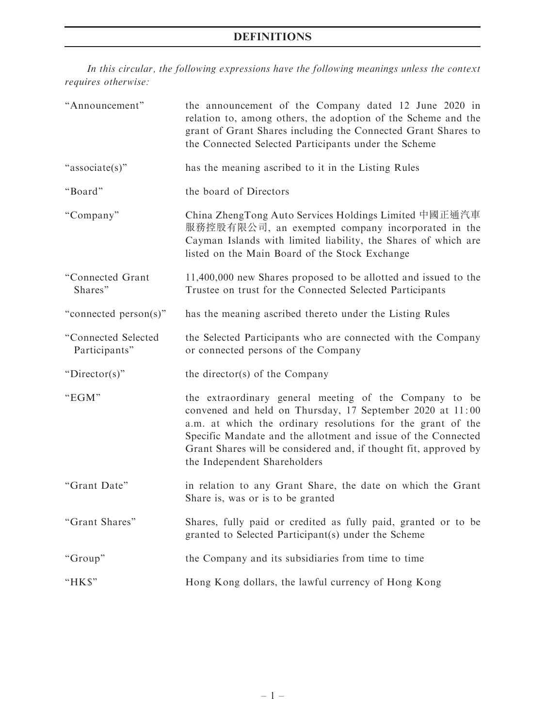# DEFINITIONS

In this circular, the following expressions have the following meanings unless the context requires otherwise:

| "Announcement"                       | the announcement of the Company dated 12 June 2020 in<br>relation to, among others, the adoption of the Scheme and the<br>grant of Grant Shares including the Connected Grant Shares to<br>the Connected Selected Participants under the Scheme                                                                                                         |
|--------------------------------------|---------------------------------------------------------------------------------------------------------------------------------------------------------------------------------------------------------------------------------------------------------------------------------------------------------------------------------------------------------|
| "associate(s)"                       | has the meaning ascribed to it in the Listing Rules                                                                                                                                                                                                                                                                                                     |
| "Board"                              | the board of Directors                                                                                                                                                                                                                                                                                                                                  |
| "Company"                            | China ZhengTong Auto Services Holdings Limited 中國正通汽車<br>服務控股有限公司, an exempted company incorporated in the<br>Cayman Islands with limited liability, the Shares of which are<br>listed on the Main Board of the Stock Exchange                                                                                                                          |
| "Connected Grant<br>Shares"          | 11,400,000 new Shares proposed to be allotted and issued to the<br>Trustee on trust for the Connected Selected Participants                                                                                                                                                                                                                             |
| "connected person(s)"                | has the meaning ascribed thereto under the Listing Rules                                                                                                                                                                                                                                                                                                |
| "Connected Selected<br>Participants" | the Selected Participants who are connected with the Company<br>or connected persons of the Company                                                                                                                                                                                                                                                     |
| " $Directory$ "                      | the director(s) of the Company                                                                                                                                                                                                                                                                                                                          |
| "EGM"                                | the extraordinary general meeting of the Company to be<br>convened and held on Thursday, 17 September 2020 at 11:00<br>a.m. at which the ordinary resolutions for the grant of the<br>Specific Mandate and the allotment and issue of the Connected<br>Grant Shares will be considered and, if thought fit, approved by<br>the Independent Shareholders |
| "Grant Date"                         | in relation to any Grant Share, the date on which the Grant<br>Share is, was or is to be granted                                                                                                                                                                                                                                                        |
| "Grant Shares"                       | Shares, fully paid or credited as fully paid, granted or to be<br>granted to Selected Participant(s) under the Scheme                                                                                                                                                                                                                                   |
| "Group"                              | the Company and its subsidiaries from time to time                                                                                                                                                                                                                                                                                                      |
| "HK\$"                               | Hong Kong dollars, the lawful currency of Hong Kong                                                                                                                                                                                                                                                                                                     |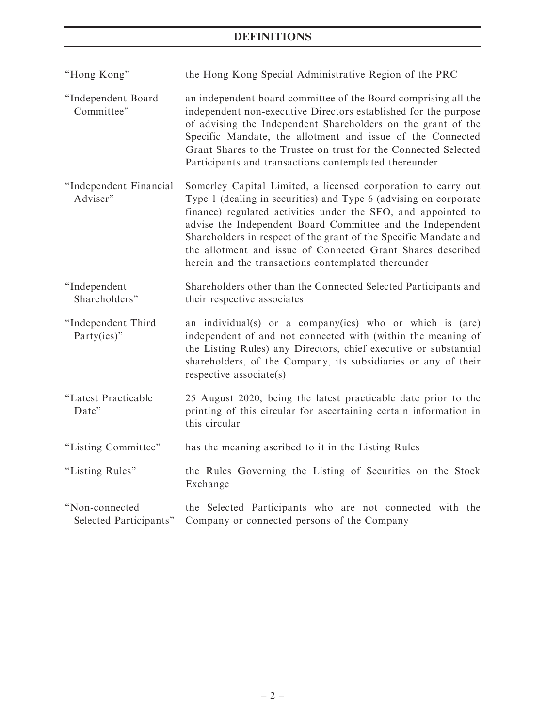# DEFINITIONS

| "Hong Kong"                              | the Hong Kong Special Administrative Region of the PRC                                                                                                                                                                                                                                                                                                                                                                                                     |
|------------------------------------------|------------------------------------------------------------------------------------------------------------------------------------------------------------------------------------------------------------------------------------------------------------------------------------------------------------------------------------------------------------------------------------------------------------------------------------------------------------|
| "Independent Board<br>Committee"         | an independent board committee of the Board comprising all the<br>independent non-executive Directors established for the purpose<br>of advising the Independent Shareholders on the grant of the<br>Specific Mandate, the allotment and issue of the Connected<br>Grant Shares to the Trustee on trust for the Connected Selected<br>Participants and transactions contemplated thereunder                                                                |
| "Independent Financial<br>Adviser"       | Somerley Capital Limited, a licensed corporation to carry out<br>Type 1 (dealing in securities) and Type 6 (advising on corporate<br>finance) regulated activities under the SFO, and appointed to<br>advise the Independent Board Committee and the Independent<br>Shareholders in respect of the grant of the Specific Mandate and<br>the allotment and issue of Connected Grant Shares described<br>herein and the transactions contemplated thereunder |
| "Independent<br>Shareholders"            | Shareholders other than the Connected Selected Participants and<br>their respective associates                                                                                                                                                                                                                                                                                                                                                             |
| "Independent Third<br>Party(ies)"        | an individual(s) or a company(ies) who or which is (are)<br>independent of and not connected with (within the meaning of<br>the Listing Rules) any Directors, chief executive or substantial<br>shareholders, of the Company, its subsidiaries or any of their<br>respective associate(s)                                                                                                                                                                  |
| "Latest Practicable<br>Date"             | 25 August 2020, being the latest practicable date prior to the<br>printing of this circular for ascertaining certain information in<br>this circular                                                                                                                                                                                                                                                                                                       |
| "Listing Committee"                      | has the meaning ascribed to it in the Listing Rules                                                                                                                                                                                                                                                                                                                                                                                                        |
| "Listing Rules"                          | the Rules Governing the Listing of Securities on the Stock<br>Exchange                                                                                                                                                                                                                                                                                                                                                                                     |
| "Non-connected<br>Selected Participants" | the Selected Participants who are not connected with the<br>Company or connected persons of the Company                                                                                                                                                                                                                                                                                                                                                    |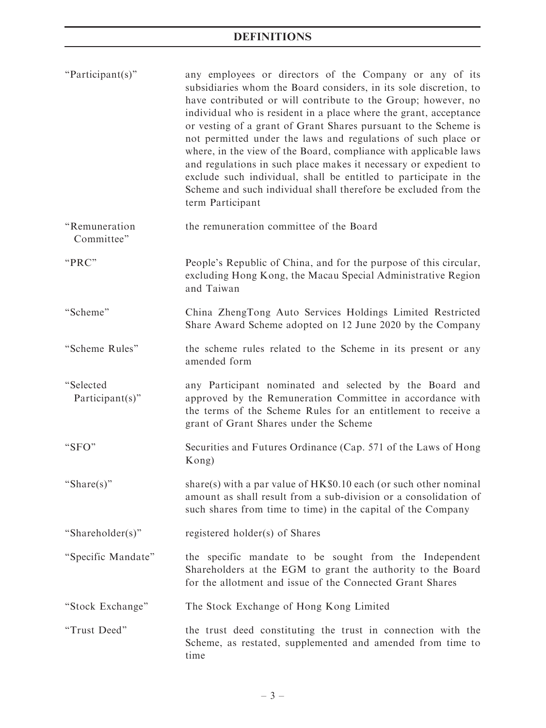| "Participant(s)"                | any employees or directors of the Company or any of its<br>subsidiaries whom the Board considers, in its sole discretion, to<br>have contributed or will contribute to the Group; however, no<br>individual who is resident in a place where the grant, acceptance<br>or vesting of a grant of Grant Shares pursuant to the Scheme is<br>not permitted under the laws and regulations of such place or<br>where, in the view of the Board, compliance with applicable laws<br>and regulations in such place makes it necessary or expedient to<br>exclude such individual, shall be entitled to participate in the<br>Scheme and such individual shall therefore be excluded from the<br>term Participant |
|---------------------------------|-----------------------------------------------------------------------------------------------------------------------------------------------------------------------------------------------------------------------------------------------------------------------------------------------------------------------------------------------------------------------------------------------------------------------------------------------------------------------------------------------------------------------------------------------------------------------------------------------------------------------------------------------------------------------------------------------------------|
| "Remuneration<br>Committee"     | the remuneration committee of the Board                                                                                                                                                                                                                                                                                                                                                                                                                                                                                                                                                                                                                                                                   |
| "PRC"                           | People's Republic of China, and for the purpose of this circular,<br>excluding Hong Kong, the Macau Special Administrative Region<br>and Taiwan                                                                                                                                                                                                                                                                                                                                                                                                                                                                                                                                                           |
| "Scheme"                        | China ZhengTong Auto Services Holdings Limited Restricted<br>Share Award Scheme adopted on 12 June 2020 by the Company                                                                                                                                                                                                                                                                                                                                                                                                                                                                                                                                                                                    |
| "Scheme Rules"                  | the scheme rules related to the Scheme in its present or any<br>amended form                                                                                                                                                                                                                                                                                                                                                                                                                                                                                                                                                                                                                              |
| "Selected<br>$Participant(s)$ " | any Participant nominated and selected by the Board and<br>approved by the Remuneration Committee in accordance with<br>the terms of the Scheme Rules for an entitlement to receive a<br>grant of Grant Shares under the Scheme                                                                                                                                                                                                                                                                                                                                                                                                                                                                           |
| "SFO"                           | Securities and Futures Ordinance (Cap. 571 of the Laws of Hong<br>Kong)                                                                                                                                                                                                                                                                                                                                                                                                                                                                                                                                                                                                                                   |
| "Share(s)"                      | share(s) with a par value of $HK\$0.10$ each (or such other nominal<br>amount as shall result from a sub-division or a consolidation of<br>such shares from time to time) in the capital of the Company                                                                                                                                                                                                                                                                                                                                                                                                                                                                                                   |
| "Shareholder(s)"                | registered holder(s) of Shares                                                                                                                                                                                                                                                                                                                                                                                                                                                                                                                                                                                                                                                                            |
| "Specific Mandate"              | the specific mandate to be sought from the Independent<br>Shareholders at the EGM to grant the authority to the Board<br>for the allotment and issue of the Connected Grant Shares                                                                                                                                                                                                                                                                                                                                                                                                                                                                                                                        |
| "Stock Exchange"                | The Stock Exchange of Hong Kong Limited                                                                                                                                                                                                                                                                                                                                                                                                                                                                                                                                                                                                                                                                   |
| "Trust Deed"                    | the trust deed constituting the trust in connection with the<br>Scheme, as restated, supplemented and amended from time to<br>time                                                                                                                                                                                                                                                                                                                                                                                                                                                                                                                                                                        |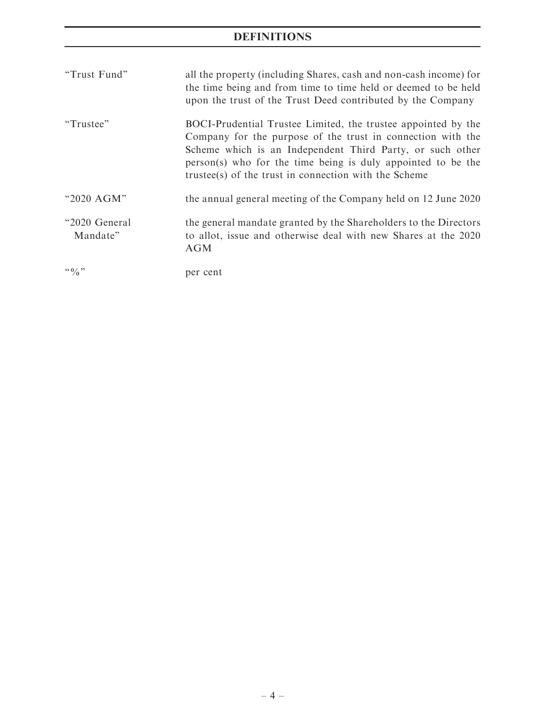# DEFINITIONS

| "Trust Fund"               | all the property (including Shares, cash and non-cash income) for<br>the time being and from time to time held or deemed to be held<br>upon the trust of the Trust Deed contributed by the Company                                                                                                                 |
|----------------------------|--------------------------------------------------------------------------------------------------------------------------------------------------------------------------------------------------------------------------------------------------------------------------------------------------------------------|
| "Trustee"                  | BOCI-Prudential Trustee Limited, the trustee appointed by the<br>Company for the purpose of the trust in connection with the<br>Scheme which is an Independent Third Party, or such other<br>person(s) who for the time being is duly appointed to be the<br>trustee(s) of the trust in connection with the Scheme |
| "2020 AGM"                 | the annual general meeting of the Company held on 12 June 2020                                                                                                                                                                                                                                                     |
| "2020 General"<br>Mandate" | the general mandate granted by the Shareholders to the Directors<br>to allot, issue and otherwise deal with new Shares at the 2020<br><b>AGM</b>                                                                                                                                                                   |
| $\lq\lq 0$ $\lq\lq$        | per cent                                                                                                                                                                                                                                                                                                           |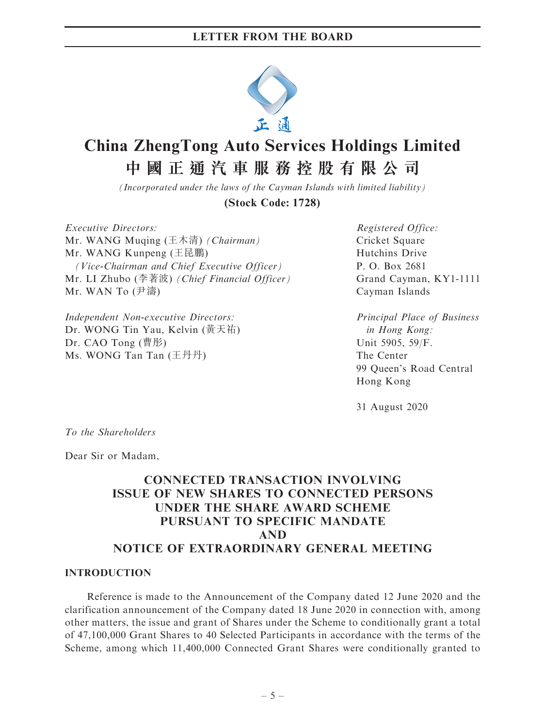

# **China ZhengTong Auto Services Holdings Limited 中國正通汽車服務控股有限公司**

*(Incorporated under the laws of the Cayman Islands with limited liability)*

**(Stock Code: 1728)**

Executive Directors: Mr. WANG Muqing (王木清) (Chairman) Mr. WANG Kunpeng (王昆鵬) (Vice-Chairman and Chief Executive Officer) Mr. LI Zhubo (李著波) (Chief Financial Officer) Mr. WAN To (尹濤)

Independent Non-executive Directors: Dr. WONG Tin Yau, Kelvin (黃天祐) Dr. CAO Tong (曹彤) Ms. WONG Tan Tan (王丹丹)

Registered Office: Cricket Square Hutchins Drive P. O. Box 2681 Grand Cayman, KY1-1111 Cayman Islands

Principal Place of Business in Hong Kong: Unit 5905, 59/F. The Center 99 Queen's Road Central Hong Kong

31 August 2020

To the Shareholders

Dear Sir or Madam,

# CONNECTED TRANSACTION INVOLVING ISSUE OF NEW SHARES TO CONNECTED PERSONS UNDER THE SHARE AWARD SCHEME PURSUANT TO SPECIFIC MANDATE AND NOTICE OF EXTRAORDINARY GENERAL MEETING

#### INTRODUCTION

Reference is made to the Announcement of the Company dated 12 June 2020 and the clarification announcement of the Company dated 18 June 2020 in connection with, among other matters, the issue and grant of Shares under the Scheme to conditionally grant a total of 47,100,000 Grant Shares to 40 Selected Participants in accordance with the terms of the Scheme, among which 11,400,000 Connected Grant Shares were conditionally granted to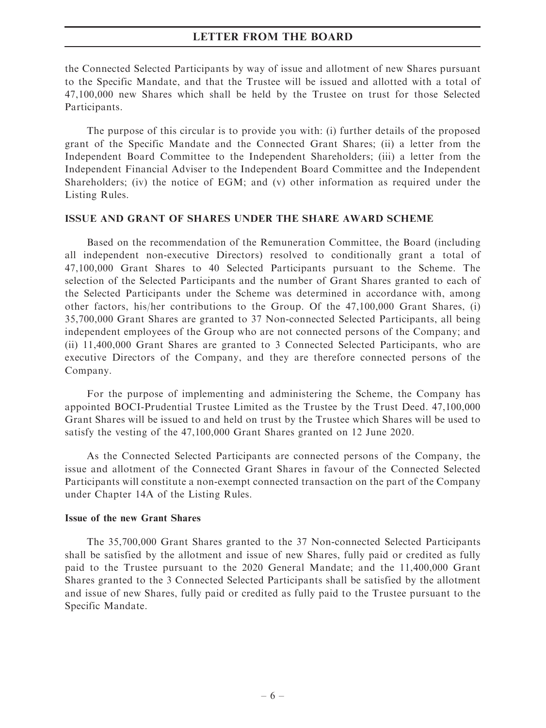the Connected Selected Participants by way of issue and allotment of new Shares pursuant to the Specific Mandate, and that the Trustee will be issued and allotted with a total of 47,100,000 new Shares which shall be held by the Trustee on trust for those Selected Participants.

The purpose of this circular is to provide you with: (i) further details of the proposed grant of the Specific Mandate and the Connected Grant Shares; (ii) a letter from the Independent Board Committee to the Independent Shareholders; (iii) a letter from the Independent Financial Adviser to the Independent Board Committee and the Independent Shareholders; (iv) the notice of EGM; and (v) other information as required under the Listing Rules.

#### ISSUE AND GRANT OF SHARES UNDER THE SHARE AWARD SCHEME

Based on the recommendation of the Remuneration Committee, the Board (including all independent non-executive Directors) resolved to conditionally grant a total of 47,100,000 Grant Shares to 40 Selected Participants pursuant to the Scheme. The selection of the Selected Participants and the number of Grant Shares granted to each of the Selected Participants under the Scheme was determined in accordance with, among other factors, his/her contributions to the Group. Of the 47,100,000 Grant Shares, (i) 35,700,000 Grant Shares are granted to 37 Non-connected Selected Participants, all being independent employees of the Group who are not connected persons of the Company; and (ii) 11,400,000 Grant Shares are granted to 3 Connected Selected Participants, who are executive Directors of the Company, and they are therefore connected persons of the Company.

For the purpose of implementing and administering the Scheme, the Company has appointed BOCI-Prudential Trustee Limited as the Trustee by the Trust Deed. 47,100,000 Grant Shares will be issued to and held on trust by the Trustee which Shares will be used to satisfy the vesting of the 47,100,000 Grant Shares granted on 12 June 2020.

As the Connected Selected Participants are connected persons of the Company, the issue and allotment of the Connected Grant Shares in favour of the Connected Selected Participants will constitute a non-exempt connected transaction on the part of the Company under Chapter 14A of the Listing Rules.

#### Issue of the new Grant Shares

The 35,700,000 Grant Shares granted to the 37 Non-connected Selected Participants shall be satisfied by the allotment and issue of new Shares, fully paid or credited as fully paid to the Trustee pursuant to the 2020 General Mandate; and the 11,400,000 Grant Shares granted to the 3 Connected Selected Participants shall be satisfied by the allotment and issue of new Shares, fully paid or credited as fully paid to the Trustee pursuant to the Specific Mandate.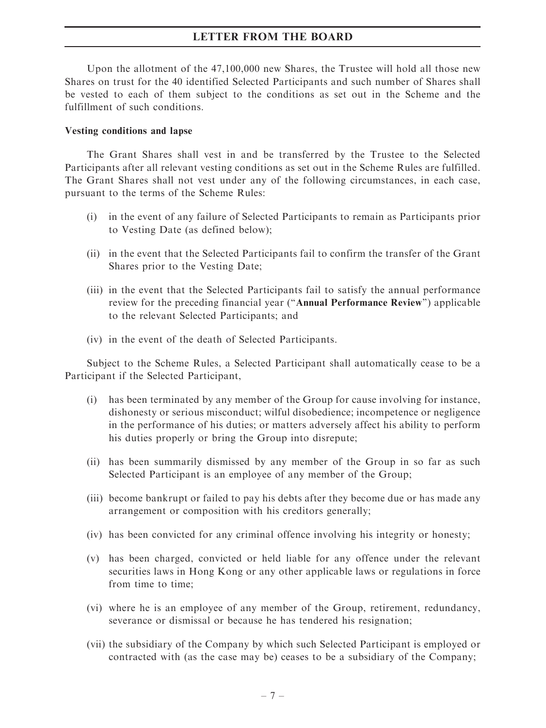Upon the allotment of the 47,100,000 new Shares, the Trustee will hold all those new Shares on trust for the 40 identified Selected Participants and such number of Shares shall be vested to each of them subject to the conditions as set out in the Scheme and the fulfillment of such conditions.

#### Vesting conditions and lapse

The Grant Shares shall vest in and be transferred by the Trustee to the Selected Participants after all relevant vesting conditions as set out in the Scheme Rules are fulfilled. The Grant Shares shall not vest under any of the following circumstances, in each case, pursuant to the terms of the Scheme Rules:

- (i) in the event of any failure of Selected Participants to remain as Participants prior to Vesting Date (as defined below);
- (ii) in the event that the Selected Participants fail to confirm the transfer of the Grant Shares prior to the Vesting Date;
- (iii) in the event that the Selected Participants fail to satisfy the annual performance review for the preceding financial year (''Annual Performance Review'') applicable to the relevant Selected Participants; and
- (iv) in the event of the death of Selected Participants.

Subject to the Scheme Rules, a Selected Participant shall automatically cease to be a Participant if the Selected Participant,

- (i) has been terminated by any member of the Group for cause involving for instance, dishonesty or serious misconduct; wilful disobedience; incompetence or negligence in the performance of his duties; or matters adversely affect his ability to perform his duties properly or bring the Group into disrepute;
- (ii) has been summarily dismissed by any member of the Group in so far as such Selected Participant is an employee of any member of the Group;
- (iii) become bankrupt or failed to pay his debts after they become due or has made any arrangement or composition with his creditors generally;
- (iv) has been convicted for any criminal offence involving his integrity or honesty;
- (v) has been charged, convicted or held liable for any offence under the relevant securities laws in Hong Kong or any other applicable laws or regulations in force from time to time;
- (vi) where he is an employee of any member of the Group, retirement, redundancy, severance or dismissal or because he has tendered his resignation;
- (vii) the subsidiary of the Company by which such Selected Participant is employed or contracted with (as the case may be) ceases to be a subsidiary of the Company;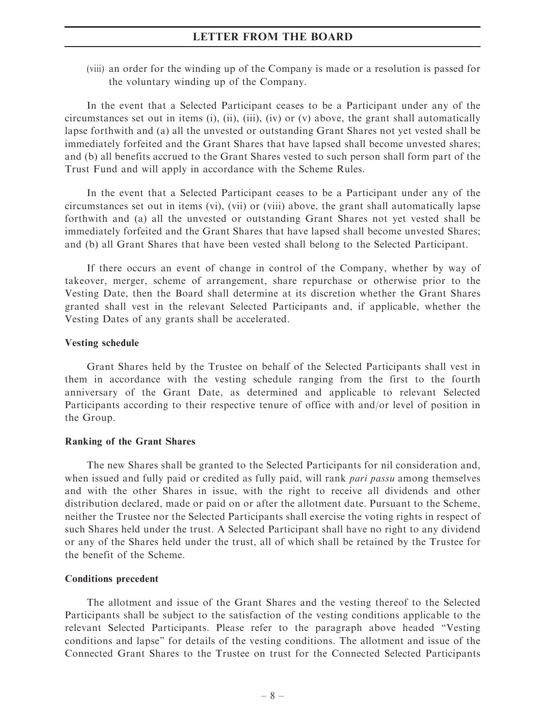(viii) an order for the winding up of the Company is made or a resolution is passed for the voluntary winding up of the Company.

In the event that a Selected Participant ceases to be a Participant under any of the circumstances set out in items (i), (ii), (iii), (iv) or (v) above, the grant shall automatically lapse forthwith and (a) all the unvested or outstanding Grant Shares not yet vested shall be immediately forfeited and the Grant Shares that have lapsed shall become unvested shares; and (b) all benefits accrued to the Grant Shares vested to such person shall form part of the Trust Fund and will apply in accordance with the Scheme Rules.

In the event that a Selected Participant ceases to be a Participant under any of the circumstances set out in items (vi), (vii) or (viii) above, the grant shall automatically lapse forthwith and (a) all the unvested or outstanding Grant Shares not yet vested shall be immediately forfeited and the Grant Shares that have lapsed shall become unvested Shares; and (b) all Grant Shares that have been vested shall belong to the Selected Participant.

If there occurs an event of change in control of the Company, whether by way of takeover, merger, scheme of arrangement, share repurchase or otherwise prior to the Vesting Date, then the Board shall determine at its discretion whether the Grant Shares granted shall vest in the relevant Selected Participants and, if applicable, whether the Vesting Dates of any grants shall be accelerated.

#### Vesting schedule

Grant Shares held by the Trustee on behalf of the Selected Participants shall vest in them in accordance with the vesting schedule ranging from the first to the fourth anniversary of the Grant Date, as determined and applicable to relevant Selected Participants according to their respective tenure of office with and/or level of position in the Group.

#### Ranking of the Grant Shares

The new Shares shall be granted to the Selected Participants for nil consideration and, when issued and fully paid or credited as fully paid, will rank *pari passu* among themselves and with the other Shares in issue, with the right to receive all dividends and other distribution declared, made or paid on or after the allotment date. Pursuant to the Scheme, neither the Trustee nor the Selected Participants shall exercise the voting rights in respect of such Shares held under the trust. A Selected Participant shall have no right to any dividend or any of the Shares held under the trust, all of which shall be retained by the Trustee for the benefit of the Scheme.

#### Conditions precedent

The allotment and issue of the Grant Shares and the vesting thereof to the Selected Participants shall be subject to the satisfaction of the vesting conditions applicable to the relevant Selected Participants. Please refer to the paragraph above headed ''Vesting conditions and lapse'' for details of the vesting conditions. The allotment and issue of the Connected Grant Shares to the Trustee on trust for the Connected Selected Participants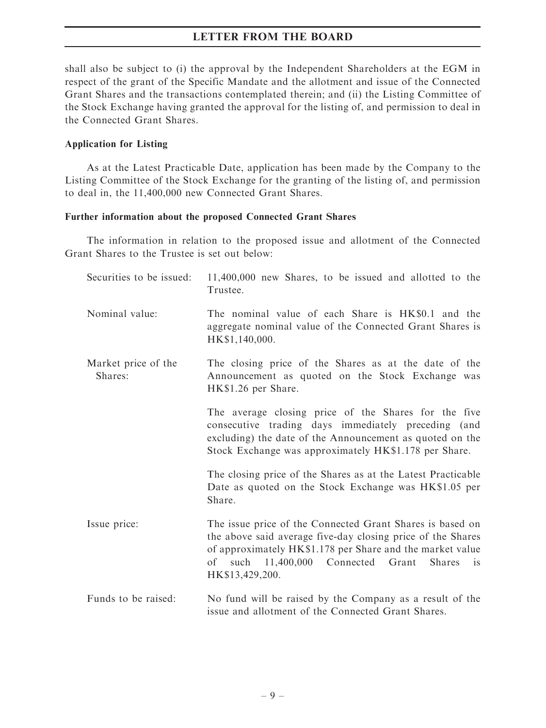shall also be subject to (i) the approval by the Independent Shareholders at the EGM in respect of the grant of the Specific Mandate and the allotment and issue of the Connected Grant Shares and the transactions contemplated therein; and (ii) the Listing Committee of the Stock Exchange having granted the approval for the listing of, and permission to deal in the Connected Grant Shares.

#### Application for Listing

As at the Latest Practicable Date, application has been made by the Company to the Listing Committee of the Stock Exchange for the granting of the listing of, and permission to deal in, the 11,400,000 new Connected Grant Shares.

#### Further information about the proposed Connected Grant Shares

The information in relation to the proposed issue and allotment of the Connected Grant Shares to the Trustee is set out below:

| Securities to be issued:       | 11,400,000 new Shares, to be issued and allotted to the<br>Trustee.                                                                                                                                                                                                          |
|--------------------------------|------------------------------------------------------------------------------------------------------------------------------------------------------------------------------------------------------------------------------------------------------------------------------|
| Nominal value:                 | The nominal value of each Share is HK\$0.1 and the<br>aggregate nominal value of the Connected Grant Shares is<br>HK\$1,140,000.                                                                                                                                             |
| Market price of the<br>Shares: | The closing price of the Shares as at the date of the<br>Announcement as quoted on the Stock Exchange was<br>HK\$1.26 per Share.                                                                                                                                             |
|                                | The average closing price of the Shares for the five<br>consecutive trading days immediately preceding (and<br>excluding) the date of the Announcement as quoted on the<br>Stock Exchange was approximately HK\$1.178 per Share.                                             |
|                                | The closing price of the Shares as at the Latest Practicable<br>Date as quoted on the Stock Exchange was HK\$1.05 per<br>Share.                                                                                                                                              |
| Issue price:                   | The issue price of the Connected Grant Shares is based on<br>the above said average five-day closing price of the Shares<br>of approximately HK\$1.178 per Share and the market value<br>of such 11,400,000 Connected Grant<br><b>Shares</b><br><b>1S</b><br>HK\$13,429,200. |
| Funds to be raised:            | No fund will be raised by the Company as a result of the<br>issue and allotment of the Connected Grant Shares.                                                                                                                                                               |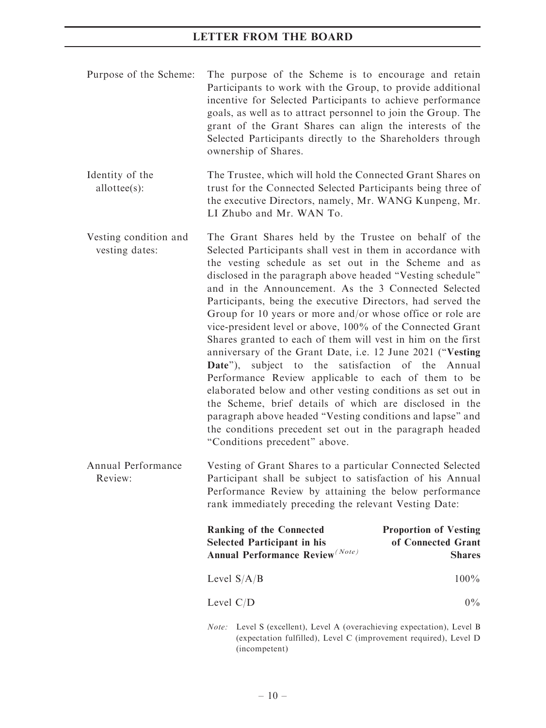- Purpose of the Scheme: The purpose of the Scheme is to encourage and retain Participants to work with the Group, to provide additional incentive for Selected Participants to achieve performance goals, as well as to attract personnel to join the Group. The grant of the Grant Shares can align the interests of the Selected Participants directly to the Shareholders through ownership of Shares.
- Identity of the allottee(s): The Trustee, which will hold the Connected Grant Shares on trust for the Connected Selected Participants being three of the executive Directors, namely, Mr. WANG Kunpeng, Mr. LI Zhubo and Mr. WAN To.
- Vesting condition and vesting dates: The Grant Shares held by the Trustee on behalf of the Selected Participants shall vest in them in accordance with the vesting schedule as set out in the Scheme and as disclosed in the paragraph above headed ''Vesting schedule'' and in the Announcement. As the 3 Connected Selected Participants, being the executive Directors, had served the Group for 10 years or more and/or whose office or role are vice-president level or above, 100% of the Connected Grant Shares granted to each of them will vest in him on the first anniversary of the Grant Date, i.e. 12 June 2021 (''Vesting Date"), subject to the satisfaction of the Annual Performance Review applicable to each of them to be elaborated below and other vesting conditions as set out in the Scheme, brief details of which are disclosed in the paragraph above headed ''Vesting conditions and lapse'' and the conditions precedent set out in the paragraph headed ''Conditions precedent'' above.
- Annual Performance Review: Vesting of Grant Shares to a particular Connected Selected Participant shall be subject to satisfaction of his Annual Performance Review by attaining the below performance rank immediately preceding the relevant Vesting Date:

| <b>Ranking of the Connected</b><br><b>Selected Participant in his</b><br><b>Annual Performance Review</b> <sup>(Note)</sup>                 | <b>Proportion of Vesting</b><br>of Connected Grant<br><b>Shares</b> |
|---------------------------------------------------------------------------------------------------------------------------------------------|---------------------------------------------------------------------|
| Level $S/A/B$                                                                                                                               | $100\%$                                                             |
| Level $C/D$                                                                                                                                 | $0\%$                                                               |
| Note: Level S (excellent), Level A (overachieving expectation), Level B<br>(expectation fulfilled), Level C (improvement required), Level D |                                                                     |

(incompetent)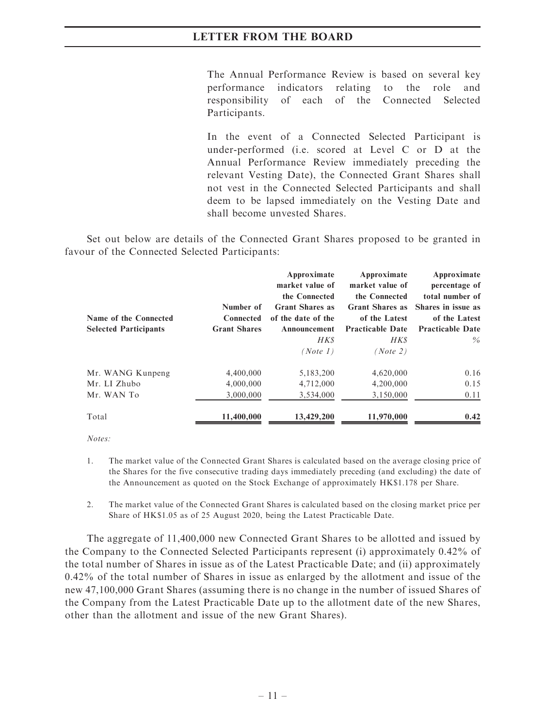The Annual Performance Review is based on several key performance indicators relating to the role and responsibility of each of the Connected Selected Participants.

In the event of a Connected Selected Participant is under-performed (i.e. scored at Level C or D at the Annual Performance Review immediately preceding the relevant Vesting Date), the Connected Grant Shares shall not vest in the Connected Selected Participants and shall deem to be lapsed immediately on the Vesting Date and shall become unvested Shares.

Set out below are details of the Connected Grant Shares proposed to be granted in favour of the Connected Selected Participants:

| Name of the Connected<br><b>Selected Participants</b> | Number of<br>Connected<br><b>Grant Shares</b> | Approximate<br>market value of<br>the Connected<br><b>Grant Shares as</b><br>of the date of the<br>Announcement<br><b>HKS</b><br>(Note 1) | Approximate<br>market value of<br>the Connected<br><b>Grant Shares as</b><br>of the Latest<br><b>Practicable Date</b><br>HK\$<br>(Note 2) | Approximate<br>percentage of<br>total number of<br>Shares in issue as<br>of the Latest<br><b>Practicable Date</b><br>$\%$ |
|-------------------------------------------------------|-----------------------------------------------|-------------------------------------------------------------------------------------------------------------------------------------------|-------------------------------------------------------------------------------------------------------------------------------------------|---------------------------------------------------------------------------------------------------------------------------|
| Mr. WANG Kunpeng                                      | 4,400,000                                     | 5,183,200                                                                                                                                 | 4,620,000                                                                                                                                 | 0.16                                                                                                                      |
| Mr. LI Zhubo                                          | 4,000,000                                     | 4,712,000                                                                                                                                 | 4,200,000                                                                                                                                 | 0.15                                                                                                                      |
| Mr. WAN To                                            | 3,000,000                                     | 3,534,000                                                                                                                                 | 3,150,000                                                                                                                                 | 0.11                                                                                                                      |
| Total                                                 | 11,400,000                                    | 13,429,200                                                                                                                                | 11,970,000                                                                                                                                | 0.42                                                                                                                      |

 $Notes:$ 

- 1. The market value of the Connected Grant Shares is calculated based on the average closing price of the Shares for the five consecutive trading days immediately preceding (and excluding) the date of the Announcement as quoted on the Stock Exchange of approximately HK\$1.178 per Share.
- 2. The market value of the Connected Grant Shares is calculated based on the closing market price per Share of HK\$1.05 as of 25 August 2020, being the Latest Practicable Date.

The aggregate of 11,400,000 new Connected Grant Shares to be allotted and issued by the Company to the Connected Selected Participants represent (i) approximately 0.42% of the total number of Shares in issue as of the Latest Practicable Date; and (ii) approximately 0.42% of the total number of Shares in issue as enlarged by the allotment and issue of the new 47,100,000 Grant Shares (assuming there is no change in the number of issued Shares of the Company from the Latest Practicable Date up to the allotment date of the new Shares, other than the allotment and issue of the new Grant Shares).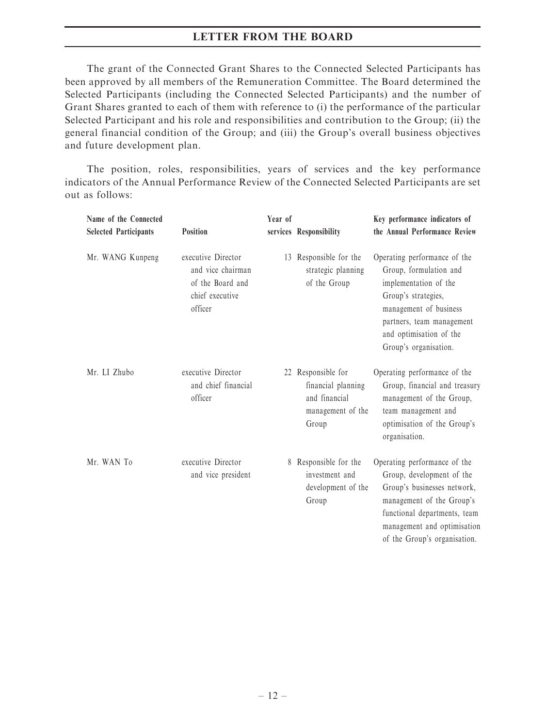The grant of the Connected Grant Shares to the Connected Selected Participants has been approved by all members of the Remuneration Committee. The Board determined the Selected Participants (including the Connected Selected Participants) and the number of Grant Shares granted to each of them with reference to (i) the performance of the particular Selected Participant and his role and responsibilities and contribution to the Group; (ii) the general financial condition of the Group; and (iii) the Group's overall business objectives and future development plan.

The position, roles, responsibilities, years of services and the key performance indicators of the Annual Performance Review of the Connected Selected Participants are set out as follows:

| Name of the Connected<br><b>Selected Participants</b> | Position                                                                                  | Year of | services Responsibility                                                                 | Key performance indicators of<br>the Annual Performance Review                                                                                                                                                       |
|-------------------------------------------------------|-------------------------------------------------------------------------------------------|---------|-----------------------------------------------------------------------------------------|----------------------------------------------------------------------------------------------------------------------------------------------------------------------------------------------------------------------|
| Mr. WANG Kunpeng                                      | executive Director<br>and vice chairman<br>of the Board and<br>chief executive<br>officer |         | 13 Responsible for the<br>strategic planning<br>of the Group                            | Operating performance of the<br>Group, formulation and<br>implementation of the<br>Group's strategies,<br>management of business<br>partners, team management<br>and optimisation of the<br>Group's organisation.    |
| Mr. LI Zhubo                                          | executive Director<br>and chief financial<br>officer                                      |         | 22 Responsible for<br>financial planning<br>and financial<br>management of the<br>Group | Operating performance of the<br>Group, financial and treasury<br>management of the Group,<br>team management and<br>optimisation of the Group's<br>organisation.                                                     |
| Mr. WAN To                                            | executive Director<br>and vice president                                                  |         | 8 Responsible for the<br>investment and<br>development of the<br>Group                  | Operating performance of the<br>Group, development of the<br>Group's businesses network,<br>management of the Group's<br>functional departments, team<br>management and optimisation<br>of the Group's organisation. |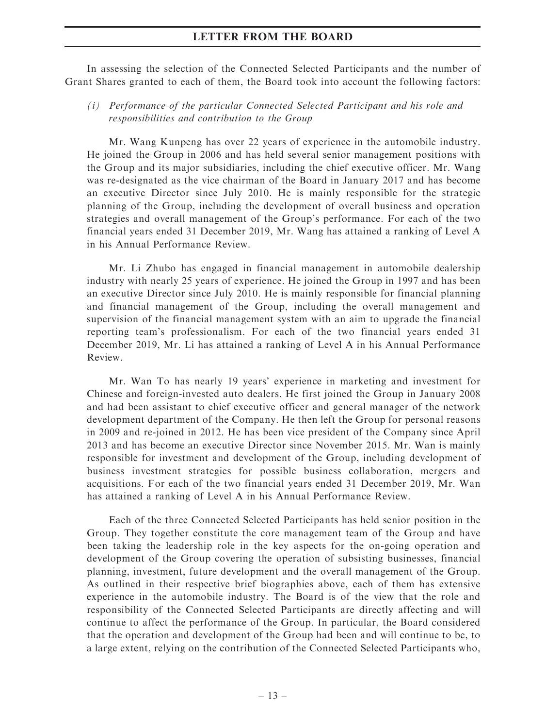In assessing the selection of the Connected Selected Participants and the number of Grant Shares granted to each of them, the Board took into account the following factors:

(i) Performance of the particular Connected Selected Participant and his role and responsibilities and contribution to the Group

Mr. Wang Kunpeng has over 22 years of experience in the automobile industry. He joined the Group in 2006 and has held several senior management positions with the Group and its major subsidiaries, including the chief executive officer. Mr. Wang was re-designated as the vice chairman of the Board in January 2017 and has become an executive Director since July 2010. He is mainly responsible for the strategic planning of the Group, including the development of overall business and operation strategies and overall management of the Group's performance. For each of the two financial years ended 31 December 2019, Mr. Wang has attained a ranking of Level A in his Annual Performance Review.

Mr. Li Zhubo has engaged in financial management in automobile dealership industry with nearly 25 years of experience. He joined the Group in 1997 and has been an executive Director since July 2010. He is mainly responsible for financial planning and financial management of the Group, including the overall management and supervision of the financial management system with an aim to upgrade the financial reporting team's professionalism. For each of the two financial years ended 31 December 2019, Mr. Li has attained a ranking of Level A in his Annual Performance Review.

Mr. Wan To has nearly 19 years' experience in marketing and investment for Chinese and foreign-invested auto dealers. He first joined the Group in January 2008 and had been assistant to chief executive officer and general manager of the network development department of the Company. He then left the Group for personal reasons in 2009 and re-joined in 2012. He has been vice president of the Company since April 2013 and has become an executive Director since November 2015. Mr. Wan is mainly responsible for investment and development of the Group, including development of business investment strategies for possible business collaboration, mergers and acquisitions. For each of the two financial years ended 31 December 2019, Mr. Wan has attained a ranking of Level A in his Annual Performance Review.

Each of the three Connected Selected Participants has held senior position in the Group. They together constitute the core management team of the Group and have been taking the leadership role in the key aspects for the on-going operation and development of the Group covering the operation of subsisting businesses, financial planning, investment, future development and the overall management of the Group. As outlined in their respective brief biographies above, each of them has extensive experience in the automobile industry. The Board is of the view that the role and responsibility of the Connected Selected Participants are directly affecting and will continue to affect the performance of the Group. In particular, the Board considered that the operation and development of the Group had been and will continue to be, to a large extent, relying on the contribution of the Connected Selected Participants who,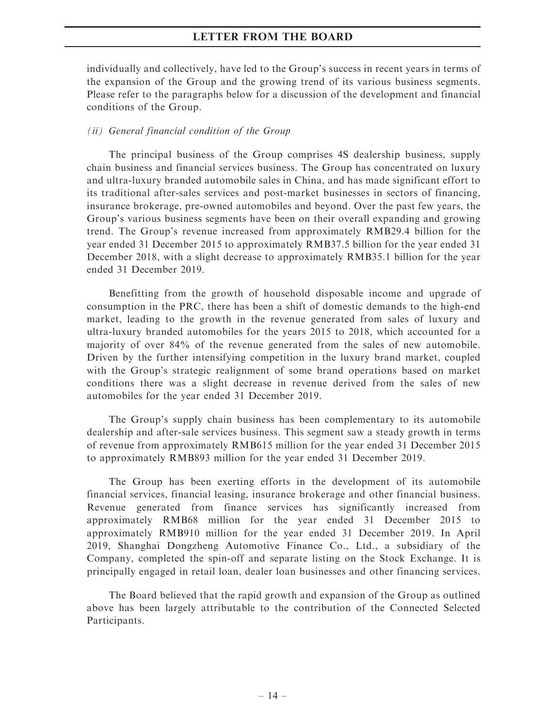individually and collectively, have led to the Group's success in recent years in terms of the expansion of the Group and the growing trend of its various business segments. Please refer to the paragraphs below for a discussion of the development and financial conditions of the Group.

#### (ii) General financial condition of the Group

The principal business of the Group comprises 4S dealership business, supply chain business and financial services business. The Group has concentrated on luxury and ultra-luxury branded automobile sales in China, and has made significant effort to its traditional after-sales services and post-market businesses in sectors of financing, insurance brokerage, pre-owned automobiles and beyond. Over the past few years, the Group's various business segments have been on their overall expanding and growing trend. The Group's revenue increased from approximately RMB29.4 billion for the year ended 31 December 2015 to approximately RMB37.5 billion for the year ended 31 December 2018, with a slight decrease to approximately RMB35.1 billion for the year ended 31 December 2019.

Benefitting from the growth of household disposable income and upgrade of consumption in the PRC, there has been a shift of domestic demands to the high-end market, leading to the growth in the revenue generated from sales of luxury and ultra-luxury branded automobiles for the years 2015 to 2018, which accounted for a majority of over 84% of the revenue generated from the sales of new automobile. Driven by the further intensifying competition in the luxury brand market, coupled with the Group's strategic realignment of some brand operations based on market conditions there was a slight decrease in revenue derived from the sales of new automobiles for the year ended 31 December 2019.

The Group's supply chain business has been complementary to its automobile dealership and after-sale services business. This segment saw a steady growth in terms of revenue from approximately RMB615 million for the year ended 31 December 2015 to approximately RMB893 million for the year ended 31 December 2019.

The Group has been exerting efforts in the development of its automobile financial services, financial leasing, insurance brokerage and other financial business. Revenue generated from finance services has significantly increased from approximately RMB68 million for the year ended 31 December 2015 to approximately RMB910 million for the year ended 31 December 2019. In April 2019, Shanghai Dongzheng Automotive Finance Co., Ltd., a subsidiary of the Company, completed the spin-off and separate listing on the Stock Exchange. It is principally engaged in retail loan, dealer loan businesses and other financing services.

The Board believed that the rapid growth and expansion of the Group as outlined above has been largely attributable to the contribution of the Connected Selected Participants.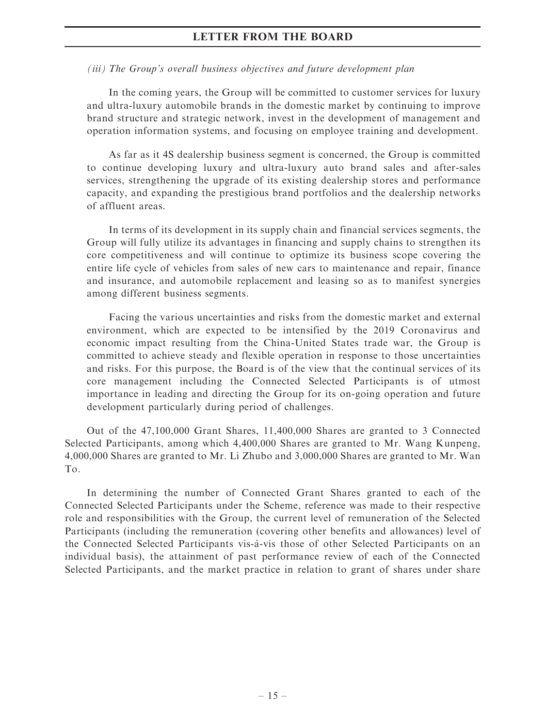#### (iii) The Group's overall business objectives and future development plan

In the coming years, the Group will be committed to customer services for luxury and ultra-luxury automobile brands in the domestic market by continuing to improve brand structure and strategic network, invest in the development of management and operation information systems, and focusing on employee training and development.

As far as it 4S dealership business segment is concerned, the Group is committed to continue developing luxury and ultra-luxury auto brand sales and after-sales services, strengthening the upgrade of its existing dealership stores and performance capacity, and expanding the prestigious brand portfolios and the dealership networks of affluent areas.

In terms of its development in its supply chain and financial services segments, the Group will fully utilize its advantages in financing and supply chains to strengthen its core competitiveness and will continue to optimize its business scope covering the entire life cycle of vehicles from sales of new cars to maintenance and repair, finance and insurance, and automobile replacement and leasing so as to manifest synergies among different business segments.

Facing the various uncertainties and risks from the domestic market and external environment, which are expected to be intensified by the 2019 Coronavirus and economic impact resulting from the China-United States trade war, the Group is committed to achieve steady and flexible operation in response to those uncertainties and risks. For this purpose, the Board is of the view that the continual services of its core management including the Connected Selected Participants is of utmost importance in leading and directing the Group for its on-going operation and future development particularly during period of challenges.

Out of the 47,100,000 Grant Shares, 11,400,000 Shares are granted to 3 Connected Selected Participants, among which 4,400,000 Shares are granted to Mr. Wang Kunpeng, 4,000,000 Shares are granted to Mr. Li Zhubo and 3,000,000 Shares are granted to Mr. Wan To.

In determining the number of Connected Grant Shares granted to each of the Connected Selected Participants under the Scheme, reference was made to their respective role and responsibilities with the Group, the current level of remuneration of the Selected Participants (including the remuneration (covering other benefits and allowances) level of the Connected Selected Participants vis-a`-vis those of other Selected Participants on an individual basis), the attainment of past performance review of each of the Connected Selected Participants, and the market practice in relation to grant of shares under share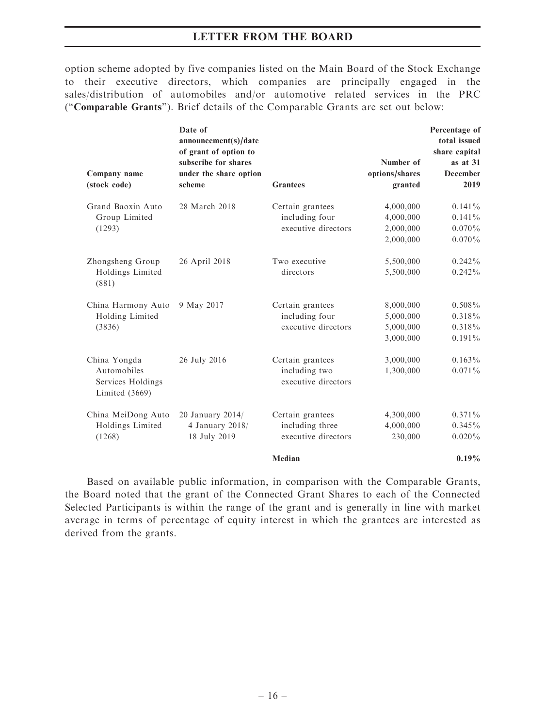option scheme adopted by five companies listed on the Main Board of the Stock Exchange to their executive directors, which companies are principally engaged in the sales/distribution of automobiles and/or automotive related services in the PRC (''Comparable Grants''). Brief details of the Comparable Grants are set out below:

|                                                                      | Date of<br>announcement(s)/date<br>of grant of option to |                                                            |                                                  | Percentage of<br>total issued<br>share capital   |
|----------------------------------------------------------------------|----------------------------------------------------------|------------------------------------------------------------|--------------------------------------------------|--------------------------------------------------|
| Company name<br>(stock code)                                         | subscribe for shares<br>under the share option<br>scheme | <b>Grantees</b>                                            | Number of<br>options/shares<br>granted           | as at $31$<br><b>December</b><br>2019            |
| Grand Baoxin Auto<br>Group Limited<br>(1293)                         | 28 March 2018                                            | Certain grantees<br>including four<br>executive directors  | 4,000,000<br>4,000,000<br>2,000,000<br>2,000,000 | $0.141\%$<br>$0.141\%$<br>$0.070\%$<br>$0.070\%$ |
| Zhongsheng Group<br>Holdings Limited<br>(881)                        | 26 April 2018                                            | Two executive<br>directors                                 | 5,500,000<br>5,500,000                           | $0.242\%$<br>$0.242\%$                           |
| China Harmony Auto<br>Holding Limited<br>(3836)                      | 9 May 2017                                               | Certain grantees<br>including four<br>executive directors  | 8,000,000<br>5,000,000<br>5,000,000<br>3,000,000 | $0.508\%$<br>$0.318\%$<br>$0.318\%$<br>$0.191\%$ |
| China Yongda<br>Automobiles<br>Services Holdings<br>Limited $(3669)$ | 26 July 2016                                             | Certain grantees<br>including two<br>executive directors   | 3,000,000<br>1,300,000                           | $0.163\%$<br>$0.071\%$                           |
| China MeiDong Auto<br>Holdings Limited<br>(1268)                     | 20 January 2014/<br>4 January 2018/<br>18 July 2019      | Certain grantees<br>including three<br>executive directors | 4,300,000<br>4,000,000<br>230,000                | $0.371\%$<br>$0.345\%$<br>$0.020\%$              |
|                                                                      |                                                          | Median                                                     |                                                  | 0.19%                                            |

Based on available public information, in comparison with the Comparable Grants, the Board noted that the grant of the Connected Grant Shares to each of the Connected Selected Participants is within the range of the grant and is generally in line with market average in terms of percentage of equity interest in which the grantees are interested as derived from the grants.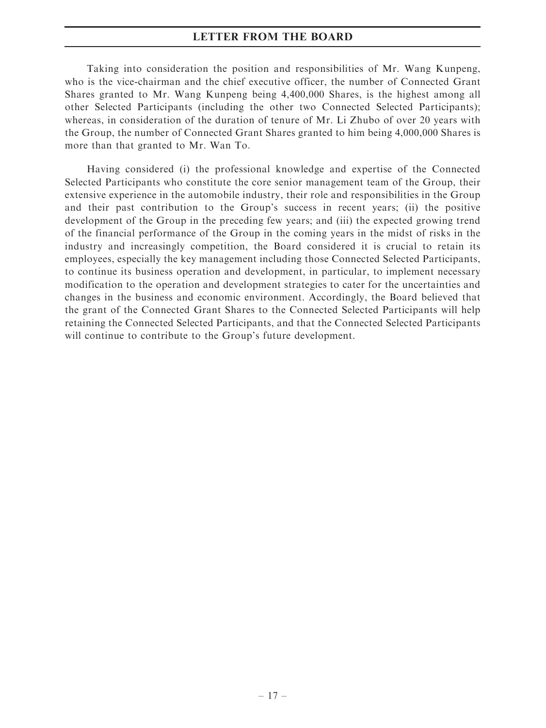Taking into consideration the position and responsibilities of Mr. Wang Kunpeng, who is the vice-chairman and the chief executive officer, the number of Connected Grant Shares granted to Mr. Wang Kunpeng being 4,400,000 Shares, is the highest among all other Selected Participants (including the other two Connected Selected Participants); whereas, in consideration of the duration of tenure of Mr. Li Zhubo of over 20 years with the Group, the number of Connected Grant Shares granted to him being 4,000,000 Shares is more than that granted to Mr. Wan To.

Having considered (i) the professional knowledge and expertise of the Connected Selected Participants who constitute the core senior management team of the Group, their extensive experience in the automobile industry, their role and responsibilities in the Group and their past contribution to the Group's success in recent years; (ii) the positive development of the Group in the preceding few years; and (iii) the expected growing trend of the financial performance of the Group in the coming years in the midst of risks in the industry and increasingly competition, the Board considered it is crucial to retain its employees, especially the key management including those Connected Selected Participants, to continue its business operation and development, in particular, to implement necessary modification to the operation and development strategies to cater for the uncertainties and changes in the business and economic environment. Accordingly, the Board believed that the grant of the Connected Grant Shares to the Connected Selected Participants will help retaining the Connected Selected Participants, and that the Connected Selected Participants will continue to contribute to the Group's future development.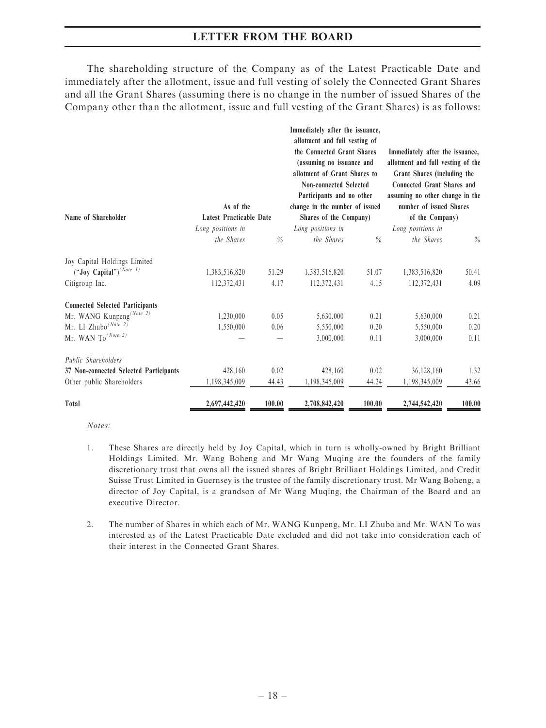The shareholding structure of the Company as of the Latest Practicable Date and immediately after the allotment, issue and full vesting of solely the Connected Grant Shares and all the Grant Shares (assuming there is no change in the number of issued Shares of the Company other than the allotment, issue and full vesting of the Grant Shares) is as follows:

| Name of Shareholder                    | Immediately after the issuance,<br>allotment and full vesting of<br>the Connected Grant Shares<br>(assuming no issuance and<br>allotment of Grant Shares to<br><b>Non-connected Selected</b><br>Participants and no other<br>As of the<br>change in the number of issued<br>Latest Practicable Date<br>Shares of the Company) |        | Immediately after the issuance,<br>allotment and full vesting of the<br>Grant Shares (including the<br><b>Connected Grant Shares and</b><br>assuming no other change in the<br>number of issued Shares<br>of the Company) |               |                   |        |
|----------------------------------------|-------------------------------------------------------------------------------------------------------------------------------------------------------------------------------------------------------------------------------------------------------------------------------------------------------------------------------|--------|---------------------------------------------------------------------------------------------------------------------------------------------------------------------------------------------------------------------------|---------------|-------------------|--------|
|                                        | Long positions in                                                                                                                                                                                                                                                                                                             |        | Long positions in                                                                                                                                                                                                         |               | Long positions in |        |
|                                        | the Shares                                                                                                                                                                                                                                                                                                                    | $\%$   | the Shares                                                                                                                                                                                                                | $\frac{0}{0}$ | the Shares        | $\%$   |
| Joy Capital Holdings Limited           |                                                                                                                                                                                                                                                                                                                               |        |                                                                                                                                                                                                                           |               |                   |        |
| $("Joy Capital")^{(Note I)}$           | 1,383,516,820                                                                                                                                                                                                                                                                                                                 | 51.29  | 1,383,516,820                                                                                                                                                                                                             | 51.07         | 1,383,516,820     | 50.41  |
| Citigroup Inc.                         | 112,372,431                                                                                                                                                                                                                                                                                                                   | 4.17   | 112,372,431                                                                                                                                                                                                               | 4.15          | 112,372,431       | 4.09   |
| <b>Connected Selected Participants</b> |                                                                                                                                                                                                                                                                                                                               |        |                                                                                                                                                                                                                           |               |                   |        |
| Mr. WANG Kunpeng <sup>(Note 2)</sup>   | 1,230,000                                                                                                                                                                                                                                                                                                                     | 0.05   | 5,630,000                                                                                                                                                                                                                 | 0.21          | 5,630,000         | 0.21   |
| Mr. LI Zhubo <sup>(Note 2)</sup>       | 1,550,000                                                                                                                                                                                                                                                                                                                     | 0.06   | 5,550,000                                                                                                                                                                                                                 | 0.20          | 5,550,000         | 0.20   |
| Mr. WAN $To^{(Note 2)}$                |                                                                                                                                                                                                                                                                                                                               |        | 3,000,000                                                                                                                                                                                                                 | 0.11          | 3,000,000         | 0.11   |
| Public Shareholders                    |                                                                                                                                                                                                                                                                                                                               |        |                                                                                                                                                                                                                           |               |                   |        |
| 37 Non-connected Selected Participants | 428,160                                                                                                                                                                                                                                                                                                                       | 0.02   | 428,160                                                                                                                                                                                                                   | 0.02          | 36,128,160        | 1.32   |
| Other public Shareholders              | 1,198,345,009                                                                                                                                                                                                                                                                                                                 | 44.43  | 1,198,345,009                                                                                                                                                                                                             | 44.24         | 1,198,345,009     | 43.66  |
| Total                                  | 2,697,442,420                                                                                                                                                                                                                                                                                                                 | 100.00 | 2,708,842,420                                                                                                                                                                                                             | 100.00        | 2,744,542,420     | 100.00 |

Notes:

- 1. These Shares are directly held by Joy Capital, which in turn is wholly-owned by Bright Brilliant Holdings Limited. Mr. Wang Boheng and Mr Wang Muqing are the founders of the family discretionary trust that owns all the issued shares of Bright Brilliant Holdings Limited, and Credit Suisse Trust Limited in Guernsey is the trustee of the family discretionary trust. Mr Wang Boheng, a director of Joy Capital, is a grandson of Mr Wang Muqing, the Chairman of the Board and an executive Director.
- 2. The number of Shares in which each of Mr. WANG Kunpeng, Mr. LI Zhubo and Mr. WAN To was interested as of the Latest Practicable Date excluded and did not take into consideration each of their interest in the Connected Grant Shares.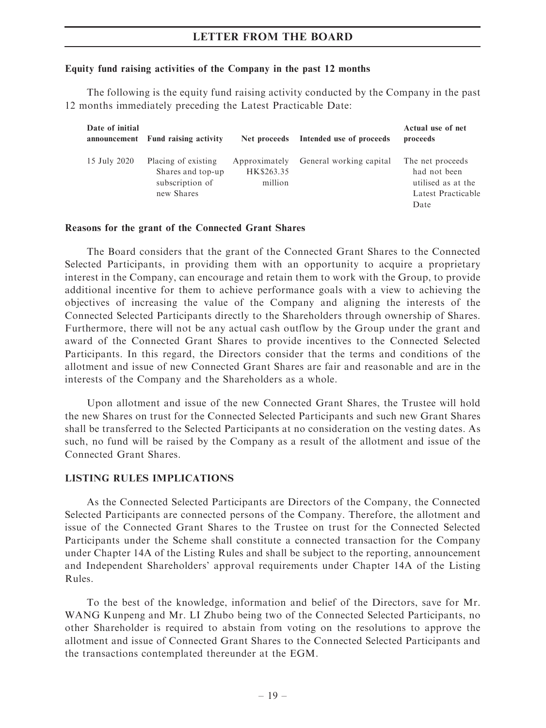#### Equity fund raising activities of the Company in the past 12 months

The following is the equity fund raising activity conducted by the Company in the past 12 months immediately preceding the Latest Practicable Date:

| Date of initial | announcement Fund raising activity                                        | Net proceeds                           | Intended use of proceeds | Actual use of net<br>proceeds                                                        |
|-----------------|---------------------------------------------------------------------------|----------------------------------------|--------------------------|--------------------------------------------------------------------------------------|
| 15 July 2020    | Placing of existing<br>Shares and top-up<br>subscription of<br>new Shares | Approximately<br>HK\$263.35<br>million | General working capital  | The net proceeds<br>had not been<br>utilised as at the<br>Latest Practicable<br>Date |

#### Reasons for the grant of the Connected Grant Shares

The Board considers that the grant of the Connected Grant Shares to the Connected Selected Participants, in providing them with an opportunity to acquire a proprietary interest in the Company, can encourage and retain them to work with the Group, to provide additional incentive for them to achieve performance goals with a view to achieving the objectives of increasing the value of the Company and aligning the interests of the Connected Selected Participants directly to the Shareholders through ownership of Shares. Furthermore, there will not be any actual cash outflow by the Group under the grant and award of the Connected Grant Shares to provide incentives to the Connected Selected Participants. In this regard, the Directors consider that the terms and conditions of the allotment and issue of new Connected Grant Shares are fair and reasonable and are in the interests of the Company and the Shareholders as a whole.

Upon allotment and issue of the new Connected Grant Shares, the Trustee will hold the new Shares on trust for the Connected Selected Participants and such new Grant Shares shall be transferred to the Selected Participants at no consideration on the vesting dates. As such, no fund will be raised by the Company as a result of the allotment and issue of the Connected Grant Shares.

#### LISTING RULES IMPLICATIONS

As the Connected Selected Participants are Directors of the Company, the Connected Selected Participants are connected persons of the Company. Therefore, the allotment and issue of the Connected Grant Shares to the Trustee on trust for the Connected Selected Participants under the Scheme shall constitute a connected transaction for the Company under Chapter 14A of the Listing Rules and shall be subject to the reporting, announcement and Independent Shareholders' approval requirements under Chapter 14A of the Listing Rules.

To the best of the knowledge, information and belief of the Directors, save for Mr. WANG Kunpeng and Mr. LI Zhubo being two of the Connected Selected Participants, no other Shareholder is required to abstain from voting on the resolutions to approve the allotment and issue of Connected Grant Shares to the Connected Selected Participants and the transactions contemplated thereunder at the EGM.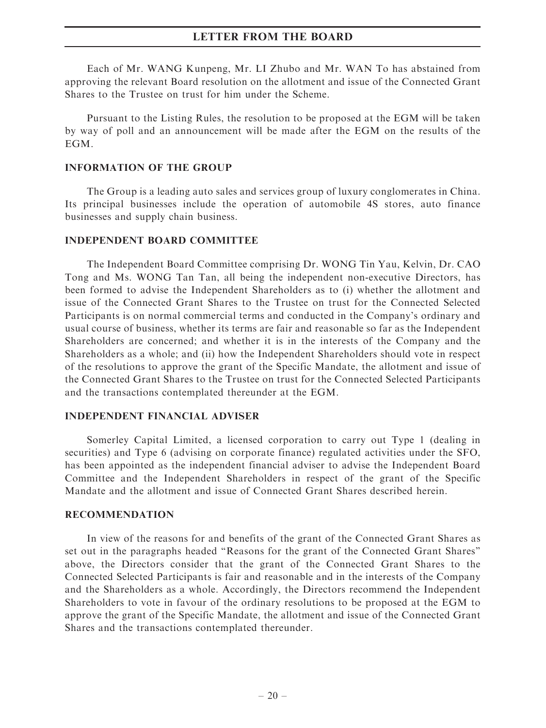Each of Mr. WANG Kunpeng, Mr. LI Zhubo and Mr. WAN To has abstained from approving the relevant Board resolution on the allotment and issue of the Connected Grant Shares to the Trustee on trust for him under the Scheme.

Pursuant to the Listing Rules, the resolution to be proposed at the EGM will be taken by way of poll and an announcement will be made after the EGM on the results of the EGM.

#### INFORMATION OF THE GROUP

The Group is a leading auto sales and services group of luxury conglomerates in China. Its principal businesses include the operation of automobile 4S stores, auto finance businesses and supply chain business.

#### INDEPENDENT BOARD COMMITTEE

The Independent Board Committee comprising Dr. WONG Tin Yau, Kelvin, Dr. CAO Tong and Ms. WONG Tan Tan, all being the independent non-executive Directors, has been formed to advise the Independent Shareholders as to (i) whether the allotment and issue of the Connected Grant Shares to the Trustee on trust for the Connected Selected Participants is on normal commercial terms and conducted in the Company's ordinary and usual course of business, whether its terms are fair and reasonable so far as the Independent Shareholders are concerned; and whether it is in the interests of the Company and the Shareholders as a whole; and (ii) how the Independent Shareholders should vote in respect of the resolutions to approve the grant of the Specific Mandate, the allotment and issue of the Connected Grant Shares to the Trustee on trust for the Connected Selected Participants and the transactions contemplated thereunder at the EGM.

#### INDEPENDENT FINANCIAL ADVISER

Somerley Capital Limited, a licensed corporation to carry out Type 1 (dealing in securities) and Type 6 (advising on corporate finance) regulated activities under the SFO, has been appointed as the independent financial adviser to advise the Independent Board Committee and the Independent Shareholders in respect of the grant of the Specific Mandate and the allotment and issue of Connected Grant Shares described herein.

#### RECOMMENDATION

In view of the reasons for and benefits of the grant of the Connected Grant Shares as set out in the paragraphs headed ''Reasons for the grant of the Connected Grant Shares'' above, the Directors consider that the grant of the Connected Grant Shares to the Connected Selected Participants is fair and reasonable and in the interests of the Company and the Shareholders as a whole. Accordingly, the Directors recommend the Independent Shareholders to vote in favour of the ordinary resolutions to be proposed at the EGM to approve the grant of the Specific Mandate, the allotment and issue of the Connected Grant Shares and the transactions contemplated thereunder.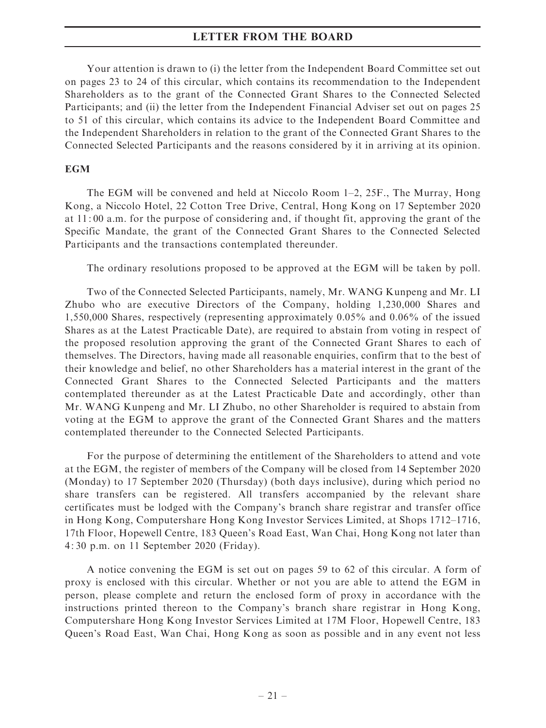Your attention is drawn to (i) the letter from the Independent Board Committee set out on pages 23 to 24 of this circular, which contains its recommendation to the Independent Shareholders as to the grant of the Connected Grant Shares to the Connected Selected Participants; and (ii) the letter from the Independent Financial Adviser set out on pages 25 to 51 of this circular, which contains its advice to the Independent Board Committee and the Independent Shareholders in relation to the grant of the Connected Grant Shares to the Connected Selected Participants and the reasons considered by it in arriving at its opinion.

#### **EGM**

The EGM will be convened and held at Niccolo Room 1–2, 25F., The Murray, Hong Kong, a Niccolo Hotel, 22 Cotton Tree Drive, Central, Hong Kong on 17 September 2020 at 11: 00 a.m. for the purpose of considering and, if thought fit, approving the grant of the Specific Mandate, the grant of the Connected Grant Shares to the Connected Selected Participants and the transactions contemplated thereunder.

The ordinary resolutions proposed to be approved at the EGM will be taken by poll.

Two of the Connected Selected Participants, namely, Mr. WANG Kunpeng and Mr. LI Zhubo who are executive Directors of the Company, holding 1,230,000 Shares and 1,550,000 Shares, respectively (representing approximately 0.05% and 0.06% of the issued Shares as at the Latest Practicable Date), are required to abstain from voting in respect of the proposed resolution approving the grant of the Connected Grant Shares to each of themselves. The Directors, having made all reasonable enquiries, confirm that to the best of their knowledge and belief, no other Shareholders has a material interest in the grant of the Connected Grant Shares to the Connected Selected Participants and the matters contemplated thereunder as at the Latest Practicable Date and accordingly, other than Mr. WANG Kunpeng and Mr. LI Zhubo, no other Shareholder is required to abstain from voting at the EGM to approve the grant of the Connected Grant Shares and the matters contemplated thereunder to the Connected Selected Participants.

For the purpose of determining the entitlement of the Shareholders to attend and vote at the EGM, the register of members of the Company will be closed from 14 September 2020 (Monday) to 17 September 2020 (Thursday) (both days inclusive), during which period no share transfers can be registered. All transfers accompanied by the relevant share certificates must be lodged with the Company's branch share registrar and transfer office in Hong Kong, Computershare Hong Kong Investor Services Limited, at Shops 1712–1716, 17th Floor, Hopewell Centre, 183 Queen's Road East, Wan Chai, Hong Kong not later than 4: 30 p.m. on 11 September 2020 (Friday).

A notice convening the EGM is set out on pages 59 to 62 of this circular. A form of proxy is enclosed with this circular. Whether or not you are able to attend the EGM in person, please complete and return the enclosed form of proxy in accordance with the instructions printed thereon to the Company's branch share registrar in Hong Kong, Computershare Hong Kong Investor Services Limited at 17M Floor, Hopewell Centre, 183 Queen's Road East, Wan Chai, Hong Kong as soon as possible and in any event not less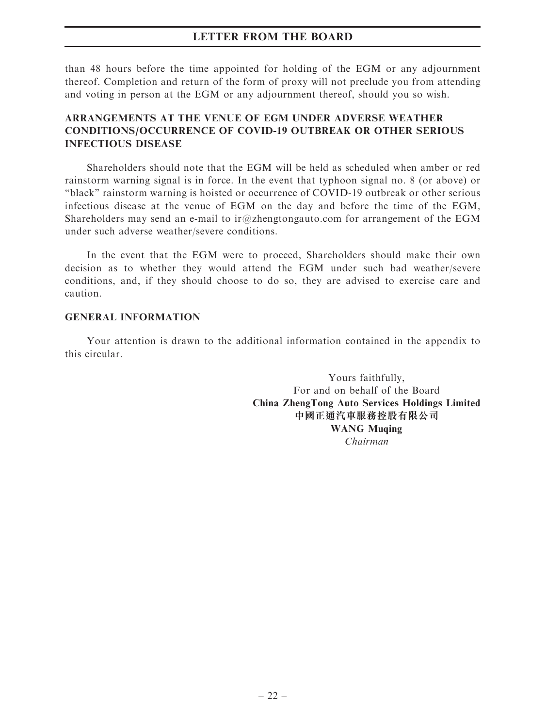than 48 hours before the time appointed for holding of the EGM or any adjournment thereof. Completion and return of the form of proxy will not preclude you from attending and voting in person at the EGM or any adjournment thereof, should you so wish.

# ARRANGEMENTS AT THE VENUE OF EGM UNDER ADVERSE WEATHER CONDITIONS/OCCURRENCE OF COVID-19 OUTBREAK OR OTHER SERIOUS INFECTIOUS DISEASE

Shareholders should note that the EGM will be held as scheduled when amber or red rainstorm warning signal is in force. In the event that typhoon signal no. 8 (or above) or ''black'' rainstorm warning is hoisted or occurrence of COVID-19 outbreak or other serious infectious disease at the venue of EGM on the day and before the time of the EGM, Shareholders may send an e-mail to ir $@z$ hengtongauto.com for arrangement of the EGM under such adverse weather/severe conditions.

In the event that the EGM were to proceed, Shareholders should make their own decision as to whether they would attend the EGM under such bad weather/severe conditions, and, if they should choose to do so, they are advised to exercise care and caution.

#### GENERAL INFORMATION

Your attention is drawn to the additional information contained in the appendix to this circular.

> Yours faithfully, For and on behalf of the Board China ZhengTong Auto Services Holdings Limited 中國正通汽車服務控股有限公司 WANG Muqing Chairman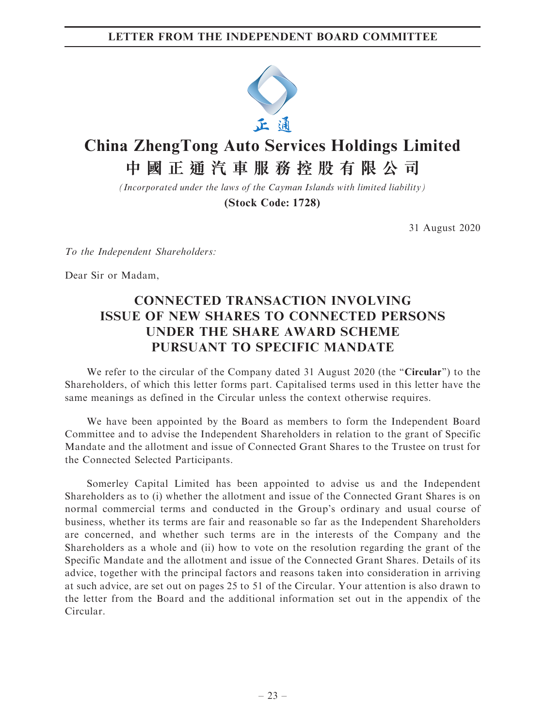

# **China ZhengTong Auto Services Holdings Limited 中國正通汽車服務控股有限公司**

*(Incorporated under the laws of the Cayman Islands with limited liability)*

**(Stock Code: 1728)**

31 August 2020

To the Independent Shareholders:

Dear Sir or Madam,

# CONNECTED TRANSACTION INVOLVING ISSUE OF NEW SHARES TO CONNECTED PERSONS UNDER THE SHARE AWARD SCHEME PURSUANT TO SPECIFIC MANDATE

We refer to the circular of the Company dated 31 August 2020 (the "Circular") to the Shareholders, of which this letter forms part. Capitalised terms used in this letter have the same meanings as defined in the Circular unless the context otherwise requires.

We have been appointed by the Board as members to form the Independent Board Committee and to advise the Independent Shareholders in relation to the grant of Specific Mandate and the allotment and issue of Connected Grant Shares to the Trustee on trust for the Connected Selected Participants.

Somerley Capital Limited has been appointed to advise us and the Independent Shareholders as to (i) whether the allotment and issue of the Connected Grant Shares is on normal commercial terms and conducted in the Group's ordinary and usual course of business, whether its terms are fair and reasonable so far as the Independent Shareholders are concerned, and whether such terms are in the interests of the Company and the Shareholders as a whole and (ii) how to vote on the resolution regarding the grant of the Specific Mandate and the allotment and issue of the Connected Grant Shares. Details of its advice, together with the principal factors and reasons taken into consideration in arriving at such advice, are set out on pages 25 to 51 of the Circular. Your attention is also drawn to the letter from the Board and the additional information set out in the appendix of the Circular.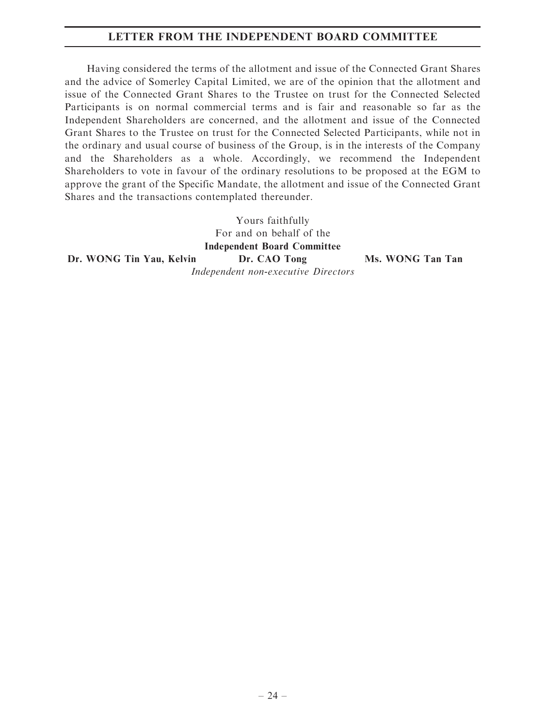# LETTER FROM THE INDEPENDENT BOARD COMMITTEE

Having considered the terms of the allotment and issue of the Connected Grant Shares and the advice of Somerley Capital Limited, we are of the opinion that the allotment and issue of the Connected Grant Shares to the Trustee on trust for the Connected Selected Participants is on normal commercial terms and is fair and reasonable so far as the Independent Shareholders are concerned, and the allotment and issue of the Connected Grant Shares to the Trustee on trust for the Connected Selected Participants, while not in the ordinary and usual course of business of the Group, is in the interests of the Company and the Shareholders as a whole. Accordingly, we recommend the Independent Shareholders to vote in favour of the ordinary resolutions to be proposed at the EGM to approve the grant of the Specific Mandate, the allotment and issue of the Connected Grant Shares and the transactions contemplated thereunder.

> Yours faithfully For and on behalf of the Independent Board Committee

Dr. WONG Tin Yau, Kelvin Dr. CAO Tong Ms. WONG Tan Tan

Independent non-executive Directors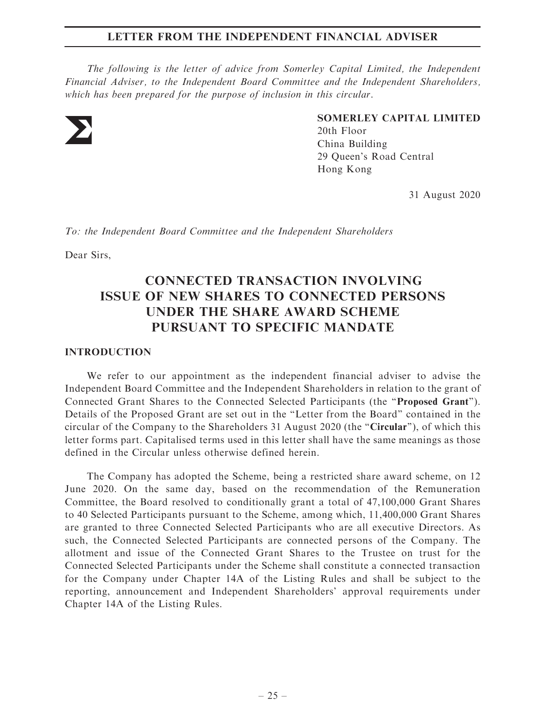The following is the letter of advice from Somerley Capital Limited, the Independent Financial Adviser, to the Independent Board Committee and the Independent Shareholders, which has been prepared for the purpose of inclusion in this circular.



SOMERLEY CAPITAL LIMITED 20th Floor China Building

29 Queen's Road Central Hong Kong

31 August 2020

To: the Independent Board Committee and the Independent Shareholders

Dear Sirs,

# CONNECTED TRANSACTION INVOLVING ISSUE OF NEW SHARES TO CONNECTED PERSONS UNDER THE SHARE AWARD SCHEME PURSUANT TO SPECIFIC MANDATE

#### INTRODUCTION

We refer to our appointment as the independent financial adviser to advise the Independent Board Committee and the Independent Shareholders in relation to the grant of Connected Grant Shares to the Connected Selected Participants (the "Proposed Grant"). Details of the Proposed Grant are set out in the ''Letter from the Board'' contained in the circular of the Company to the Shareholders 31 August 2020 (the ''Circular''), of which this letter forms part. Capitalised terms used in this letter shall have the same meanings as those defined in the Circular unless otherwise defined herein.

The Company has adopted the Scheme, being a restricted share award scheme, on 12 June 2020. On the same day, based on the recommendation of the Remuneration Committee, the Board resolved to conditionally grant a total of 47,100,000 Grant Shares to 40 Selected Participants pursuant to the Scheme, among which, 11,400,000 Grant Shares are granted to three Connected Selected Participants who are all executive Directors. As such, the Connected Selected Participants are connected persons of the Company. The allotment and issue of the Connected Grant Shares to the Trustee on trust for the Connected Selected Participants under the Scheme shall constitute a connected transaction for the Company under Chapter 14A of the Listing Rules and shall be subject to the reporting, announcement and Independent Shareholders' approval requirements under Chapter 14A of the Listing Rules.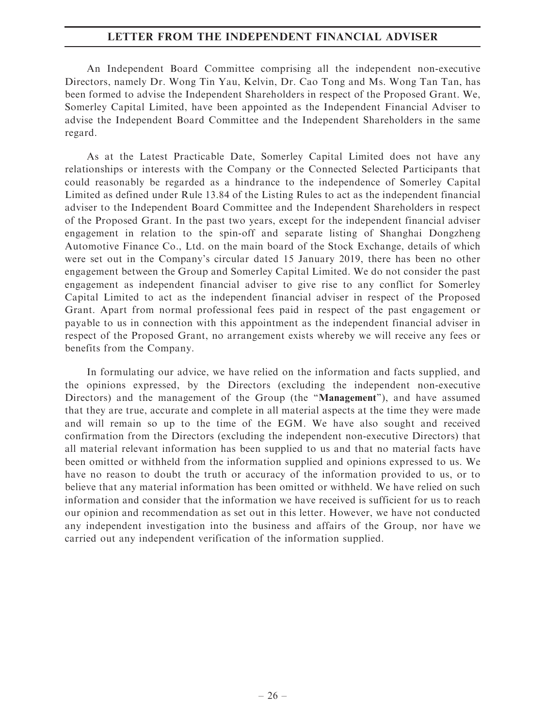An Independent Board Committee comprising all the independent non-executive Directors, namely Dr. Wong Tin Yau, Kelvin, Dr. Cao Tong and Ms. Wong Tan Tan, has been formed to advise the Independent Shareholders in respect of the Proposed Grant. We, Somerley Capital Limited, have been appointed as the Independent Financial Adviser to advise the Independent Board Committee and the Independent Shareholders in the same regard.

As at the Latest Practicable Date, Somerley Capital Limited does not have any relationships or interests with the Company or the Connected Selected Participants that could reasonably be regarded as a hindrance to the independence of Somerley Capital Limited as defined under Rule 13.84 of the Listing Rules to act as the independent financial adviser to the Independent Board Committee and the Independent Shareholders in respect of the Proposed Grant. In the past two years, except for the independent financial adviser engagement in relation to the spin-off and separate listing of Shanghai Dongzheng Automotive Finance Co., Ltd. on the main board of the Stock Exchange, details of which were set out in the Company's circular dated 15 January 2019, there has been no other engagement between the Group and Somerley Capital Limited. We do not consider the past engagement as independent financial adviser to give rise to any conflict for Somerley Capital Limited to act as the independent financial adviser in respect of the Proposed Grant. Apart from normal professional fees paid in respect of the past engagement or payable to us in connection with this appointment as the independent financial adviser in respect of the Proposed Grant, no arrangement exists whereby we will receive any fees or benefits from the Company.

In formulating our advice, we have relied on the information and facts supplied, and the opinions expressed, by the Directors (excluding the independent non-executive Directors) and the management of the Group (the "Management"), and have assumed that they are true, accurate and complete in all material aspects at the time they were made and will remain so up to the time of the EGM. We have also sought and received confirmation from the Directors (excluding the independent non-executive Directors) that all material relevant information has been supplied to us and that no material facts have been omitted or withheld from the information supplied and opinions expressed to us. We have no reason to doubt the truth or accuracy of the information provided to us, or to believe that any material information has been omitted or withheld. We have relied on such information and consider that the information we have received is sufficient for us to reach our opinion and recommendation as set out in this letter. However, we have not conducted any independent investigation into the business and affairs of the Group, nor have we carried out any independent verification of the information supplied.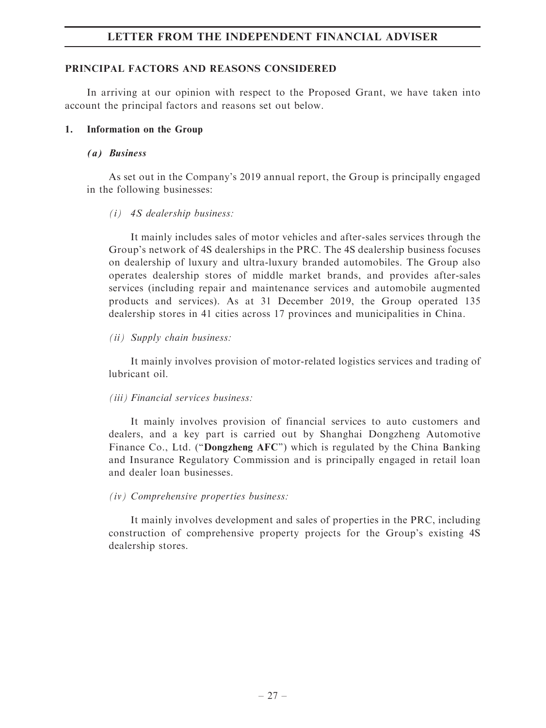#### PRINCIPAL FACTORS AND REASONS CONSIDERED

In arriving at our opinion with respect to the Proposed Grant, we have taken into account the principal factors and reasons set out below.

#### 1. Information on the Group

#### (a) Business

As set out in the Company's 2019 annual report, the Group is principally engaged in the following businesses:

### (i) 4S dealership business:

It mainly includes sales of motor vehicles and after-sales services through the Group's network of 4S dealerships in the PRC. The 4S dealership business focuses on dealership of luxury and ultra-luxury branded automobiles. The Group also operates dealership stores of middle market brands, and provides after-sales services (including repair and maintenance services and automobile augmented products and services). As at 31 December 2019, the Group operated 135 dealership stores in 41 cities across 17 provinces and municipalities in China.

### (ii) Supply chain business:

It mainly involves provision of motor-related logistics services and trading of lubricant oil.

### (iii) Financial services business:

It mainly involves provision of financial services to auto customers and dealers, and a key part is carried out by Shanghai Dongzheng Automotive Finance Co., Ltd. ("Dongzheng AFC") which is regulated by the China Banking and Insurance Regulatory Commission and is principally engaged in retail loan and dealer loan businesses.

### (iv) Comprehensive properties business:

It mainly involves development and sales of properties in the PRC, including construction of comprehensive property projects for the Group's existing 4S dealership stores.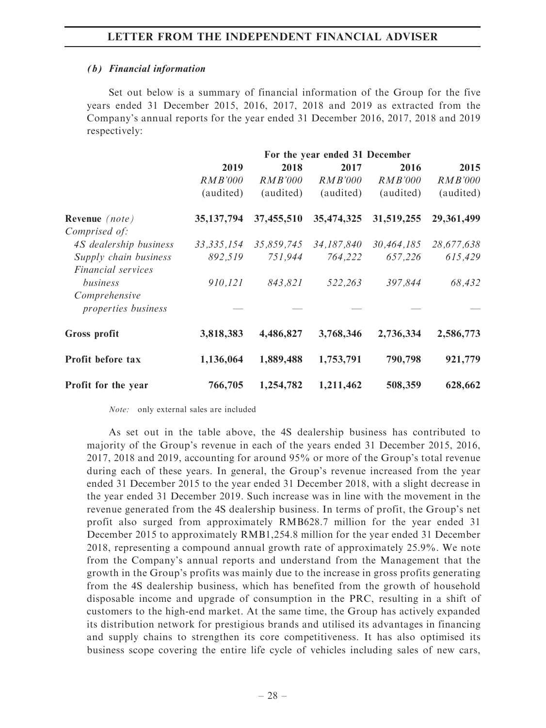#### (b) Financial information

Set out below is a summary of financial information of the Group for the five years ended 31 December 2015, 2016, 2017, 2018 and 2019 as extracted from the Company's annual reports for the year ended 31 December 2016, 2017, 2018 and 2019 respectively:

|                            | 2019           | 2018       | 2017       | 2016           | 2015       |
|----------------------------|----------------|------------|------------|----------------|------------|
|                            | <i>RMB'000</i> | RMB'000    | RMB'000    | <b>RMB'000</b> | RMB'000    |
|                            | (audited)      | (audited)  | (audited)  | (audited)      | (audited)  |
| Revenue (note)             | 35, 137, 794   | 37,455,510 | 35,474,325 | 31,519,255     | 29,361,499 |
| Comprised of:              |                |            |            |                |            |
| 4S dealership business     | 33, 335, 154   | 35,859,745 | 34,187,840 | 30,464,185     | 28,677,638 |
| Supply chain business      | 892,519        | 751,944    | 764,222    | 657,226        | 615,429    |
| Financial services         |                |            |            |                |            |
| business                   | 910,121        | 843,821    | 522,263    | 397,844        | 68,432     |
| Comprehensive              |                |            |            |                |            |
| <i>properties business</i> |                |            |            |                |            |
| Gross profit               | 3,818,383      | 4,486,827  | 3,768,346  | 2,736,334      | 2,586,773  |
| Profit before tax          | 1,136,064      | 1,889,488  | 1,753,791  | 790,798        | 921,779    |
| Profit for the year        | 766,705        | 1,254,782  | 1,211,462  | 508,359        | 628,662    |

Note: only external sales are included

As set out in the table above, the 4S dealership business has contributed to majority of the Group's revenue in each of the years ended 31 December 2015, 2016, 2017, 2018 and 2019, accounting for around 95% or more of the Group's total revenue during each of these years. In general, the Group's revenue increased from the year ended 31 December 2015 to the year ended 31 December 2018, with a slight decrease in the year ended 31 December 2019. Such increase was in line with the movement in the revenue generated from the 4S dealership business. In terms of profit, the Group's net profit also surged from approximately RMB628.7 million for the year ended 31 December 2015 to approximately RMB1,254.8 million for the year ended 31 December 2018, representing a compound annual growth rate of approximately 25.9%. We note from the Company's annual reports and understand from the Management that the growth in the Group's profits was mainly due to the increase in gross profits generating from the 4S dealership business, which has benefited from the growth of household disposable income and upgrade of consumption in the PRC, resulting in a shift of customers to the high-end market. At the same time, the Group has actively expanded its distribution network for prestigious brands and utilised its advantages in financing and supply chains to strengthen its core competitiveness. It has also optimised its business scope covering the entire life cycle of vehicles including sales of new cars,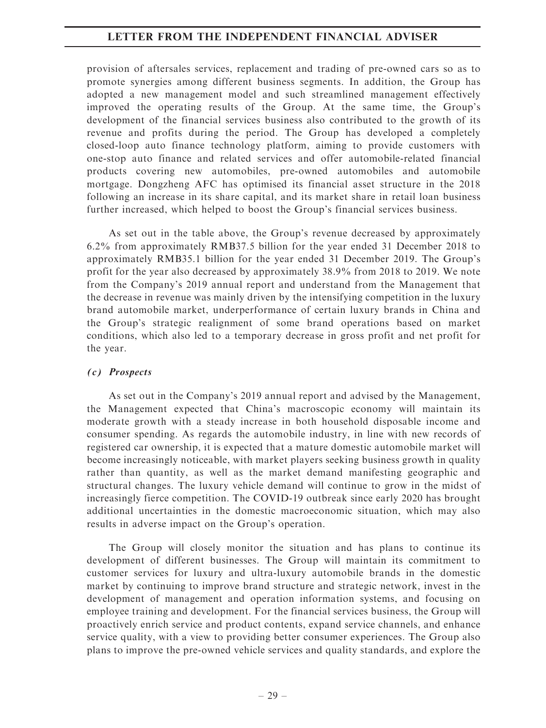provision of aftersales services, replacement and trading of pre-owned cars so as to promote synergies among different business segments. In addition, the Group has adopted a new management model and such streamlined management effectively improved the operating results of the Group. At the same time, the Group's development of the financial services business also contributed to the growth of its revenue and profits during the period. The Group has developed a completely closed-loop auto finance technology platform, aiming to provide customers with one-stop auto finance and related services and offer automobile-related financial products covering new automobiles, pre-owned automobiles and automobile mortgage. Dongzheng AFC has optimised its financial asset structure in the 2018 following an increase in its share capital, and its market share in retail loan business further increased, which helped to boost the Group's financial services business.

As set out in the table above, the Group's revenue decreased by approximately 6.2% from approximately RMB37.5 billion for the year ended 31 December 2018 to approximately RMB35.1 billion for the year ended 31 December 2019. The Group's profit for the year also decreased by approximately 38.9% from 2018 to 2019. We note from the Company's 2019 annual report and understand from the Management that the decrease in revenue was mainly driven by the intensifying competition in the luxury brand automobile market, underperformance of certain luxury brands in China and the Group's strategic realignment of some brand operations based on market conditions, which also led to a temporary decrease in gross profit and net profit for the year.

### (c) Prospects

As set out in the Company's 2019 annual report and advised by the Management, the Management expected that China's macroscopic economy will maintain its moderate growth with a steady increase in both household disposable income and consumer spending. As regards the automobile industry, in line with new records of registered car ownership, it is expected that a mature domestic automobile market will become increasingly noticeable, with market players seeking business growth in quality rather than quantity, as well as the market demand manifesting geographic and structural changes. The luxury vehicle demand will continue to grow in the midst of increasingly fierce competition. The COVID-19 outbreak since early 2020 has brought additional uncertainties in the domestic macroeconomic situation, which may also results in adverse impact on the Group's operation.

The Group will closely monitor the situation and has plans to continue its development of different businesses. The Group will maintain its commitment to customer services for luxury and ultra-luxury automobile brands in the domestic market by continuing to improve brand structure and strategic network, invest in the development of management and operation information systems, and focusing on employee training and development. For the financial services business, the Group will proactively enrich service and product contents, expand service channels, and enhance service quality, with a view to providing better consumer experiences. The Group also plans to improve the pre-owned vehicle services and quality standards, and explore the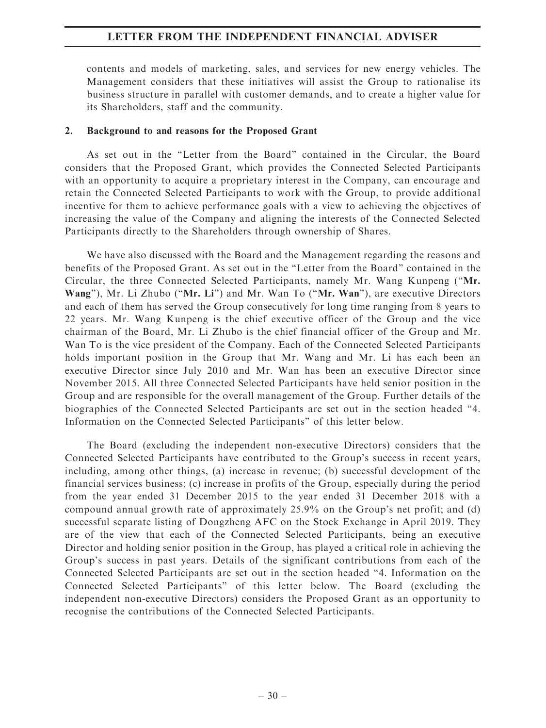contents and models of marketing, sales, and services for new energy vehicles. The Management considers that these initiatives will assist the Group to rationalise its business structure in parallel with customer demands, and to create a higher value for its Shareholders, staff and the community.

#### 2. Background to and reasons for the Proposed Grant

As set out in the ''Letter from the Board'' contained in the Circular, the Board considers that the Proposed Grant, which provides the Connected Selected Participants with an opportunity to acquire a proprietary interest in the Company, can encourage and retain the Connected Selected Participants to work with the Group, to provide additional incentive for them to achieve performance goals with a view to achieving the objectives of increasing the value of the Company and aligning the interests of the Connected Selected Participants directly to the Shareholders through ownership of Shares.

We have also discussed with the Board and the Management regarding the reasons and benefits of the Proposed Grant. As set out in the ''Letter from the Board'' contained in the Circular, the three Connected Selected Participants, namely Mr. Wang Kunpeng (''Mr. Wang"), Mr. Li Zhubo ("Mr. Li") and Mr. Wan To ("Mr. Wan"), are executive Directors and each of them has served the Group consecutively for long time ranging from 8 years to 22 years. Mr. Wang Kunpeng is the chief executive officer of the Group and the vice chairman of the Board, Mr. Li Zhubo is the chief financial officer of the Group and Mr. Wan To is the vice president of the Company. Each of the Connected Selected Participants holds important position in the Group that Mr. Wang and Mr. Li has each been an executive Director since July 2010 and Mr. Wan has been an executive Director since November 2015. All three Connected Selected Participants have held senior position in the Group and are responsible for the overall management of the Group. Further details of the biographies of the Connected Selected Participants are set out in the section headed ''4. Information on the Connected Selected Participants'' of this letter below.

The Board (excluding the independent non-executive Directors) considers that the Connected Selected Participants have contributed to the Group's success in recent years, including, among other things, (a) increase in revenue; (b) successful development of the financial services business; (c) increase in profits of the Group, especially during the period from the year ended 31 December 2015 to the year ended 31 December 2018 with a compound annual growth rate of approximately 25.9% on the Group's net profit; and (d) successful separate listing of Dongzheng AFC on the Stock Exchange in April 2019. They are of the view that each of the Connected Selected Participants, being an executive Director and holding senior position in the Group, has played a critical role in achieving the Group's success in past years. Details of the significant contributions from each of the Connected Selected Participants are set out in the section headed ''4. Information on the Connected Selected Participants'' of this letter below. The Board (excluding the independent non-executive Directors) considers the Proposed Grant as an opportunity to recognise the contributions of the Connected Selected Participants.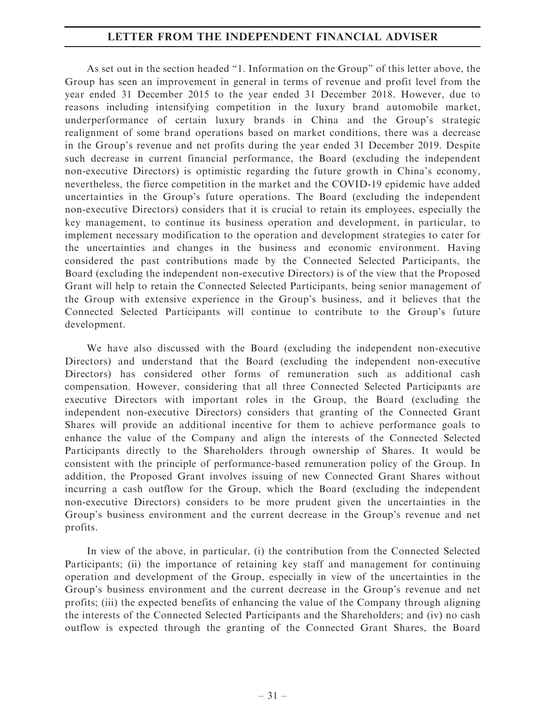As set out in the section headed ''1. Information on the Group'' of this letter above, the Group has seen an improvement in general in terms of revenue and profit level from the year ended 31 December 2015 to the year ended 31 December 2018. However, due to reasons including intensifying competition in the luxury brand automobile market, underperformance of certain luxury brands in China and the Group's strategic realignment of some brand operations based on market conditions, there was a decrease in the Group's revenue and net profits during the year ended 31 December 2019. Despite such decrease in current financial performance, the Board (excluding the independent non-executive Directors) is optimistic regarding the future growth in China's economy, nevertheless, the fierce competition in the market and the COVID-19 epidemic have added uncertainties in the Group's future operations. The Board (excluding the independent non-executive Directors) considers that it is crucial to retain its employees, especially the key management, to continue its business operation and development, in particular, to implement necessary modification to the operation and development strategies to cater for the uncertainties and changes in the business and economic environment. Having considered the past contributions made by the Connected Selected Participants, the Board (excluding the independent non-executive Directors) is of the view that the Proposed Grant will help to retain the Connected Selected Participants, being senior management of the Group with extensive experience in the Group's business, and it believes that the Connected Selected Participants will continue to contribute to the Group's future development.

We have also discussed with the Board (excluding the independent non-executive Directors) and understand that the Board (excluding the independent non-executive Directors) has considered other forms of remuneration such as additional cash compensation. However, considering that all three Connected Selected Participants are executive Directors with important roles in the Group, the Board (excluding the independent non-executive Directors) considers that granting of the Connected Grant Shares will provide an additional incentive for them to achieve performance goals to enhance the value of the Company and align the interests of the Connected Selected Participants directly to the Shareholders through ownership of Shares. It would be consistent with the principle of performance-based remuneration policy of the Group. In addition, the Proposed Grant involves issuing of new Connected Grant Shares without incurring a cash outflow for the Group, which the Board (excluding the independent non-executive Directors) considers to be more prudent given the uncertainties in the Group's business environment and the current decrease in the Group's revenue and net profits.

In view of the above, in particular, (i) the contribution from the Connected Selected Participants; (ii) the importance of retaining key staff and management for continuing operation and development of the Group, especially in view of the uncertainties in the Group's business environment and the current decrease in the Group's revenue and net profits; (iii) the expected benefits of enhancing the value of the Company through aligning the interests of the Connected Selected Participants and the Shareholders; and (iv) no cash outflow is expected through the granting of the Connected Grant Shares, the Board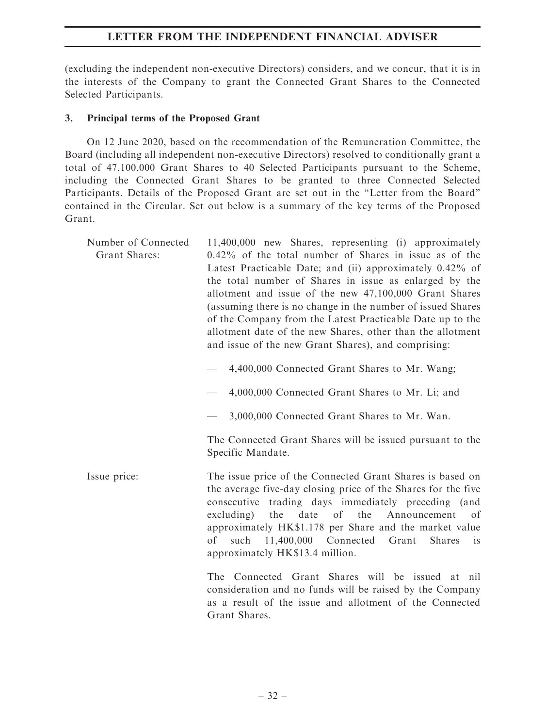(excluding the independent non-executive Directors) considers, and we concur, that it is in the interests of the Company to grant the Connected Grant Shares to the Connected Selected Participants.

### 3. Principal terms of the Proposed Grant

On 12 June 2020, based on the recommendation of the Remuneration Committee, the Board (including all independent non-executive Directors) resolved to conditionally grant a total of 47,100,000 Grant Shares to 40 Selected Participants pursuant to the Scheme, including the Connected Grant Shares to be granted to three Connected Selected Participants. Details of the Proposed Grant are set out in the "Letter from the Board" contained in the Circular. Set out below is a summary of the key terms of the Proposed Grant.

| Number of Connected<br>Grant Shares: | 11,400,000 new Shares, representing (i) approximately<br>$0.42\%$ of the total number of Shares in issue as of the<br>Latest Practicable Date; and (ii) approximately 0.42% of<br>the total number of Shares in issue as enlarged by the<br>allotment and issue of the new 47,100,000 Grant Shares<br>(assuming there is no change in the number of issued Shares<br>of the Company from the Latest Practicable Date up to the<br>allotment date of the new Shares, other than the allotment<br>and issue of the new Grant Shares), and comprising: |
|--------------------------------------|-----------------------------------------------------------------------------------------------------------------------------------------------------------------------------------------------------------------------------------------------------------------------------------------------------------------------------------------------------------------------------------------------------------------------------------------------------------------------------------------------------------------------------------------------------|
|                                      | 4,400,000 Connected Grant Shares to Mr. Wang;                                                                                                                                                                                                                                                                                                                                                                                                                                                                                                       |
|                                      | 4,000,000 Connected Grant Shares to Mr. Li; and                                                                                                                                                                                                                                                                                                                                                                                                                                                                                                     |
|                                      | 3,000,000 Connected Grant Shares to Mr. Wan.                                                                                                                                                                                                                                                                                                                                                                                                                                                                                                        |
|                                      | The Connected Grant Shares will be issued pursuant to the<br>Specific Mandate.                                                                                                                                                                                                                                                                                                                                                                                                                                                                      |
| Issue price:                         | The issue price of the Connected Grant Shares is based on<br>the average five-day closing price of the Shares for the five<br>consecutive trading days immediately preceding (and<br>date<br>of<br>the<br>Announcement<br>excluding)<br>the<br>οf<br>approximately HK\$1.178 per Share and the market value<br>11,400,000 Connected<br>οf<br>such<br>Grant<br><b>Shares</b><br>1S<br>approximately HK\$13.4 million.                                                                                                                                |
|                                      | The Connected Grant Shares will be issued at nil<br>consideration and no funds will be raised by the Company<br>as a result of the issue and allotment of the Connected<br>Grant Shares.                                                                                                                                                                                                                                                                                                                                                            |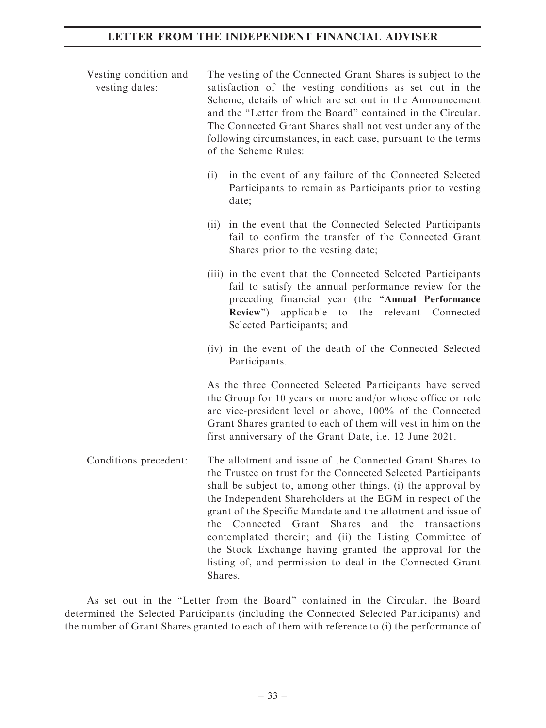| Vesting condition and<br>vesting dates: | The vesting of the Connected Grant Shares is subject to the<br>satisfaction of the vesting conditions as set out in the<br>Scheme, details of which are set out in the Announcement<br>and the "Letter from the Board" contained in the Circular.<br>The Connected Grant Shares shall not vest under any of the<br>following circumstances, in each case, pursuant to the terms<br>of the Scheme Rules:                                                                                                                                                                                  |
|-----------------------------------------|------------------------------------------------------------------------------------------------------------------------------------------------------------------------------------------------------------------------------------------------------------------------------------------------------------------------------------------------------------------------------------------------------------------------------------------------------------------------------------------------------------------------------------------------------------------------------------------|
|                                         | in the event of any failure of the Connected Selected<br>(i)<br>Participants to remain as Participants prior to vesting<br>date;                                                                                                                                                                                                                                                                                                                                                                                                                                                         |
|                                         | in the event that the Connected Selected Participants<br>(i)<br>fail to confirm the transfer of the Connected Grant<br>Shares prior to the vesting date;                                                                                                                                                                                                                                                                                                                                                                                                                                 |
|                                         | (iii) in the event that the Connected Selected Participants<br>fail to satisfy the annual performance review for the<br>preceding financial year (the "Annual Performance<br>applicable to<br>Review")<br>the relevant Connected<br>Selected Participants; and                                                                                                                                                                                                                                                                                                                           |
|                                         | (iv) in the event of the death of the Connected Selected<br>Participants.                                                                                                                                                                                                                                                                                                                                                                                                                                                                                                                |
|                                         | As the three Connected Selected Participants have served<br>the Group for 10 years or more and/or whose office or role<br>are vice-president level or above, 100% of the Connected<br>Grant Shares granted to each of them will vest in him on the<br>first anniversary of the Grant Date, i.e. 12 June 2021.                                                                                                                                                                                                                                                                            |
| Conditions precedent:                   | The allotment and issue of the Connected Grant Shares to<br>the Trustee on trust for the Connected Selected Participants<br>shall be subject to, among other things, (i) the approval by<br>the Independent Shareholders at the EGM in respect of the<br>grant of the Specific Mandate and the allotment and issue of<br>and the transactions<br>the<br>Connected<br>Grant<br><b>Shares</b><br>contemplated therein; and (ii) the Listing Committee of<br>the Stock Exchange having granted the approval for the<br>listing of, and permission to deal in the Connected Grant<br>Shares. |

As set out in the ''Letter from the Board'' contained in the Circular, the Board determined the Selected Participants (including the Connected Selected Participants) and the number of Grant Shares granted to each of them with reference to (i) the performance of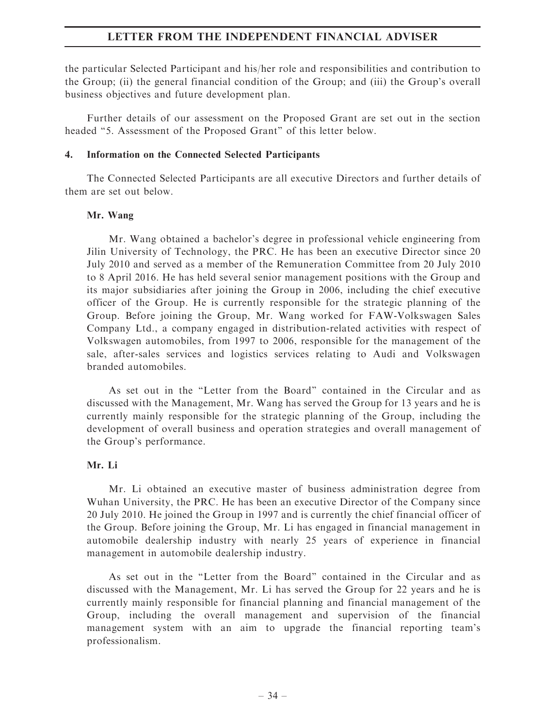the particular Selected Participant and his/her role and responsibilities and contribution to the Group; (ii) the general financial condition of the Group; and (iii) the Group's overall business objectives and future development plan.

Further details of our assessment on the Proposed Grant are set out in the section headed ''5. Assessment of the Proposed Grant'' of this letter below.

#### 4. Information on the Connected Selected Participants

The Connected Selected Participants are all executive Directors and further details of them are set out below.

#### Mr. Wang

Mr. Wang obtained a bachelor's degree in professional vehicle engineering from Jilin University of Technology, the PRC. He has been an executive Director since 20 July 2010 and served as a member of the Remuneration Committee from 20 July 2010 to 8 April 2016. He has held several senior management positions with the Group and its major subsidiaries after joining the Group in 2006, including the chief executive officer of the Group. He is currently responsible for the strategic planning of the Group. Before joining the Group, Mr. Wang worked for FAW-Volkswagen Sales Company Ltd., a company engaged in distribution-related activities with respect of Volkswagen automobiles, from 1997 to 2006, responsible for the management of the sale, after-sales services and logistics services relating to Audi and Volkswagen branded automobiles.

As set out in the ''Letter from the Board'' contained in the Circular and as discussed with the Management, Mr. Wang has served the Group for 13 years and he is currently mainly responsible for the strategic planning of the Group, including the development of overall business and operation strategies and overall management of the Group's performance.

### Mr. Li

Mr. Li obtained an executive master of business administration degree from Wuhan University, the PRC. He has been an executive Director of the Company since 20 July 2010. He joined the Group in 1997 and is currently the chief financial officer of the Group. Before joining the Group, Mr. Li has engaged in financial management in automobile dealership industry with nearly 25 years of experience in financial management in automobile dealership industry.

As set out in the ''Letter from the Board'' contained in the Circular and as discussed with the Management, Mr. Li has served the Group for 22 years and he is currently mainly responsible for financial planning and financial management of the Group, including the overall management and supervision of the financial management system with an aim to upgrade the financial reporting team's professionalism.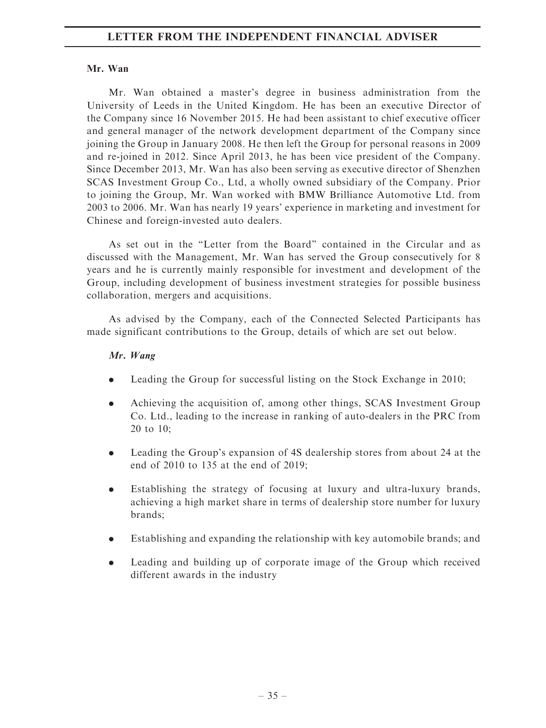### Mr. Wan

Mr. Wan obtained a master's degree in business administration from the University of Leeds in the United Kingdom. He has been an executive Director of the Company since 16 November 2015. He had been assistant to chief executive officer and general manager of the network development department of the Company since joining the Group in January 2008. He then left the Group for personal reasons in 2009 and re-joined in 2012. Since April 2013, he has been vice president of the Company. Since December 2013, Mr. Wan has also been serving as executive director of Shenzhen SCAS Investment Group Co., Ltd, a wholly owned subsidiary of the Company. Prior to joining the Group, Mr. Wan worked with BMW Brilliance Automotive Ltd. from 2003 to 2006. Mr. Wan has nearly 19 years' experience in marketing and investment for Chinese and foreign-invested auto dealers.

As set out in the "Letter from the Board" contained in the Circular and as discussed with the Management, Mr. Wan has served the Group consecutively for 8 years and he is currently mainly responsible for investment and development of the Group, including development of business investment strategies for possible business collaboration, mergers and acquisitions.

As advised by the Company, each of the Connected Selected Participants has made significant contributions to the Group, details of which are set out below.

# Mr. Wang

- . Leading the Group for successful listing on the Stock Exchange in 2010;
- . Achieving the acquisition of, among other things, SCAS Investment Group Co. Ltd., leading to the increase in ranking of auto-dealers in the PRC from 20 to 10;
- . Leading the Group's expansion of 4S dealership stores from about 24 at the end of 2010 to 135 at the end of 2019;
- . Establishing the strategy of focusing at luxury and ultra-luxury brands, achieving a high market share in terms of dealership store number for luxury brands;
- . Establishing and expanding the relationship with key automobile brands; and
- . Leading and building up of corporate image of the Group which received different awards in the industry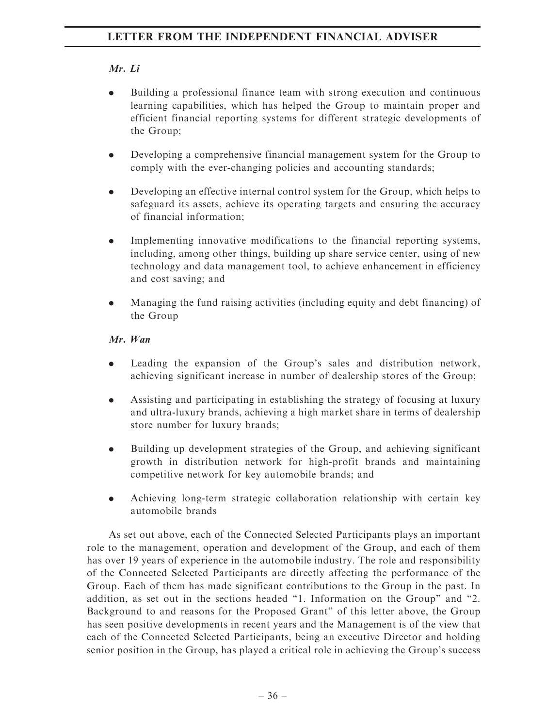# Mr. Li

- . Building a professional finance team with strong execution and continuous learning capabilities, which has helped the Group to maintain proper and efficient financial reporting systems for different strategic developments of the Group;
- . Developing a comprehensive financial management system for the Group to comply with the ever-changing policies and accounting standards;
- . Developing an effective internal control system for the Group, which helps to safeguard its assets, achieve its operating targets and ensuring the accuracy of financial information;
- . Implementing innovative modifications to the financial reporting systems, including, among other things, building up share service center, using of new technology and data management tool, to achieve enhancement in efficiency and cost saving; and
- . Managing the fund raising activities (including equity and debt financing) of the Group

# Mr. Wan

- . Leading the expansion of the Group's sales and distribution network, achieving significant increase in number of dealership stores of the Group;
- . Assisting and participating in establishing the strategy of focusing at luxury and ultra-luxury brands, achieving a high market share in terms of dealership store number for luxury brands;
- . Building up development strategies of the Group, and achieving significant growth in distribution network for high-profit brands and maintaining competitive network for key automobile brands; and
- . Achieving long-term strategic collaboration relationship with certain key automobile brands

As set out above, each of the Connected Selected Participants plays an important role to the management, operation and development of the Group, and each of them has over 19 years of experience in the automobile industry. The role and responsibility of the Connected Selected Participants are directly affecting the performance of the Group. Each of them has made significant contributions to the Group in the past. In addition, as set out in the sections headed ''1. Information on the Group'' and ''2. Background to and reasons for the Proposed Grant'' of this letter above, the Group has seen positive developments in recent years and the Management is of the view that each of the Connected Selected Participants, being an executive Director and holding senior position in the Group, has played a critical role in achieving the Group's success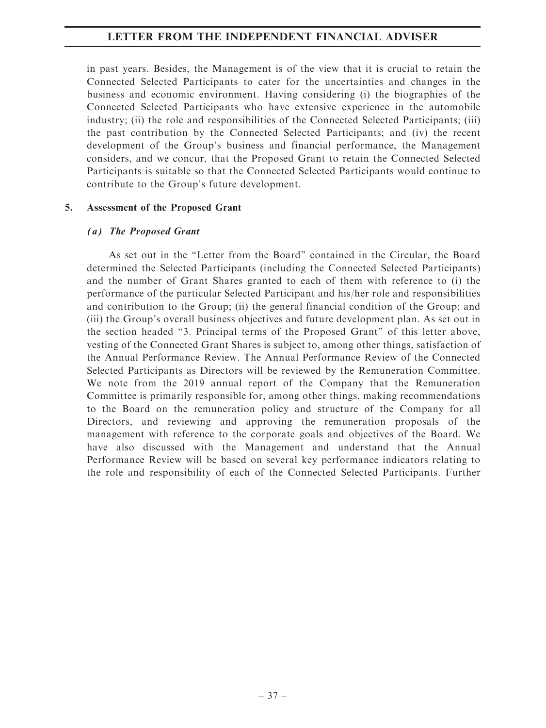in past years. Besides, the Management is of the view that it is crucial to retain the Connected Selected Participants to cater for the uncertainties and changes in the business and economic environment. Having considering (i) the biographies of the Connected Selected Participants who have extensive experience in the automobile industry; (ii) the role and responsibilities of the Connected Selected Participants; (iii) the past contribution by the Connected Selected Participants; and (iv) the recent development of the Group's business and financial performance, the Management considers, and we concur, that the Proposed Grant to retain the Connected Selected Participants is suitable so that the Connected Selected Participants would continue to contribute to the Group's future development.

#### 5. Assessment of the Proposed Grant

#### (a) The Proposed Grant

As set out in the ''Letter from the Board'' contained in the Circular, the Board determined the Selected Participants (including the Connected Selected Participants) and the number of Grant Shares granted to each of them with reference to (i) the performance of the particular Selected Participant and his/her role and responsibilities and contribution to the Group; (ii) the general financial condition of the Group; and (iii) the Group's overall business objectives and future development plan. As set out in the section headed ''3. Principal terms of the Proposed Grant'' of this letter above, vesting of the Connected Grant Shares is subject to, among other things, satisfaction of the Annual Performance Review. The Annual Performance Review of the Connected Selected Participants as Directors will be reviewed by the Remuneration Committee. We note from the 2019 annual report of the Company that the Remuneration Committee is primarily responsible for, among other things, making recommendations to the Board on the remuneration policy and structure of the Company for all Directors, and reviewing and approving the remuneration proposals of the management with reference to the corporate goals and objectives of the Board. We have also discussed with the Management and understand that the Annual Performance Review will be based on several key performance indicators relating to the role and responsibility of each of the Connected Selected Participants. Further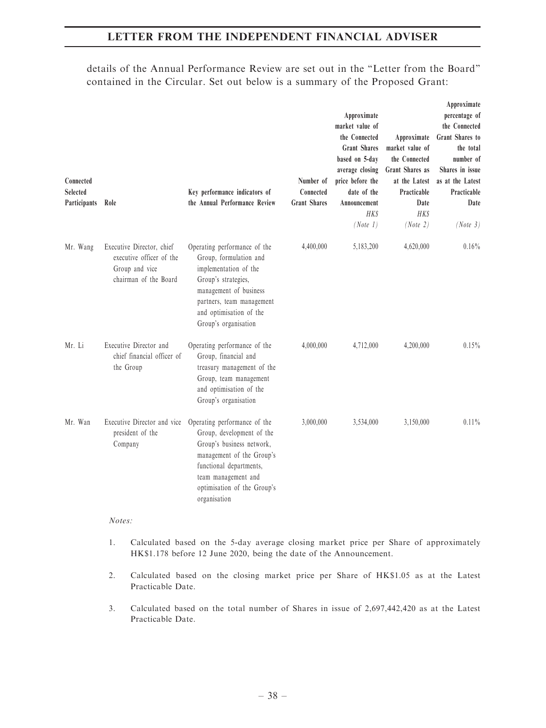details of the Annual Performance Review are set out in the ''Letter from the Board'' contained in the Circular. Set out below is a summary of the Proposed Grant:

| Connected<br><b>Selected</b><br>Participants | Role                                                                                             | Key performance indicators of<br>the Annual Performance Review                                                                                                                                                       | Number of<br>Connected<br><b>Grant Shares</b> | Approximate<br>market value of<br>the Connected<br><b>Grant Shares</b><br>based on 5-day<br>average closing<br>price before the<br>date of the<br>Announcement<br><b>HKS</b><br>(Note 1) | Approximate<br>market value of<br>the Connected<br>Grant Shares as<br>at the Latest<br>Practicable<br>Date<br><b>HK\$</b><br>(Note 2) | Approximate<br>percentage of<br>the Connected<br>Grant Shares to<br>the total<br>number of<br>Shares in issue<br>as at the Latest<br>Practicable<br>Date<br>(Note 3) |
|----------------------------------------------|--------------------------------------------------------------------------------------------------|----------------------------------------------------------------------------------------------------------------------------------------------------------------------------------------------------------------------|-----------------------------------------------|------------------------------------------------------------------------------------------------------------------------------------------------------------------------------------------|---------------------------------------------------------------------------------------------------------------------------------------|----------------------------------------------------------------------------------------------------------------------------------------------------------------------|
| Mr. Wang                                     | Executive Director, chief<br>executive officer of the<br>Group and vice<br>chairman of the Board | Operating performance of the<br>Group, formulation and<br>implementation of the<br>Group's strategies,<br>management of business<br>partners, team management<br>and optimisation of the<br>Group's organisation     | 4,400,000                                     | 5,183,200                                                                                                                                                                                | 4,620,000                                                                                                                             | $0.16\%$                                                                                                                                                             |
| Mr. Li                                       | Executive Director and<br>chief financial officer of<br>the Group                                | Operating performance of the<br>Group, financial and<br>treasury management of the<br>Group, team management<br>and optimisation of the<br>Group's organisation                                                      | 4,000,000                                     | 4,712,000                                                                                                                                                                                | 4,200,000                                                                                                                             | $0.15\%$                                                                                                                                                             |
| Mr. Wan                                      | Executive Director and vice<br>president of the<br>Company                                       | Operating performance of the<br>Group, development of the<br>Group's business network,<br>management of the Group's<br>functional departments,<br>team management and<br>optimisation of the Group's<br>organisation | 3,000,000                                     | 3,534,000                                                                                                                                                                                | 3,150,000                                                                                                                             | $0.11\%$                                                                                                                                                             |

#### Notes:

- 1. Calculated based on the 5-day average closing market price per Share of approximately HK\$1.178 before 12 June 2020, being the date of the Announcement.
- 2. Calculated based on the closing market price per Share of HK\$1.05 as at the Latest Practicable Date.
- 3. Calculated based on the total number of Shares in issue of 2,697,442,420 as at the Latest Practicable Date.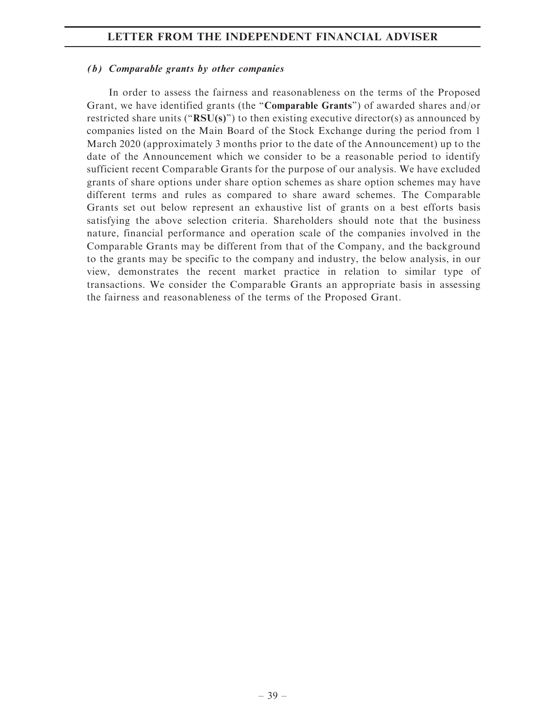#### (b) Comparable grants by other companies

In order to assess the fairness and reasonableness on the terms of the Proposed Grant, we have identified grants (the "**Comparable Grants**") of awarded shares and/or restricted share units (" $RSU(s)$ ") to then existing executive director(s) as announced by companies listed on the Main Board of the Stock Exchange during the period from 1 March 2020 (approximately 3 months prior to the date of the Announcement) up to the date of the Announcement which we consider to be a reasonable period to identify sufficient recent Comparable Grants for the purpose of our analysis. We have excluded grants of share options under share option schemes as share option schemes may have different terms and rules as compared to share award schemes. The Comparable Grants set out below represent an exhaustive list of grants on a best efforts basis satisfying the above selection criteria. Shareholders should note that the business nature, financial performance and operation scale of the companies involved in the Comparable Grants may be different from that of the Company, and the background to the grants may be specific to the company and industry, the below analysis, in our view, demonstrates the recent market practice in relation to similar type of transactions. We consider the Comparable Grants an appropriate basis in assessing the fairness and reasonableness of the terms of the Proposed Grant.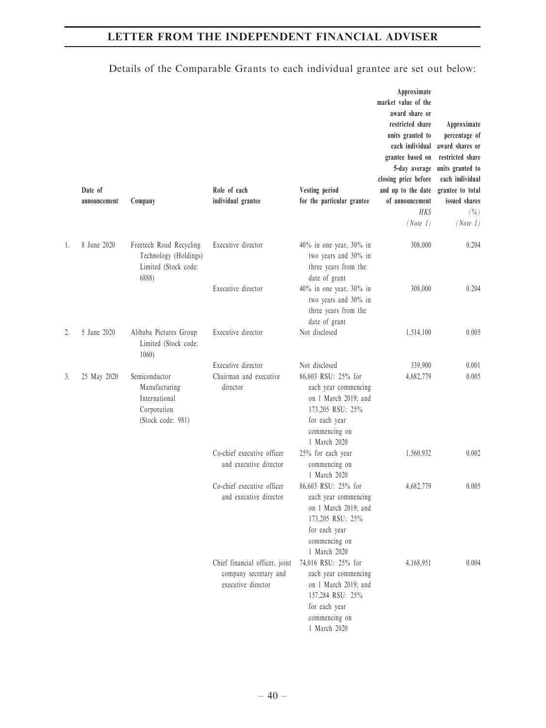|    | Date of<br>announcement | Company                                                                             | Role of each<br>individual grantee                                            | Vesting period<br>for the particular grantee                                                                                                               | Approximate<br>market value of the<br>award share or<br>restricted share<br>units granted to<br>each individual<br>grantee based on<br>5-day average<br>closing price before<br>and up to the date<br>of announcement<br><b>HKS</b><br>(Note 1) | Approximate<br>percentage of<br>award shares or<br>restricted share<br>units granted to<br>each individual<br>grantee to total<br>issued shares<br>( %)<br>(Note 1) |
|----|-------------------------|-------------------------------------------------------------------------------------|-------------------------------------------------------------------------------|------------------------------------------------------------------------------------------------------------------------------------------------------------|-------------------------------------------------------------------------------------------------------------------------------------------------------------------------------------------------------------------------------------------------|---------------------------------------------------------------------------------------------------------------------------------------------------------------------|
| 1. | 8 June 2020             | Freetech Road Recycling<br>Technology (Holdings)<br>Limited (Stock code:<br>6888)   | Executive director                                                            | 40% in one year, 30% in<br>two years and 30% in<br>three years from the<br>date of grant                                                                   | 308,000                                                                                                                                                                                                                                         | 0.204                                                                                                                                                               |
|    |                         |                                                                                     | Executive director                                                            | 40% in one year, 30% in<br>two years and 30% in<br>three years from the<br>date of grant                                                                   | 308,000                                                                                                                                                                                                                                         | 0.204                                                                                                                                                               |
| 2. | 5 June 2020             | Alibaba Pictures Group<br>Limited (Stock code:<br>1060)                             | Executive director                                                            | Not disclosed                                                                                                                                              | 1,514,100                                                                                                                                                                                                                                       | 0.005                                                                                                                                                               |
| 3. | 25 May 2020             | Semiconductor<br>Manufacturing<br>International<br>Corporation<br>(Stock code: 981) | Executive director<br>Chairman and executive<br>director                      | Not disclosed<br>86,603 RSU: 25% for<br>each year commencing<br>on 1 March 2019; and<br>173,205 RSU: 25%<br>for each year<br>commencing on<br>1 March 2020 | 339,900<br>4,682,779                                                                                                                                                                                                                            | 0.001<br>0.005                                                                                                                                                      |
|    |                         |                                                                                     | Co-chief executive officer<br>and executive director                          | 25% for each year<br>commencing on<br>1 March 2020                                                                                                         | 1,560,932                                                                                                                                                                                                                                       | 0.002                                                                                                                                                               |
|    |                         |                                                                                     | Co-chief executive officer<br>and executive director                          | 86,603 RSU: 25% for<br>each year commencing<br>on 1 March 2019; and<br>173,205 RSU: 25%<br>for each year<br>commencing on<br>1 March 2020                  | 4,682,779                                                                                                                                                                                                                                       | 0.005                                                                                                                                                               |
|    |                         |                                                                                     | Chief financial officer, joint<br>company secretary and<br>executive director | 74,016 RSU: 25% for<br>each year commencing<br>on 1 March 2019; and<br>157,284 RSU: 25%<br>for each year<br>commencing on<br>1 March 2020                  | 4,168,951                                                                                                                                                                                                                                       | 0.004                                                                                                                                                               |

# Details of the Comparable Grants to each individual grantee are set out below: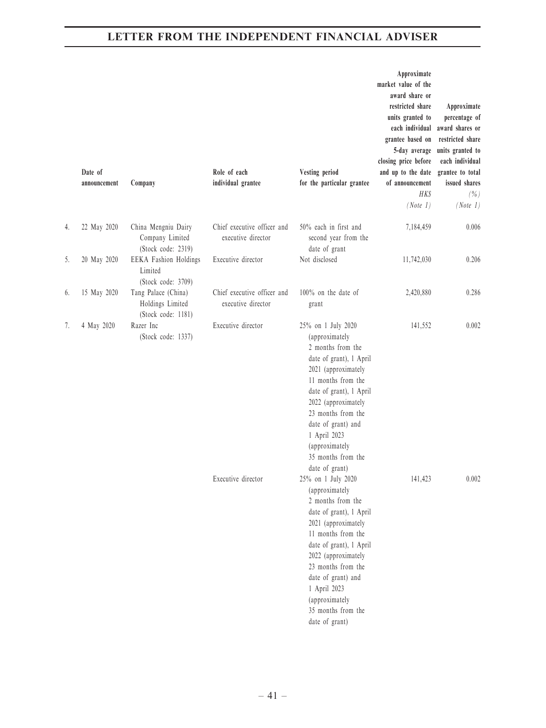|    | Date of<br>announcement | Company                                                       | Role of each<br>individual grantee                | Vesting period<br>for the particular grantee                                                                                                                                                                                                                                                              | Approximate<br>market value of the<br>award share or<br>restricted share<br>units granted to<br>each individual<br>grantee based on<br>5-day average<br>closing price before<br>and up to the date<br>of announcement<br><b>HK\$</b><br>(Note 1) | Approximate<br>percentage of<br>award shares or<br>restricted share<br>units granted to<br>each individual<br>grantee to total<br>issued shares<br>$(\% )$<br>(Note 1) |
|----|-------------------------|---------------------------------------------------------------|---------------------------------------------------|-----------------------------------------------------------------------------------------------------------------------------------------------------------------------------------------------------------------------------------------------------------------------------------------------------------|--------------------------------------------------------------------------------------------------------------------------------------------------------------------------------------------------------------------------------------------------|------------------------------------------------------------------------------------------------------------------------------------------------------------------------|
| 4. | 22 May 2020             | China Mengniu Dairy<br>Company Limited<br>(Stock code: 2319)  | Chief executive officer and<br>executive director | 50% each in first and<br>second year from the<br>date of grant                                                                                                                                                                                                                                            | 7,184,459                                                                                                                                                                                                                                        | 0.006                                                                                                                                                                  |
| 5. | 20 May 2020             | EEKA Fashion Holdings<br>Limited<br>(Stock code: 3709)        | Executive director                                | Not disclosed                                                                                                                                                                                                                                                                                             | 11,742,030                                                                                                                                                                                                                                       | 0.206                                                                                                                                                                  |
| 6. | 15 May 2020             | Tang Palace (China)<br>Holdings Limited<br>(Stock code: 1181) | Chief executive officer and<br>executive director | $100\%$ on the date of<br>grant                                                                                                                                                                                                                                                                           | 2,420,880                                                                                                                                                                                                                                        | 0.286                                                                                                                                                                  |
| 7. | 4 May 2020              | Razer Inc<br>(Stock code: 1337)                               | Executive director                                | 25% on 1 July 2020<br>(approximately<br>2 months from the<br>date of grant), 1 April<br>2021 (approximately<br>11 months from the<br>date of grant), 1 April<br>2022 (approximately<br>23 months from the<br>date of grant) and<br>1 April 2023<br>(approximately<br>35 months from the<br>date of grant) | 141,552                                                                                                                                                                                                                                          | 0.002                                                                                                                                                                  |
|    |                         |                                                               | Executive director                                | 25% on 1 July 2020<br>(approximately<br>2 months from the<br>date of grant), 1 April<br>2021 (approximately<br>11 months from the<br>date of grant), 1 April<br>2022 (approximately<br>23 months from the<br>date of grant) and<br>1 April 2023<br>(approximately<br>35 months from the<br>date of grant) | 141,423                                                                                                                                                                                                                                          | $0.002\,$                                                                                                                                                              |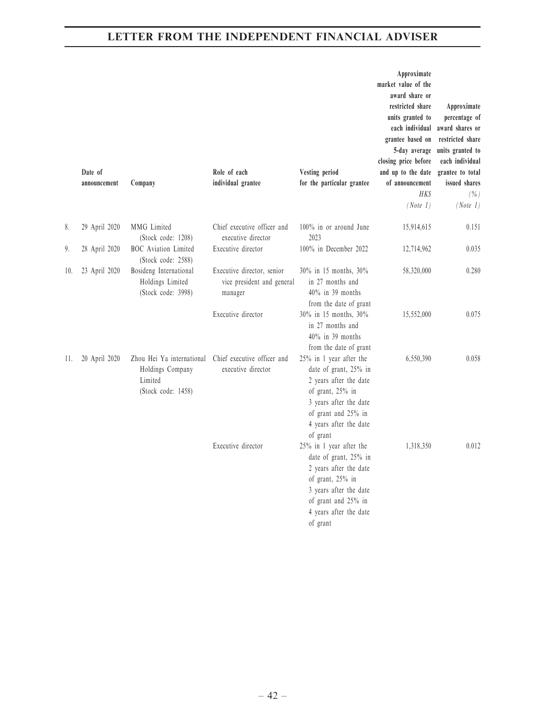|     | Date of<br>announcement | Company                                                                        | Role of each<br>individual grantee                                  | Vesting period<br>for the particular grantee                                                                                                                                          | Approximate<br>market value of the<br>award share or<br>restricted share<br>units granted to<br>each individual<br>grantee based on<br>5-day average<br>closing price before<br>and up to the date<br>of announcement<br><b>HKS</b><br>(Note 1) | Approximate<br>percentage of<br>award shares or<br>restricted share<br>units granted to<br>each individual<br>grantee to total<br>issued shares<br>$(\% )$<br>(Note 1) |
|-----|-------------------------|--------------------------------------------------------------------------------|---------------------------------------------------------------------|---------------------------------------------------------------------------------------------------------------------------------------------------------------------------------------|-------------------------------------------------------------------------------------------------------------------------------------------------------------------------------------------------------------------------------------------------|------------------------------------------------------------------------------------------------------------------------------------------------------------------------|
| 8.  | 29 April 2020           | MMG Limited<br>(Stock code: 1208)                                              | Chief executive officer and<br>executive director                   | 100% in or around June<br>2023                                                                                                                                                        | 15,914,615                                                                                                                                                                                                                                      | 0.151                                                                                                                                                                  |
| 9.  | 28 April 2020           | <b>BOC</b> Aviation Limited<br>(Stock code: 2588)                              | Executive director                                                  | 100% in December 2022                                                                                                                                                                 | 12,714,962                                                                                                                                                                                                                                      | 0.035                                                                                                                                                                  |
| 10. | 23 April 2020           | Bosideng International<br>Holdings Limited<br>(Stock code: 3998)               | Executive director, senior<br>vice president and general<br>manager | 30% in 15 months, 30%<br>in 27 months and<br>$40\%$ in 39 months<br>from the date of grant                                                                                            | 58,320,000                                                                                                                                                                                                                                      | 0.280                                                                                                                                                                  |
|     |                         |                                                                                | Executive director                                                  | 30% in 15 months, 30%<br>in 27 months and<br>$40\%$ in 39 months<br>from the date of grant                                                                                            | 15,552,000                                                                                                                                                                                                                                      | 0.075                                                                                                                                                                  |
| 11. | 20 April 2020           | Zhou Hei Ya international<br>Holdings Company<br>Limited<br>(Stock code: 1458) | Chief executive officer and<br>executive director                   | 25% in 1 year after the<br>date of grant, 25% in<br>2 years after the date<br>of grant, 25% in<br>3 years after the date<br>of grant and 25% in<br>4 years after the date<br>of grant | 6,550,390                                                                                                                                                                                                                                       | 0.058                                                                                                                                                                  |
|     |                         |                                                                                | Executive director                                                  | 25% in 1 year after the<br>date of grant, 25% in<br>2 years after the date<br>of grant, 25% in<br>3 years after the date<br>of grant and 25% in<br>4 years after the date<br>of grant | 1,318,350                                                                                                                                                                                                                                       | 0.012                                                                                                                                                                  |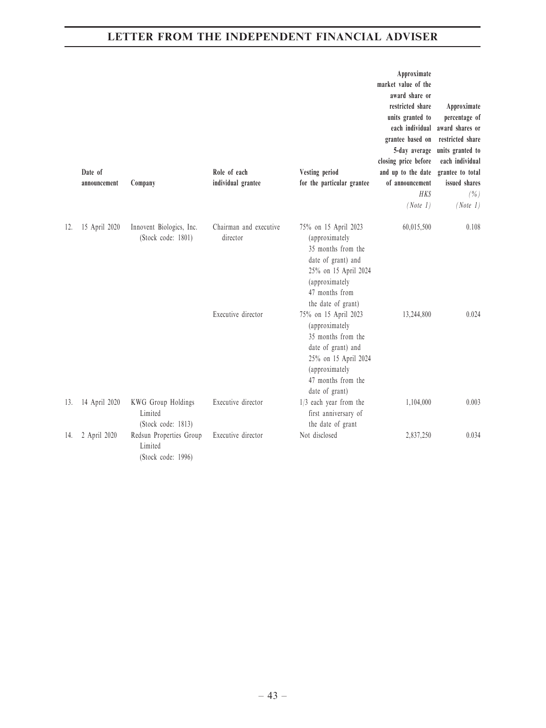|     | Date of<br>announcement | Company                                                  | Role of each<br>individual grantee | Vesting period<br>for the particular grantee                                                                                                                         | Approximate<br>market value of the<br>award share or<br>restricted share<br>units granted to<br>each individual<br>grantee based on<br>5-day average<br>closing price before<br>and up to the date<br>of announcement<br><b>HKS</b><br>(Note 1) | Approximate<br>percentage of<br>award shares or<br>restricted share<br>units granted to<br>each individual<br>grantee to total<br>issued shares<br>$(\% )$<br>(Note 1) |
|-----|-------------------------|----------------------------------------------------------|------------------------------------|----------------------------------------------------------------------------------------------------------------------------------------------------------------------|-------------------------------------------------------------------------------------------------------------------------------------------------------------------------------------------------------------------------------------------------|------------------------------------------------------------------------------------------------------------------------------------------------------------------------|
| 12. | 15 April 2020           | Innovent Biologics, Inc.<br>(Stock code: 1801)           | Chairman and executive<br>director | 75% on 15 April 2023<br>(approximately<br>35 months from the<br>date of grant) and<br>25% on 15 April 2024<br>(approximately<br>47 months from<br>the date of grant) | 60,015,500                                                                                                                                                                                                                                      | 0.108                                                                                                                                                                  |
|     |                         |                                                          | Executive director                 | 75% on 15 April 2023<br>(approximately<br>35 months from the<br>date of grant) and<br>25% on 15 April 2024<br>(approximately<br>47 months from the<br>date of grant) | 13,244,800                                                                                                                                                                                                                                      | 0.024                                                                                                                                                                  |
| 13. | 14 April 2020           | KWG Group Holdings<br>Limited<br>(Stock code: 1813)      | Executive director                 | $1/3$ each year from the<br>first anniversary of<br>the date of grant                                                                                                | 1,104,000                                                                                                                                                                                                                                       | 0.003                                                                                                                                                                  |
| 14. | 2 April 2020            | Redsun Properties Group<br>Limited<br>(Stock code: 1996) | Executive director                 | Not disclosed                                                                                                                                                        | 2,837,250                                                                                                                                                                                                                                       | 0.034                                                                                                                                                                  |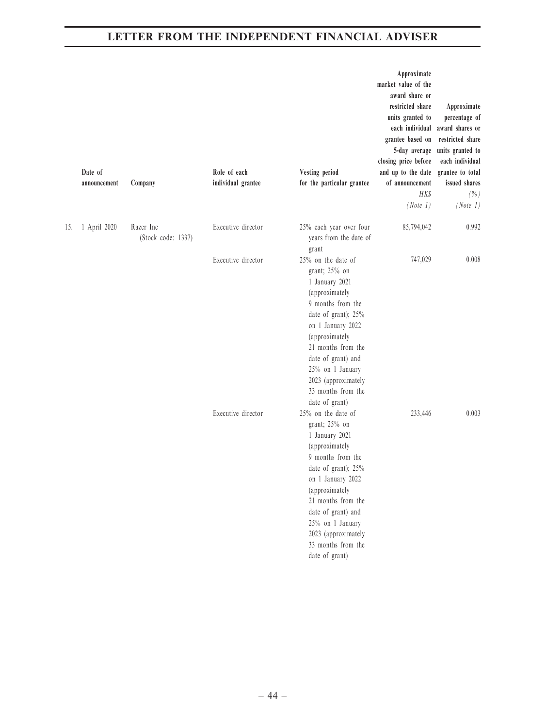|     | Date of<br>announcement | Company                         | Role of each<br>individual grantee | Vesting period<br>for the particular grantee                                                                                                                                                                                                                                              | Approximate<br>market value of the<br>award share or<br>restricted share<br>units granted to<br>each individual<br>grantee based on<br>5-day average<br>closing price before<br>and up to the date<br>of announcement<br>HK\$<br>(Note 1) | Approximate<br>percentage of<br>award shares or<br>restricted share<br>units granted to<br>each individual<br>grantee to total<br>issued shares<br>(%<br>(Note 1) |
|-----|-------------------------|---------------------------------|------------------------------------|-------------------------------------------------------------------------------------------------------------------------------------------------------------------------------------------------------------------------------------------------------------------------------------------|-------------------------------------------------------------------------------------------------------------------------------------------------------------------------------------------------------------------------------------------|-------------------------------------------------------------------------------------------------------------------------------------------------------------------|
| 15. | 1 April 2020            | Razer Inc<br>(Stock code: 1337) | Executive director                 | 25% each year over four<br>years from the date of<br>grant                                                                                                                                                                                                                                | 85,794,042                                                                                                                                                                                                                                | 0.992                                                                                                                                                             |
|     |                         |                                 | Executive director                 | 25% on the date of<br>grant; 25% on<br>1 January 2021<br>(approximately<br>9 months from the<br>date of grant); 25%<br>on 1 January 2022<br>(approximately<br>21 months from the<br>date of grant) and<br>25% on 1 January<br>2023 (approximately<br>33 months from the<br>date of grant) | 747,029                                                                                                                                                                                                                                   | 0.008                                                                                                                                                             |
|     |                         |                                 | Executive director                 | 25% on the date of<br>grant; 25% on<br>1 January 2021<br>(approximately<br>9 months from the<br>date of grant); 25%<br>on 1 January 2022<br>(approximately<br>21 months from the<br>date of grant) and<br>25% on 1 January<br>2023 (approximately<br>33 months from the<br>date of grant) | 233,446                                                                                                                                                                                                                                   | 0.003                                                                                                                                                             |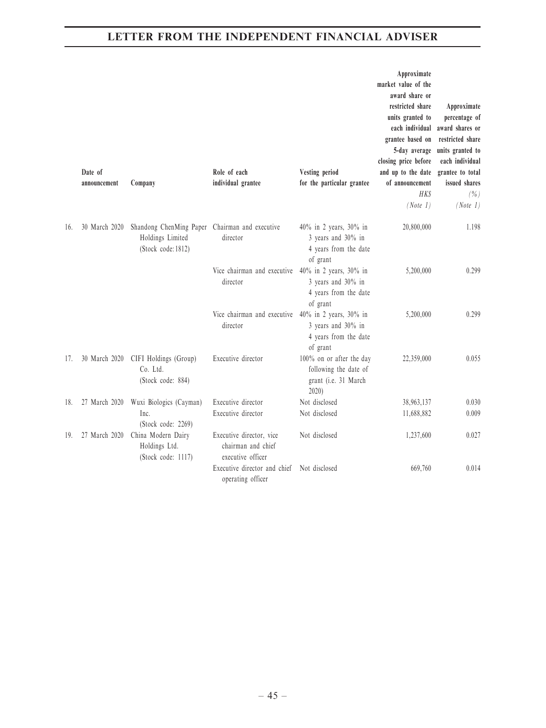|     | Date of<br>announcement | Company                                                                                  | Role of each<br>individual grantee                                  | Vesting period<br>for the particular grantee                                       | Approximate<br>market value of the<br>award share or<br>restricted share<br>units granted to<br>each individual<br>grantee based on<br>5-day average<br>closing price before<br>and up to the date<br>of announcement<br><b>HKS</b><br>(Note 1) | Approximate<br>percentage of<br>award shares or<br>restricted share<br>units granted to<br>each individual<br>grantee to total<br>issued shares<br>(% )<br>(Note 1) |
|-----|-------------------------|------------------------------------------------------------------------------------------|---------------------------------------------------------------------|------------------------------------------------------------------------------------|-------------------------------------------------------------------------------------------------------------------------------------------------------------------------------------------------------------------------------------------------|---------------------------------------------------------------------------------------------------------------------------------------------------------------------|
| 16. | 30 March 2020           | Shandong ChenMing Paper Chairman and executive<br>Holdings Limited<br>(Stock code: 1812) | director                                                            | 40% in 2 years, 30% in<br>3 years and 30% in<br>4 years from the date<br>of grant  | 20,800,000                                                                                                                                                                                                                                      | 1.198                                                                                                                                                               |
|     |                         |                                                                                          | Vice chairman and executive<br>director                             | 40% in 2 years, 30% in<br>3 years and 30% in<br>4 years from the date<br>of grant  | 5,200,000                                                                                                                                                                                                                                       | 0.299                                                                                                                                                               |
|     |                         |                                                                                          | Vice chairman and executive<br>director                             | 40% in 2 years, 30% in<br>3 years and 30% in<br>4 years from the date<br>of grant  | 5,200,000                                                                                                                                                                                                                                       | 0.299                                                                                                                                                               |
| 17. | 30 March 2020           | CIFI Holdings (Group)<br>Co. Ltd.<br>(Stock code: 884)                                   | Executive director                                                  | 100% on or after the day<br>following the date of<br>grant (i.e. 31 March<br>2020) | 22,359,000                                                                                                                                                                                                                                      | 0.055                                                                                                                                                               |
| 18. | 27 March 2020           | Wuxi Biologics (Cayman)                                                                  | Executive director                                                  | Not disclosed                                                                      | 38,963,137                                                                                                                                                                                                                                      | 0.030                                                                                                                                                               |
|     |                         | Inc.<br>(Stock code: 2269)                                                               | Executive director                                                  | Not disclosed                                                                      | 11,688,882                                                                                                                                                                                                                                      | 0.009                                                                                                                                                               |
| 19. | 27 March 2020           | China Modern Dairy<br>Holdings Ltd.<br>(Stock code: 1117)                                | Executive director, vice<br>chairman and chief<br>executive officer | Not disclosed                                                                      | 1,237,600                                                                                                                                                                                                                                       | 0.027                                                                                                                                                               |
|     |                         |                                                                                          | Executive director and chief<br>operating officer                   | Not disclosed                                                                      | 669,760                                                                                                                                                                                                                                         | 0.014                                                                                                                                                               |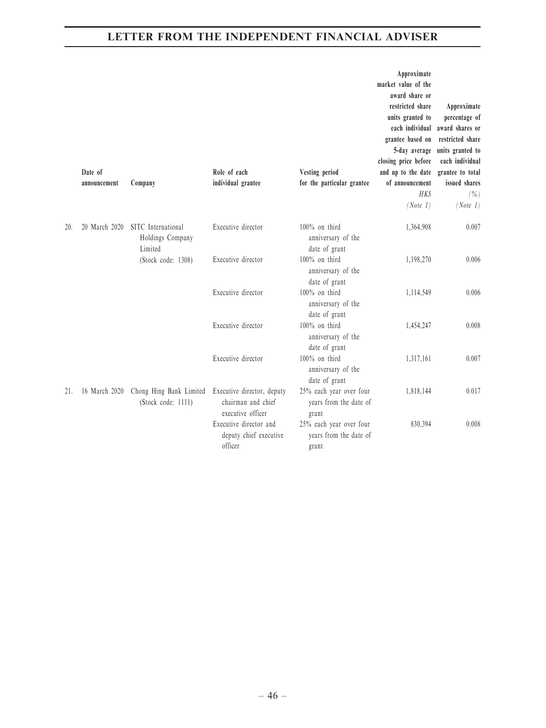|     | Date of<br>announcement | Company                                           | Role of each<br>individual grantee                                    | Vesting period<br>for the particular grantee               | Approximate<br>market value of the<br>award share or<br>restricted share<br>units granted to<br>each individual<br>grantee based on<br>5-day average<br>closing price before<br>and up to the date<br>of announcement<br>HKS<br>(Note 1) | Approximate<br>percentage of<br>award shares or<br>restricted share<br>units granted to<br>each individual<br>grantee to total<br>issued shares<br>( %)<br>(Note 1) |
|-----|-------------------------|---------------------------------------------------|-----------------------------------------------------------------------|------------------------------------------------------------|------------------------------------------------------------------------------------------------------------------------------------------------------------------------------------------------------------------------------------------|---------------------------------------------------------------------------------------------------------------------------------------------------------------------|
| 20. | 20 March 2020           | SITC International<br>Holdings Company<br>Limited | Executive director                                                    | $100\%$ on third<br>anniversary of the<br>date of grant    | 1,364,908                                                                                                                                                                                                                                | 0.007                                                                                                                                                               |
|     |                         | (Stock code: 1308)                                | Executive director                                                    | 100% on third<br>anniversary of the<br>date of grant       | 1,198,270                                                                                                                                                                                                                                | 0.006                                                                                                                                                               |
|     |                         |                                                   | Executive director                                                    | 100% on third<br>anniversary of the<br>date of grant       | 1,114,549                                                                                                                                                                                                                                | 0.006                                                                                                                                                               |
|     |                         |                                                   | Executive director                                                    | $100\%$ on third<br>anniversary of the<br>date of grant    | 1,454,247                                                                                                                                                                                                                                | 0.008                                                                                                                                                               |
|     |                         |                                                   | Executive director                                                    | $100\%$ on third<br>anniversary of the<br>date of grant    | 1,317,161                                                                                                                                                                                                                                | 0.007                                                                                                                                                               |
| 21. | 16 March 2020           | Chong Hing Bank Limited<br>(Stock code: 1111)     | Executive director, deputy<br>chairman and chief<br>executive officer | 25% each year over four<br>years from the date of<br>grant | 1,818,144                                                                                                                                                                                                                                | 0.017                                                                                                                                                               |
|     |                         |                                                   | Executive director and<br>deputy chief executive<br>officer           | 25% each year over four<br>years from the date of<br>grant | 830,394                                                                                                                                                                                                                                  | 0.008                                                                                                                                                               |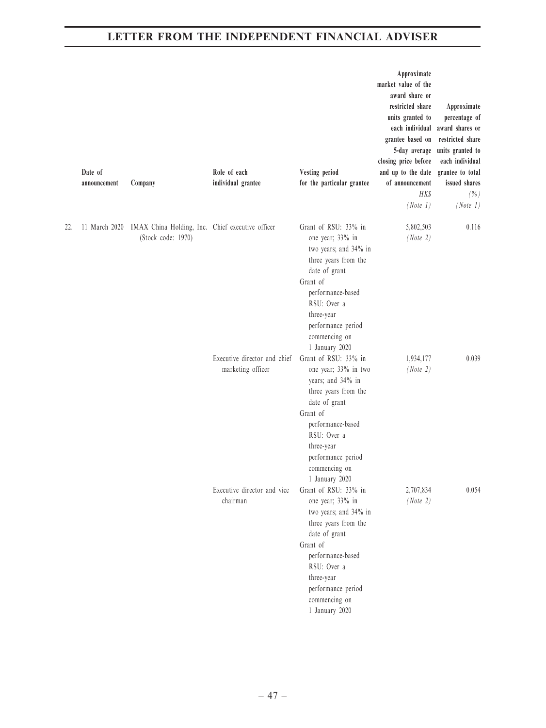|     | Date of<br>announcement | Company                                                                | Role of each<br>individual grantee                | Vesting period<br>for the particular grantee                                                                                                                                                                                      | Approximate<br>market value of the<br>award share or<br>restricted share<br>units granted to<br>each individual<br>grantee based on<br>5-day average<br>closing price before<br>and up to the date<br>of announcement<br><b>HK\$</b><br>(Note 1) | Approximate<br>percentage of<br>award shares or<br>restricted share<br>units granted to<br>each individual<br>grantee to total<br>issued shares<br>(% )<br>(Note 1) |
|-----|-------------------------|------------------------------------------------------------------------|---------------------------------------------------|-----------------------------------------------------------------------------------------------------------------------------------------------------------------------------------------------------------------------------------|--------------------------------------------------------------------------------------------------------------------------------------------------------------------------------------------------------------------------------------------------|---------------------------------------------------------------------------------------------------------------------------------------------------------------------|
| 22. | 11 March 2020           | IMAX China Holding, Inc. Chief executive officer<br>(Stock code: 1970) |                                                   | Grant of RSU: 33% in<br>one year; 33% in<br>two years; and 34% in<br>three years from the<br>date of grant<br>Grant of<br>performance-based<br>RSU: Over a<br>three-year<br>performance period<br>commencing on<br>1 January 2020 | 5,802,503<br>(Note 2)                                                                                                                                                                                                                            | 0.116                                                                                                                                                               |
|     |                         |                                                                        | Executive director and chief<br>marketing officer | Grant of RSU: 33% in<br>one year; 33% in two<br>years; and 34% in<br>three years from the<br>date of grant<br>Grant of<br>performance-based<br>RSU: Over a<br>three-year<br>performance period<br>commencing on<br>1 January 2020 | 1,934,177<br>(Note 2)                                                                                                                                                                                                                            | 0.039                                                                                                                                                               |
|     |                         |                                                                        | Executive director and vice<br>chairman           | Grant of RSU: 33% in<br>one year; 33% in<br>two years; and 34% in<br>three years from the<br>date of grant<br>Grant of<br>performance-based<br>RSU: Over a<br>three-year<br>performance period<br>commencing on<br>1 January 2020 | 2,707,834<br>(Note 2)                                                                                                                                                                                                                            | 0.054                                                                                                                                                               |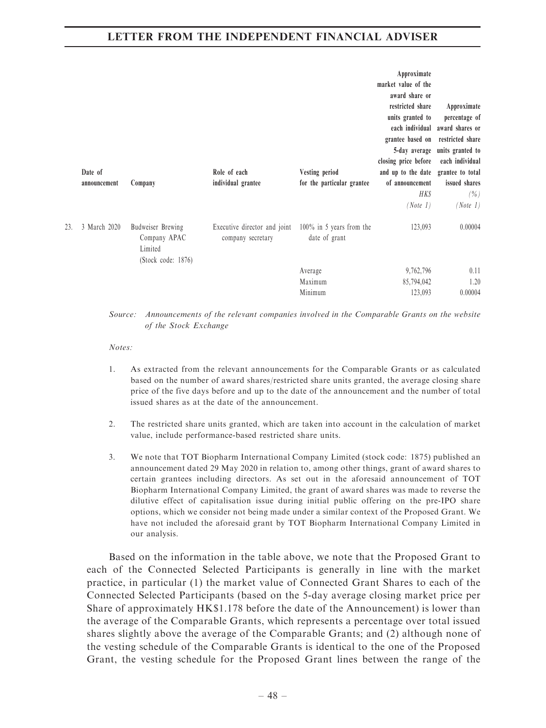|     | Date of<br>announcement | Company                                                            | Role of each<br>individual grantee                | Vesting period<br>for the particular grantee | Approximate<br>market value of the<br>award share or<br>restricted share<br>units granted to<br>each individual<br>grantee based on<br>5-day average<br>closing price before<br>and up to the date<br>of announcement<br><b>HKS</b><br>(Note 1) | Approximate<br>percentage of<br>award shares or<br>restricted share<br>units granted to<br>each individual<br>grantee to total<br>issued shares<br>$(\% )$<br>(Note 1) |
|-----|-------------------------|--------------------------------------------------------------------|---------------------------------------------------|----------------------------------------------|-------------------------------------------------------------------------------------------------------------------------------------------------------------------------------------------------------------------------------------------------|------------------------------------------------------------------------------------------------------------------------------------------------------------------------|
| 23. | 3 March 2020            | Budweiser Brewing<br>Company APAC<br>Limited<br>(Stock code: 1876) | Executive director and joint<br>company secretary | $100\%$ in 5 years from the<br>date of grant | 123,093                                                                                                                                                                                                                                         | 0.00004                                                                                                                                                                |
|     |                         |                                                                    |                                                   | Average<br>Maximum<br>Minimum                | 9,762,796<br>85,794,042<br>123,093                                                                                                                                                                                                              | 0.11<br>1.20<br>0.00004                                                                                                                                                |

Source: Announcements of the relevant companies involved in the Comparable Grants on the website of the Stock Exchange

#### Notes:

- 1. As extracted from the relevant announcements for the Comparable Grants or as calculated based on the number of award shares/restricted share units granted, the average closing share price of the five days before and up to the date of the announcement and the number of total issued shares as at the date of the announcement.
- 2. The restricted share units granted, which are taken into account in the calculation of market value, include performance-based restricted share units.
- 3. We note that TOT Biopharm International Company Limited (stock code: 1875) published an announcement dated 29 May 2020 in relation to, among other things, grant of award shares to certain grantees including directors. As set out in the aforesaid announcement of TOT Biopharm International Company Limited, the grant of award shares was made to reverse the dilutive effect of capitalisation issue during initial public offering on the pre-IPO share options, which we consider not being made under a similar context of the Proposed Grant. We have not included the aforesaid grant by TOT Biopharm International Company Limited in our analysis.

Based on the information in the table above, we note that the Proposed Grant to each of the Connected Selected Participants is generally in line with the market practice, in particular (1) the market value of Connected Grant Shares to each of the Connected Selected Participants (based on the 5-day average closing market price per Share of approximately HK\$1.178 before the date of the Announcement) is lower than the average of the Comparable Grants, which represents a percentage over total issued shares slightly above the average of the Comparable Grants; and (2) although none of the vesting schedule of the Comparable Grants is identical to the one of the Proposed Grant, the vesting schedule for the Proposed Grant lines between the range of the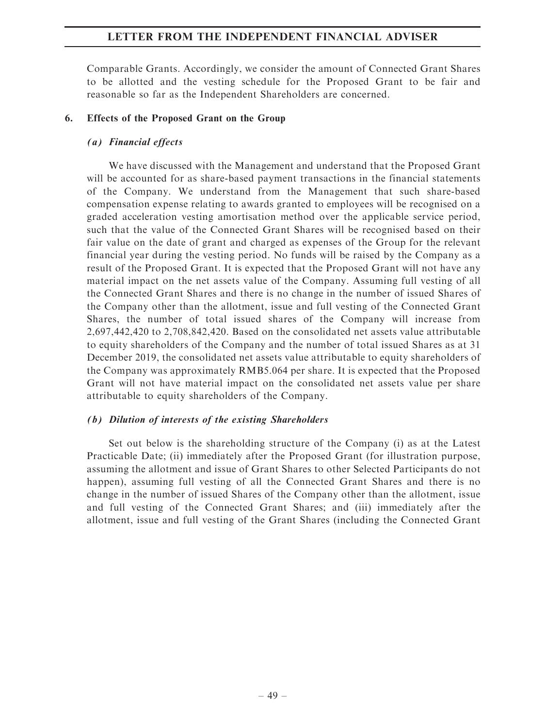Comparable Grants. Accordingly, we consider the amount of Connected Grant Shares to be allotted and the vesting schedule for the Proposed Grant to be fair and reasonable so far as the Independent Shareholders are concerned.

#### 6. Effects of the Proposed Grant on the Group

#### (a) Financial effects

We have discussed with the Management and understand that the Proposed Grant will be accounted for as share-based payment transactions in the financial statements of the Company. We understand from the Management that such share-based compensation expense relating to awards granted to employees will be recognised on a graded acceleration vesting amortisation method over the applicable service period, such that the value of the Connected Grant Shares will be recognised based on their fair value on the date of grant and charged as expenses of the Group for the relevant financial year during the vesting period. No funds will be raised by the Company as a result of the Proposed Grant. It is expected that the Proposed Grant will not have any material impact on the net assets value of the Company. Assuming full vesting of all the Connected Grant Shares and there is no change in the number of issued Shares of the Company other than the allotment, issue and full vesting of the Connected Grant Shares, the number of total issued shares of the Company will increase from 2,697,442,420 to 2,708,842,420. Based on the consolidated net assets value attributable to equity shareholders of the Company and the number of total issued Shares as at 31 December 2019, the consolidated net assets value attributable to equity shareholders of the Company was approximately RMB5.064 per share. It is expected that the Proposed Grant will not have material impact on the consolidated net assets value per share attributable to equity shareholders of the Company.

### (b) Dilution of interests of the existing Shareholders

Set out below is the shareholding structure of the Company (i) as at the Latest Practicable Date; (ii) immediately after the Proposed Grant (for illustration purpose, assuming the allotment and issue of Grant Shares to other Selected Participants do not happen), assuming full vesting of all the Connected Grant Shares and there is no change in the number of issued Shares of the Company other than the allotment, issue and full vesting of the Connected Grant Shares; and (iii) immediately after the allotment, issue and full vesting of the Grant Shares (including the Connected Grant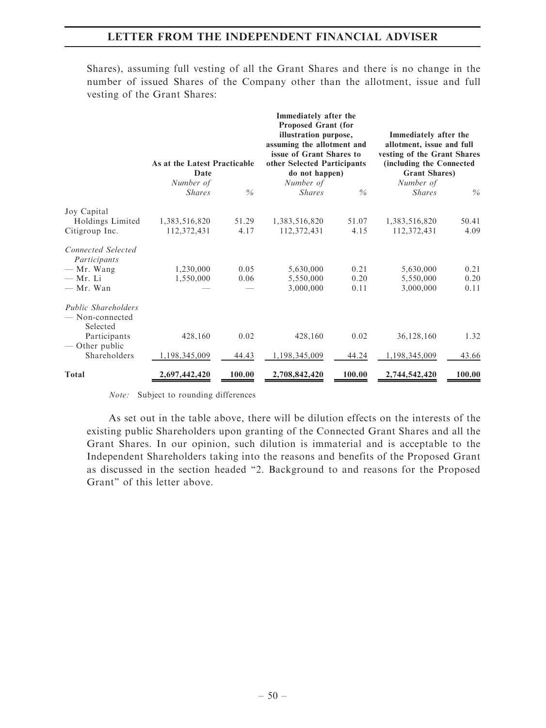Shares), assuming full vesting of all the Grant Shares and there is no change in the number of issued Shares of the Company other than the allotment, issue and full vesting of the Grant Shares:

|                                                           | As at the Latest Practicable<br>Date |               | Immediately after the<br>Proposed Grant (for<br>illustration purpose,<br>assuming the allotment and<br>issue of Grant Shares to<br>other Selected Participants<br>do not happen) |               | Immediately after the<br>allotment, issue and full<br>vesting of the Grant Shares<br>(including the Connected<br><b>Grant Shares</b> ) |        |
|-----------------------------------------------------------|--------------------------------------|---------------|----------------------------------------------------------------------------------------------------------------------------------------------------------------------------------|---------------|----------------------------------------------------------------------------------------------------------------------------------------|--------|
|                                                           | Number of<br><i>Shares</i>           | $\frac{0}{0}$ | Number of<br><b>Shares</b>                                                                                                                                                       | $\frac{0}{6}$ | Number of<br><b>Shares</b>                                                                                                             | $\%$   |
| Joy Capital                                               |                                      |               |                                                                                                                                                                                  |               |                                                                                                                                        |        |
| Holdings Limited                                          | 1,383,516,820                        | 51.29         | 1,383,516,820                                                                                                                                                                    | 51.07         | 1,383,516,820                                                                                                                          | 50.41  |
| Citigroup Inc.                                            | 112,372,431                          | 4.17          | 112,372,431                                                                                                                                                                      | 4.15          | 112,372,431                                                                                                                            | 4.09   |
| <b>Connected Selected</b><br>Participants                 |                                      |               |                                                                                                                                                                                  |               |                                                                                                                                        |        |
| - Mr. Wang                                                | 1,230,000                            | 0.05          | 5,630,000                                                                                                                                                                        | 0.21          | 5,630,000                                                                                                                              | 0.21   |
| $-$ Mr. Li                                                | 1,550,000                            | 0.06          | 5,550,000                                                                                                                                                                        | 0.20          | 5,550,000                                                                                                                              | 0.20   |
| - Mr. Wan                                                 |                                      |               | 3,000,000                                                                                                                                                                        | 0.11          | 3,000,000                                                                                                                              | 0.11   |
| <b>Public Shareholders</b><br>- Non-connected<br>Selected |                                      |               |                                                                                                                                                                                  |               |                                                                                                                                        |        |
| Participants<br>— Other public                            | 428,160                              | 0.02          | 428,160                                                                                                                                                                          | 0.02          | 36,128,160                                                                                                                             | 1.32   |
| Shareholders                                              | 1,198,345,009                        | 44.43         | 1,198,345,009                                                                                                                                                                    | 44.24         | 1,198,345,009                                                                                                                          | 43.66  |
| Total                                                     | 2,697,442,420                        | 100.00        | 2,708,842,420                                                                                                                                                                    | 100.00        | 2,744,542,420                                                                                                                          | 100.00 |

Note: Subject to rounding differences

As set out in the table above, there will be dilution effects on the interests of the existing public Shareholders upon granting of the Connected Grant Shares and all the Grant Shares. In our opinion, such dilution is immaterial and is acceptable to the Independent Shareholders taking into the reasons and benefits of the Proposed Grant as discussed in the section headed ''2. Background to and reasons for the Proposed Grant'' of this letter above.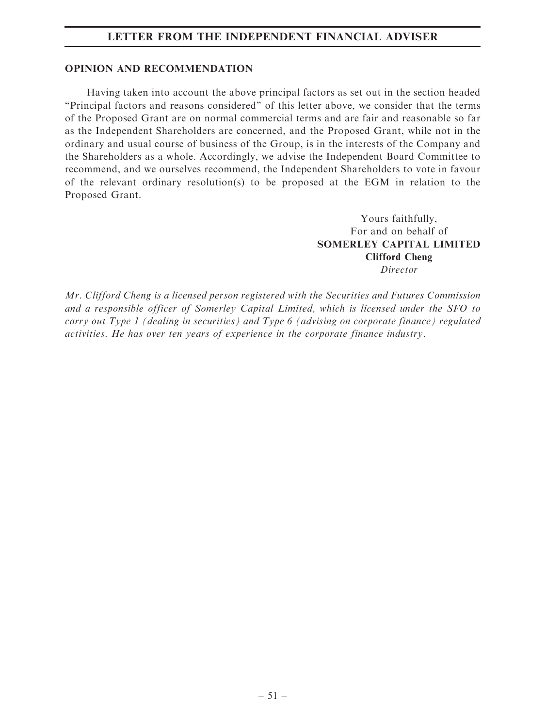#### OPINION AND RECOMMENDATION

Having taken into account the above principal factors as set out in the section headed ''Principal factors and reasons considered'' of this letter above, we consider that the terms of the Proposed Grant are on normal commercial terms and are fair and reasonable so far as the Independent Shareholders are concerned, and the Proposed Grant, while not in the ordinary and usual course of business of the Group, is in the interests of the Company and the Shareholders as a whole. Accordingly, we advise the Independent Board Committee to recommend, and we ourselves recommend, the Independent Shareholders to vote in favour of the relevant ordinary resolution(s) to be proposed at the EGM in relation to the Proposed Grant.

> Yours faithfully, For and on behalf of SOMERLEY CAPITAL LIMITED Clifford Cheng Director

Mr. Clifford Cheng is a licensed person registered with the Securities and Futures Commission and a responsible officer of Somerley Capital Limited, which is licensed under the SFO to carry out Type 1 (dealing in securities) and Type 6 (advising on corporate finance) regulated activities. He has over ten years of experience in the corporate finance industry.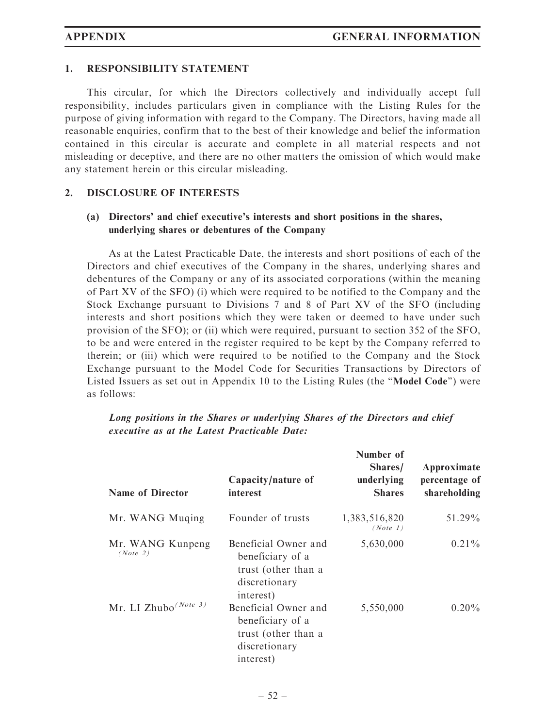#### 1. RESPONSIBILITY STATEMENT

This circular, for which the Directors collectively and individually accept full responsibility, includes particulars given in compliance with the Listing Rules for the purpose of giving information with regard to the Company. The Directors, having made all reasonable enquiries, confirm that to the best of their knowledge and belief the information contained in this circular is accurate and complete in all material respects and not misleading or deceptive, and there are no other matters the omission of which would make any statement herein or this circular misleading.

#### 2. DISCLOSURE OF INTERESTS

### (a) Directors' and chief executive's interests and short positions in the shares, underlying shares or debentures of the Company

As at the Latest Practicable Date, the interests and short positions of each of the Directors and chief executives of the Company in the shares, underlying shares and debentures of the Company or any of its associated corporations (within the meaning of Part XV of the SFO) (i) which were required to be notified to the Company and the Stock Exchange pursuant to Divisions 7 and 8 of Part XV of the SFO (including interests and short positions which they were taken or deemed to have under such provision of the SFO); or (ii) which were required, pursuant to section 352 of the SFO, to be and were entered in the register required to be kept by the Company referred to therein; or (iii) which were required to be notified to the Company and the Stock Exchange pursuant to the Model Code for Securities Transactions by Directors of Listed Issuers as set out in Appendix 10 to the Listing Rules (the ''Model Code'') were as follows:

| <b>Name of Director</b>          | Capacity/nature of<br>interest                                                                | Number of<br>Shares/<br>underlying<br><b>Shares</b> | Approximate<br>percentage of<br>shareholding |
|----------------------------------|-----------------------------------------------------------------------------------------------|-----------------------------------------------------|----------------------------------------------|
| Mr. WANG Muqing                  | Founder of trusts                                                                             | 1,383,516,820<br>(Note 1)                           | 51.29%                                       |
| Mr. WANG Kunpeng<br>(Note 2)     | Beneficial Owner and<br>beneficiary of a<br>trust (other than a<br>discretionary<br>interest) | 5,630,000                                           | $0.21\%$                                     |
| Mr. LI Zhubo <sup>(Note 3)</sup> | Beneficial Owner and<br>beneficiary of a<br>trust (other than a<br>discretionary<br>interest) | 5,550,000                                           | $0.20\%$                                     |

Long positions in the Shares or underlying Shares of the Directors and chief executive as at the Latest Practicable Date: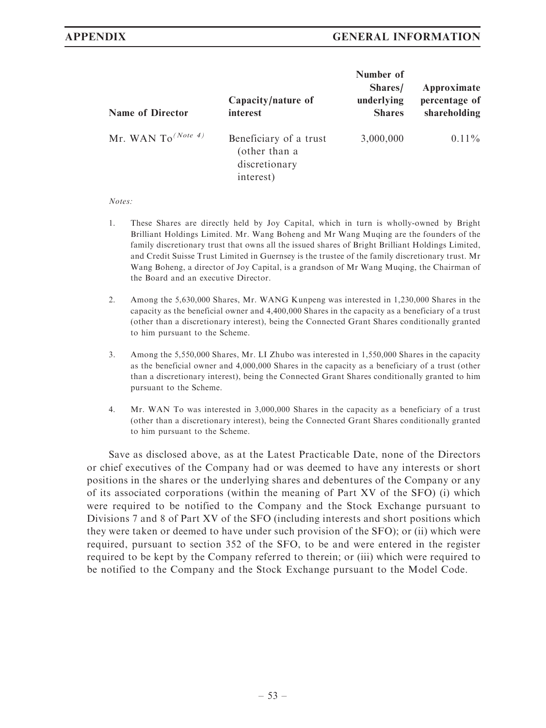| <b>Name of Director</b>        | Capacity/nature of<br>interest                                        | Number of<br>Shares/<br>underlying<br><b>Shares</b> | Approximate<br>percentage of<br>shareholding |
|--------------------------------|-----------------------------------------------------------------------|-----------------------------------------------------|----------------------------------------------|
| Mr. WAN To <sup>(Note 4)</sup> | Beneficiary of a trust<br>(other than a<br>discretionary<br>interest) | 3,000,000                                           | $0.11\%$                                     |

#### Notes:

- 1. These Shares are directly held by Joy Capital, which in turn is wholly-owned by Bright Brilliant Holdings Limited. Mr. Wang Boheng and Mr Wang Muqing are the founders of the family discretionary trust that owns all the issued shares of Bright Brilliant Holdings Limited, and Credit Suisse Trust Limited in Guernsey is the trustee of the family discretionary trust. Mr Wang Boheng, a director of Joy Capital, is a grandson of Mr Wang Muqing, the Chairman of the Board and an executive Director.
- 2. Among the 5,630,000 Shares, Mr. WANG Kunpeng was interested in 1,230,000 Shares in the capacity as the beneficial owner and 4,400,000 Shares in the capacity as a beneficiary of a trust (other than a discretionary interest), being the Connected Grant Shares conditionally granted to him pursuant to the Scheme.
- 3. Among the 5,550,000 Shares, Mr. LI Zhubo was interested in 1,550,000 Shares in the capacity as the beneficial owner and 4,000,000 Shares in the capacity as a beneficiary of a trust (other than a discretionary interest), being the Connected Grant Shares conditionally granted to him pursuant to the Scheme.
- 4. Mr. WAN To was interested in 3,000,000 Shares in the capacity as a beneficiary of a trust (other than a discretionary interest), being the Connected Grant Shares conditionally granted to him pursuant to the Scheme.

Save as disclosed above, as at the Latest Practicable Date, none of the Directors or chief executives of the Company had or was deemed to have any interests or short positions in the shares or the underlying shares and debentures of the Company or any of its associated corporations (within the meaning of Part XV of the SFO) (i) which were required to be notified to the Company and the Stock Exchange pursuant to Divisions 7 and 8 of Part XV of the SFO (including interests and short positions which they were taken or deemed to have under such provision of the SFO); or (ii) which were required, pursuant to section 352 of the SFO, to be and were entered in the register required to be kept by the Company referred to therein; or (iii) which were required to be notified to the Company and the Stock Exchange pursuant to the Model Code.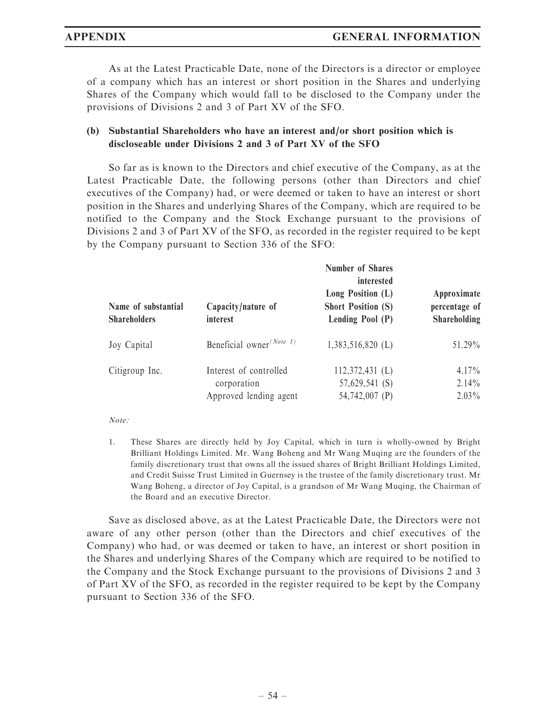As at the Latest Practicable Date, none of the Directors is a director or employee of a company which has an interest or short position in the Shares and underlying Shares of the Company which would fall to be disclosed to the Company under the provisions of Divisions 2 and 3 of Part XV of the SFO.

### (b) Substantial Shareholders who have an interest and/or short position which is discloseable under Divisions 2 and 3 of Part XV of the SFO

So far as is known to the Directors and chief executive of the Company, as at the Latest Practicable Date, the following persons (other than Directors and chief executives of the Company) had, or were deemed or taken to have an interest or short position in the Shares and underlying Shares of the Company, which are required to be notified to the Company and the Stock Exchange pursuant to the provisions of Divisions 2 and 3 of Part XV of the SFO, as recorded in the register required to be kept by the Company pursuant to Section 336 of the SFO:

| Name of substantial<br><b>Shareholders</b> | Capacity/nature of<br>interest                                  | <b>Number of Shares</b><br>interested<br>Long Position $(L)$<br><b>Short Position (S)</b><br>Lending Pool $(P)$ | Approximate<br>percentage of<br>Shareholding |
|--------------------------------------------|-----------------------------------------------------------------|-----------------------------------------------------------------------------------------------------------------|----------------------------------------------|
| Joy Capital                                | Beneficial owner <sup>(Note 1)</sup>                            | $1,383,516,820$ (L)                                                                                             | $51.29\%$                                    |
| Citigroup Inc.                             | Interest of controlled<br>corporation<br>Approved lending agent | $112,372,431$ (L)<br>57,629,541 (S)<br>54,742,007 (P)                                                           | 4.17%<br>$2.14\%$<br>$2.03\%$                |

Note:

1. These Shares are directly held by Joy Capital, which in turn is wholly-owned by Bright Brilliant Holdings Limited. Mr. Wang Boheng and Mr Wang Muqing are the founders of the family discretionary trust that owns all the issued shares of Bright Brilliant Holdings Limited, and Credit Suisse Trust Limited in Guernsey is the trustee of the family discretionary trust. Mr Wang Boheng, a director of Joy Capital, is a grandson of Mr Wang Muqing, the Chairman of the Board and an executive Director.

Save as disclosed above, as at the Latest Practicable Date, the Directors were not aware of any other person (other than the Directors and chief executives of the Company) who had, or was deemed or taken to have, an interest or short position in the Shares and underlying Shares of the Company which are required to be notified to the Company and the Stock Exchange pursuant to the provisions of Divisions 2 and 3 of Part XV of the SFO, as recorded in the register required to be kept by the Company pursuant to Section 336 of the SFO.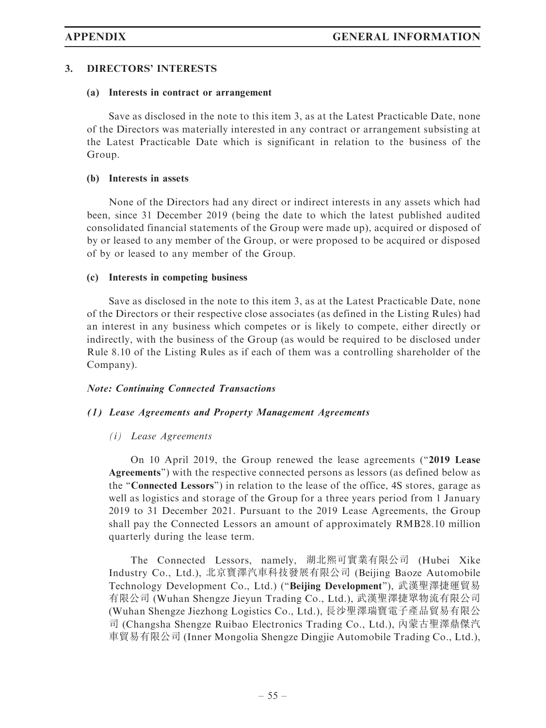#### 3. DIRECTORS' INTERESTS

#### (a) Interests in contract or arrangement

Save as disclosed in the note to this item 3, as at the Latest Practicable Date, none of the Directors was materially interested in any contract or arrangement subsisting at the Latest Practicable Date which is significant in relation to the business of the Group.

#### (b) Interests in assets

None of the Directors had any direct or indirect interests in any assets which had been, since 31 December 2019 (being the date to which the latest published audited consolidated financial statements of the Group were made up), acquired or disposed of by or leased to any member of the Group, or were proposed to be acquired or disposed of by or leased to any member of the Group.

#### (c) Interests in competing business

Save as disclosed in the note to this item 3, as at the Latest Practicable Date, none of the Directors or their respective close associates (as defined in the Listing Rules) had an interest in any business which competes or is likely to compete, either directly or indirectly, with the business of the Group (as would be required to be disclosed under Rule 8.10 of the Listing Rules as if each of them was a controlling shareholder of the Company).

#### Note: Continuing Connected Transactions

#### (1) Lease Agreements and Property Management Agreements

#### (i) Lease Agreements

On 10 April 2019, the Group renewed the lease agreements ("2019 Lease Agreements'') with the respective connected persons as lessors (as defined below as the ''Connected Lessors'') in relation to the lease of the office, 4S stores, garage as well as logistics and storage of the Group for a three years period from 1 January 2019 to 31 December 2021. Pursuant to the 2019 Lease Agreements, the Group shall pay the Connected Lessors an amount of approximately RMB28.10 million quarterly during the lease term.

The Connected Lessors, namely, 湖北熙可實業有限公司 (Hubei Xike Industry Co., Ltd.), 北京寶澤汽車科技發展有限公司 (Beijing Baoze Automobile Technology Development Co., Ltd.) (''Beijing Development''), 武漢聖澤捷運貿易 有限公司 (Wuhan Shengze Jieyun Trading Co., Ltd.), 武漢聖澤捷眾物流有限公司 (Wuhan Shengze Jiezhong Logistics Co., Ltd.), 長沙聖澤瑞寶電子產品貿易有限公 司 (Changsha Shengze Ruibao Electronics Trading Co., Ltd.), 內蒙古聖澤鼎傑汽 車貿易有限公司 (Inner Mongolia Shengze Dingjie Automobile Trading Co., Ltd.),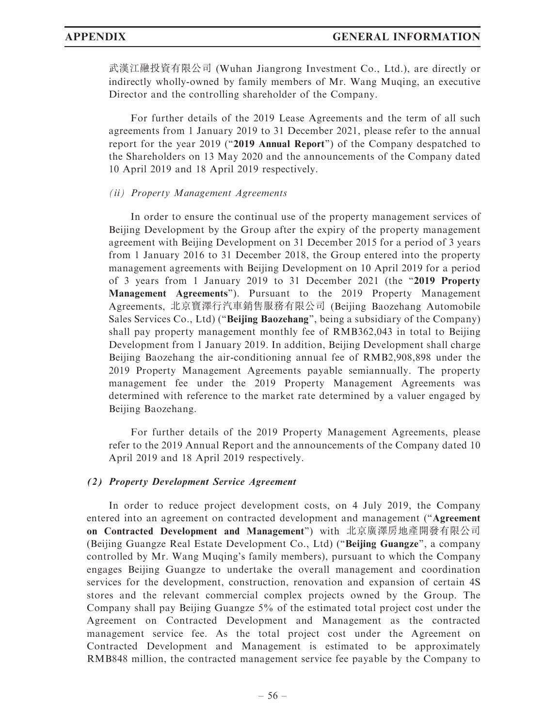武漢江融投資有限公司 (Wuhan Jiangrong Investment Co., Ltd.), are directly or indirectly wholly-owned by family members of Mr. Wang Muqing, an executive Director and the controlling shareholder of the Company.

For further details of the 2019 Lease Agreements and the term of all such agreements from 1 January 2019 to 31 December 2021, please refer to the annual report for the year 2019 ("2019 Annual Report") of the Company despatched to the Shareholders on 13 May 2020 and the announcements of the Company dated 10 April 2019 and 18 April 2019 respectively.

#### (ii) Property Management Agreements

In order to ensure the continual use of the property management services of Beijing Development by the Group after the expiry of the property management agreement with Beijing Development on 31 December 2015 for a period of 3 years from 1 January 2016 to 31 December 2018, the Group entered into the property management agreements with Beijing Development on 10 April 2019 for a period of 3 years from 1 January 2019 to 31 December 2021 (the ''2019 Property Management Agreements''). Pursuant to the 2019 Property Management Agreements, 北京寶澤行汽車銷售服務有限公司 (Beijing Baozehang Automobile Sales Services Co., Ltd) (''Beijing Baozehang'', being a subsidiary of the Company) shall pay property management monthly fee of RMB362,043 in total to Beijing Development from 1 January 2019. In addition, Beijing Development shall charge Beijing Baozehang the air-conditioning annual fee of RMB2,908,898 under the 2019 Property Management Agreements payable semiannually. The property management fee under the 2019 Property Management Agreements was determined with reference to the market rate determined by a valuer engaged by Beijing Baozehang.

For further details of the 2019 Property Management Agreements, please refer to the 2019 Annual Report and the announcements of the Company dated 10 April 2019 and 18 April 2019 respectively.

#### (2) Property Development Service Agreement

In order to reduce project development costs, on 4 July 2019, the Company entered into an agreement on contracted development and management (''Agreement on Contracted Development and Management'') with 北京廣澤房地產開發有限公司 (Beijing Guangze Real Estate Development Co., Ltd) (''Beijing Guangze'', a company controlled by Mr. Wang Muqing's family members), pursuant to which the Company engages Beijing Guangze to undertake the overall management and coordination services for the development, construction, renovation and expansion of certain 4S stores and the relevant commercial complex projects owned by the Group. The Company shall pay Beijing Guangze 5% of the estimated total project cost under the Agreement on Contracted Development and Management as the contracted management service fee. As the total project cost under the Agreement on Contracted Development and Management is estimated to be approximately RMB848 million, the contracted management service fee payable by the Company to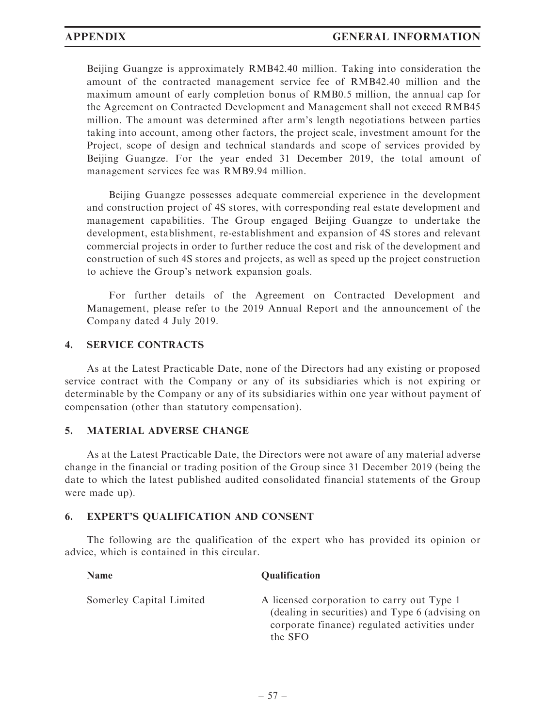Beijing Guangze is approximately RMB42.40 million. Taking into consideration the amount of the contracted management service fee of RMB42.40 million and the maximum amount of early completion bonus of RMB0.5 million, the annual cap for the Agreement on Contracted Development and Management shall not exceed RMB45 million. The amount was determined after arm's length negotiations between parties taking into account, among other factors, the project scale, investment amount for the Project, scope of design and technical standards and scope of services provided by Beijing Guangze. For the year ended 31 December 2019, the total amount of management services fee was RMB9.94 million.

Beijing Guangze possesses adequate commercial experience in the development and construction project of 4S stores, with corresponding real estate development and management capabilities. The Group engaged Beijing Guangze to undertake the development, establishment, re-establishment and expansion of 4S stores and relevant commercial projects in order to further reduce the cost and risk of the development and construction of such 4S stores and projects, as well as speed up the project construction to achieve the Group's network expansion goals.

For further details of the Agreement on Contracted Development and Management, please refer to the 2019 Annual Report and the announcement of the Company dated 4 July 2019.

#### 4. SERVICE CONTRACTS

As at the Latest Practicable Date, none of the Directors had any existing or proposed service contract with the Company or any of its subsidiaries which is not expiring or determinable by the Company or any of its subsidiaries within one year without payment of compensation (other than statutory compensation).

#### 5. MATERIAL ADVERSE CHANGE

As at the Latest Practicable Date, the Directors were not aware of any material adverse change in the financial or trading position of the Group since 31 December 2019 (being the date to which the latest published audited consolidated financial statements of the Group were made up).

#### 6. EXPERT'S QUALIFICATION AND CONSENT

The following are the qualification of the expert who has provided its opinion or advice, which is contained in this circular.

| <b>Name</b>              | <b>Qualification</b>                                                                                                                                      |
|--------------------------|-----------------------------------------------------------------------------------------------------------------------------------------------------------|
| Somerley Capital Limited | A licensed corporation to carry out Type 1<br>(dealing in securities) and Type 6 (advising on<br>corporate finance) regulated activities under<br>the SFO |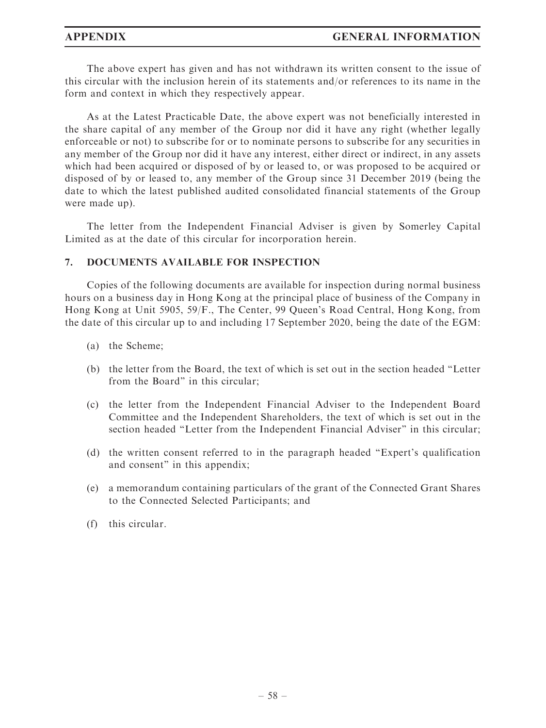#### APPENDIX GENERAL INFORMATION

The above expert has given and has not withdrawn its written consent to the issue of this circular with the inclusion herein of its statements and/or references to its name in the form and context in which they respectively appear.

As at the Latest Practicable Date, the above expert was not beneficially interested in the share capital of any member of the Group nor did it have any right (whether legally enforceable or not) to subscribe for or to nominate persons to subscribe for any securities in any member of the Group nor did it have any interest, either direct or indirect, in any assets which had been acquired or disposed of by or leased to, or was proposed to be acquired or disposed of by or leased to, any member of the Group since 31 December 2019 (being the date to which the latest published audited consolidated financial statements of the Group were made up).

The letter from the Independent Financial Adviser is given by Somerley Capital Limited as at the date of this circular for incorporation herein.

#### 7. DOCUMENTS AVAILABLE FOR INSPECTION

Copies of the following documents are available for inspection during normal business hours on a business day in Hong Kong at the principal place of business of the Company in Hong Kong at Unit 5905, 59/F., The Center, 99 Queen's Road Central, Hong Kong, from the date of this circular up to and including 17 September 2020, being the date of the EGM:

- (a) the Scheme;
- (b) the letter from the Board, the text of which is set out in the section headed ''Letter from the Board'' in this circular;
- (c) the letter from the Independent Financial Adviser to the Independent Board Committee and the Independent Shareholders, the text of which is set out in the section headed ''Letter from the Independent Financial Adviser'' in this circular;
- (d) the written consent referred to in the paragraph headed ''Expert's qualification and consent" in this appendix;
- (e) a memorandum containing particulars of the grant of the Connected Grant Shares to the Connected Selected Participants; and
- (f) this circular.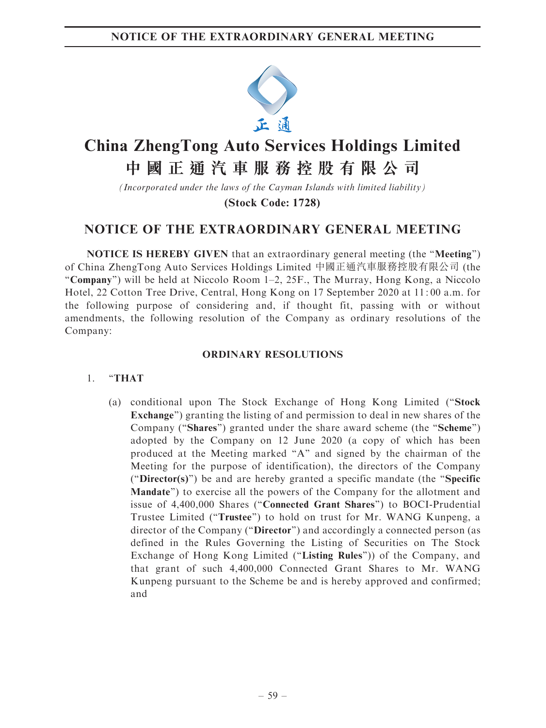

# **China ZhengTong Auto Services Holdings Limited**

# **中國正通汽車服務控股有限公司**

*(Incorporated under the laws of the Cayman Islands with limited liability)*

**(Stock Code: 1728)**

# NOTICE OF THE EXTRAORDINARY GENERAL MEETING

NOTICE IS HEREBY GIVEN that an extraordinary general meeting (the ''Meeting'') of China ZhengTong Auto Services Holdings Limited 中國正通汽車服務控股有限公司 (the ''Company'') will be held at Niccolo Room 1–2, 25F., The Murray, Hong Kong, a Niccolo Hotel, 22 Cotton Tree Drive, Central, Hong Kong on 17 September 2020 at 11: 00 a.m. for the following purpose of considering and, if thought fit, passing with or without amendments, the following resolution of the Company as ordinary resolutions of the Company:

# ORDINARY RESOLUTIONS

### 1. ''THAT

(a) conditional upon The Stock Exchange of Hong Kong Limited (''Stock Exchange'') granting the listing of and permission to deal in new shares of the Company ("Shares") granted under the share award scheme (the "Scheme") adopted by the Company on 12 June 2020 (a copy of which has been produced at the Meeting marked "A" and signed by the chairman of the Meeting for the purpose of identification), the directors of the Company (''Director(s)'') be and are hereby granted a specific mandate (the ''Specific Mandate'') to exercise all the powers of the Company for the allotment and issue of 4,400,000 Shares (''Connected Grant Shares'') to BOCI-Prudential Trustee Limited (''Trustee'') to hold on trust for Mr. WANG Kunpeng, a director of the Company (''Director'') and accordingly a connected person (as defined in the Rules Governing the Listing of Securities on The Stock Exchange of Hong Kong Limited ("Listing Rules")) of the Company, and that grant of such 4,400,000 Connected Grant Shares to Mr. WANG Kunpeng pursuant to the Scheme be and is hereby approved and confirmed; and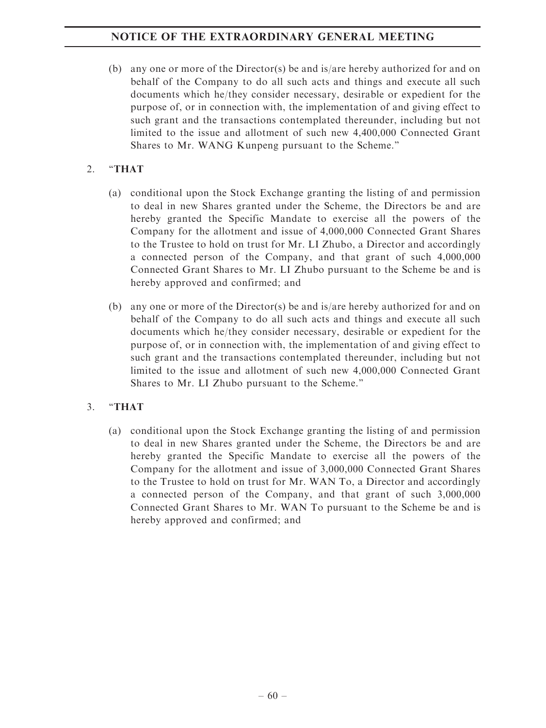(b) any one or more of the Director(s) be and is/are hereby authorized for and on behalf of the Company to do all such acts and things and execute all such documents which he/they consider necessary, desirable or expedient for the purpose of, or in connection with, the implementation of and giving effect to such grant and the transactions contemplated thereunder, including but not limited to the issue and allotment of such new 4,400,000 Connected Grant Shares to Mr. WANG Kunpeng pursuant to the Scheme.''

# 2. "THAT

- (a) conditional upon the Stock Exchange granting the listing of and permission to deal in new Shares granted under the Scheme, the Directors be and are hereby granted the Specific Mandate to exercise all the powers of the Company for the allotment and issue of 4,000,000 Connected Grant Shares to the Trustee to hold on trust for Mr. LI Zhubo, a Director and accordingly a connected person of the Company, and that grant of such 4,000,000 Connected Grant Shares to Mr. LI Zhubo pursuant to the Scheme be and is hereby approved and confirmed; and
- (b) any one or more of the Director(s) be and is/are hereby authorized for and on behalf of the Company to do all such acts and things and execute all such documents which he/they consider necessary, desirable or expedient for the purpose of, or in connection with, the implementation of and giving effect to such grant and the transactions contemplated thereunder, including but not limited to the issue and allotment of such new 4,000,000 Connected Grant Shares to Mr. LI Zhubo pursuant to the Scheme.''

# 3. ''THAT

(a) conditional upon the Stock Exchange granting the listing of and permission to deal in new Shares granted under the Scheme, the Directors be and are hereby granted the Specific Mandate to exercise all the powers of the Company for the allotment and issue of 3,000,000 Connected Grant Shares to the Trustee to hold on trust for Mr. WAN To, a Director and accordingly a connected person of the Company, and that grant of such 3,000,000 Connected Grant Shares to Mr. WAN To pursuant to the Scheme be and is hereby approved and confirmed; and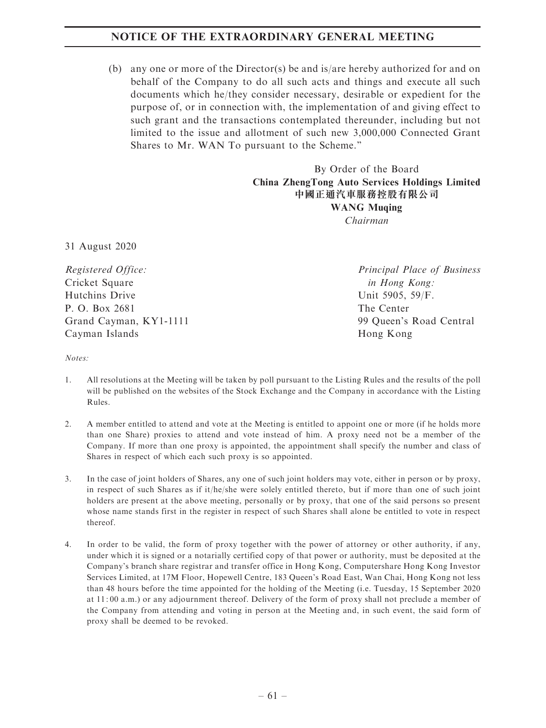## NOTICE OF THE EXTRAORDINARY GENERAL MEETING

(b) any one or more of the Director(s) be and is/are hereby authorized for and on behalf of the Company to do all such acts and things and execute all such documents which he/they consider necessary, desirable or expedient for the purpose of, or in connection with, the implementation of and giving effect to such grant and the transactions contemplated thereunder, including but not limited to the issue and allotment of such new 3,000,000 Connected Grant Shares to Mr. WAN To pursuant to the Scheme.''

> By Order of the Board China ZhengTong Auto Services Holdings Limited 中國正通汽車服務控股有限公司 WANG Muqing Chairman

31 August 2020

Registered Office: Cricket Square Hutchins Drive P. O. Box 2681 Grand Cayman, KY1-1111 Cayman Islands

Principal Place of Business in Hong Kong: Unit 5905, 59/F. The Center 99 Queen's Road Central Hong Kong

Notes:

- 1. All resolutions at the Meeting will be taken by poll pursuant to the Listing Rules and the results of the poll will be published on the websites of the Stock Exchange and the Company in accordance with the Listing Rules.
- 2. A member entitled to attend and vote at the Meeting is entitled to appoint one or more (if he holds more than one Share) proxies to attend and vote instead of him. A proxy need not be a member of the Company. If more than one proxy is appointed, the appointment shall specify the number and class of Shares in respect of which each such proxy is so appointed.
- 3. In the case of joint holders of Shares, any one of such joint holders may vote, either in person or by proxy, in respect of such Shares as if it/he/she were solely entitled thereto, but if more than one of such joint holders are present at the above meeting, personally or by proxy, that one of the said persons so present whose name stands first in the register in respect of such Shares shall alone be entitled to vote in respect thereof.
- 4. In order to be valid, the form of proxy together with the power of attorney or other authority, if any, under which it is signed or a notarially certified copy of that power or authority, must be deposited at the Company's branch share registrar and transfer office in Hong Kong, Computershare Hong Kong Investor Services Limited, at 17M Floor, Hopewell Centre, 183 Queen's Road East, Wan Chai, Hong Kong not less than 48 hours before the time appointed for the holding of the Meeting (i.e. Tuesday, 15 September 2020 at 11: 00 a.m.) or any adjournment thereof. Delivery of the form of proxy shall not preclude a member of the Company from attending and voting in person at the Meeting and, in such event, the said form of proxy shall be deemed to be revoked.